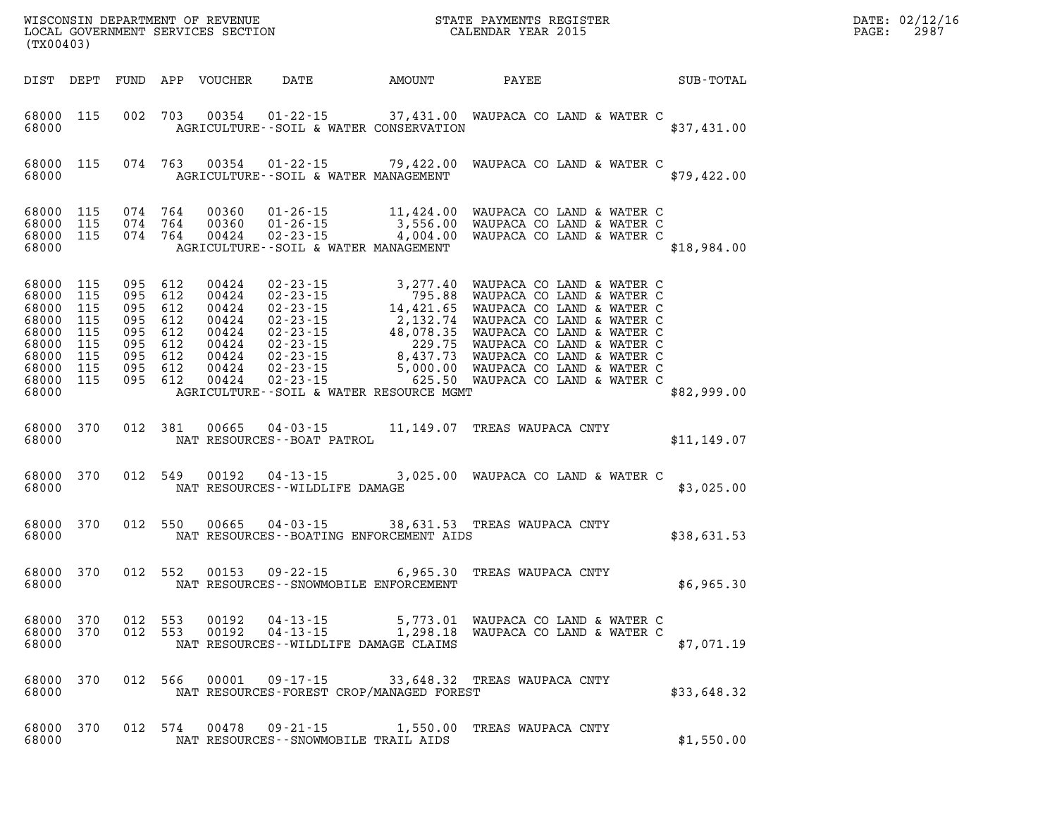| DATE: | 02/12/16 |
|-------|----------|
| PAGE: | 2987     |

| (TX00403)                       |  |         |                                               | WISCONSIN DEPARTMENT OF REVENUE<br>LOCAL GOVERNMENT SERVICES SECTION<br>(TYOO402)                                      |  | DATE: 02/12/1<br>$\mathtt{PAGE}$ :<br>2987 |  |
|---------------------------------|--|---------|-----------------------------------------------|------------------------------------------------------------------------------------------------------------------------|--|--------------------------------------------|--|
|                                 |  |         |                                               | DIST DEPT FUND APP VOUCHER DATE AMOUNT PAYEE SUB-TOTAL                                                                 |  |                                            |  |
|                                 |  |         |                                               | 68000 115 002 703 00354 01-22-15 37,431.00 WAUPACA CO LAND & WATER C<br>68000 AGRICULTURE--SOIL & WATER CONSERVATION   |  | \$37,431.00                                |  |
| 68000                           |  |         |                                               | 68000 115 074 763 00354 01-22-15 79,422.00 WAUPACA CO LAND & WATER C<br>AGRICULTURE--SOIL & WATER MANAGEMENT           |  | \$79,422.00                                |  |
|                                 |  |         | 68000 AGRICULTURE--SOIL & WATER MANAGEMENT    |                                                                                                                        |  | \$18,984.00                                |  |
| 68000                           |  |         | AGRICULTURE--SOIL & WATER RESOURCE MGMT       |                                                                                                                        |  | \$82,999.00                                |  |
|                                 |  |         | 68000 NAT RESOURCES--BOAT PATROL              | 68000 370 012 381 00665 04-03-15 11,149.07 TREAS WAUPACA CNTY                                                          |  | \$11,149.07                                |  |
|                                 |  |         | 68000 NAT RESOURCES--WILDLIFE DAMAGE          | 68000 370 012 549 00192 04-13-15 3,025.00 WAUPACA CO LAND & WATER C                                                    |  | \$3,025.00                                 |  |
|                                 |  |         | 68000 NAT RESOURCES--BOATING ENFORCEMENT AIDS | 68000 370 012 550 00665 04-03-15 38,631.53 TREAS WAUPACA CNTY                                                          |  | \$38,631.53                                |  |
| 68000                           |  |         | NAT RESOURCES - SNOWMOBILE ENFORCEMENT        | 68000 370 012 552 00153 09-22-15 6,965.30 TREAS WAUPACA CNTY                                                           |  | \$6,965.30                                 |  |
| 68000 370<br>68000 370<br>68000 |  |         | NAT RESOURCES--WILDLIFE DAMAGE CLAIMS         | 012 553 00192 04-13-15 5,773.01 WAUPACA CO LAND & WATER C<br>012 553 00192 04-13-15 1,298.18 WAUPACA CO LAND & WATER C |  | \$7,071.19                                 |  |
| 68000 370<br>68000              |  | 012 566 | NAT RESOURCES-FOREST CROP/MANAGED FOREST      | 00001  09-17-15  33,648.32  TREAS WAUPACA CNTY                                                                         |  | \$33,648.32                                |  |
| 68000 370<br>68000              |  | 012 574 | NAT RESOURCES - - SNOWMOBILE TRAIL AIDS       | 00478  09-21-15  1,550.00  TREAS WAUPACA CNTY                                                                          |  | \$1,550.00                                 |  |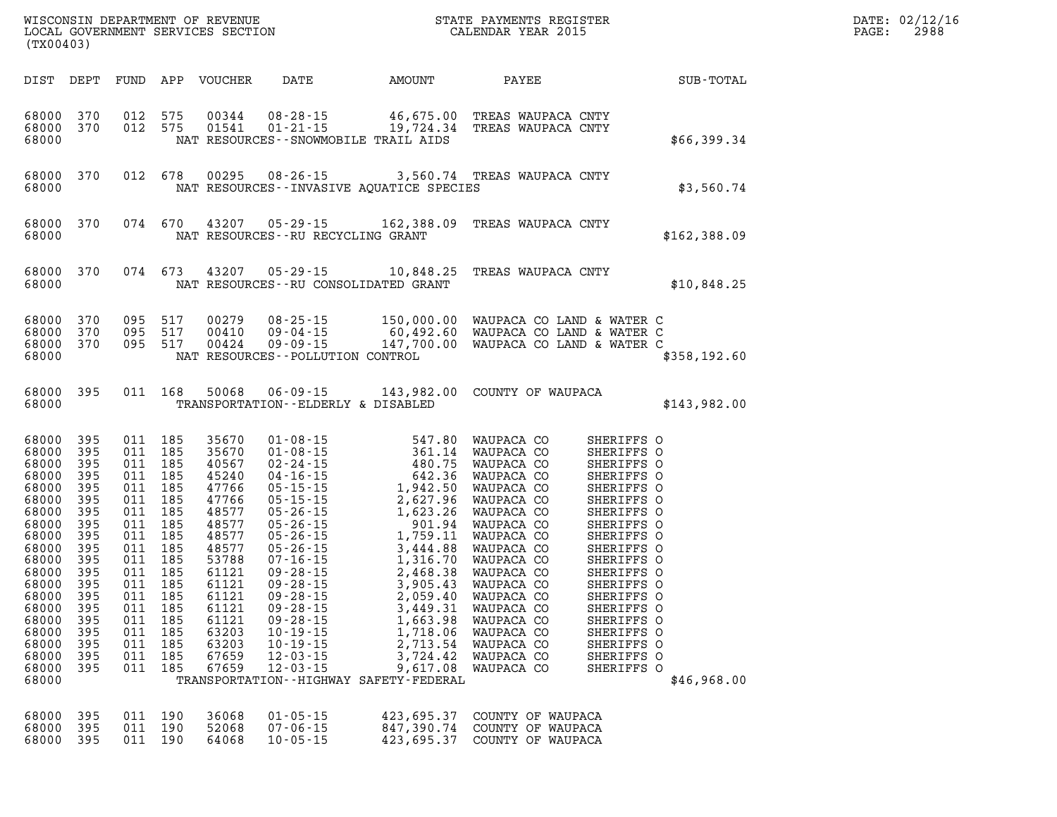| (TX00403)                                                                                                                                                                                                     |                                                                                                         |                                                                                                                                                           |                                                                   |                                                                                                                                                                                  |                                                                                                    |                                                                                                                                                                                                                                                                                                                                                                    |                                                                                  |                                                                                                                                                                                                                                                                                      | DATE: 02/12/16<br>$\mathtt{PAGE}$ :<br>2988 |  |  |
|---------------------------------------------------------------------------------------------------------------------------------------------------------------------------------------------------------------|---------------------------------------------------------------------------------------------------------|-----------------------------------------------------------------------------------------------------------------------------------------------------------|-------------------------------------------------------------------|----------------------------------------------------------------------------------------------------------------------------------------------------------------------------------|----------------------------------------------------------------------------------------------------|--------------------------------------------------------------------------------------------------------------------------------------------------------------------------------------------------------------------------------------------------------------------------------------------------------------------------------------------------------------------|----------------------------------------------------------------------------------|--------------------------------------------------------------------------------------------------------------------------------------------------------------------------------------------------------------------------------------------------------------------------------------|---------------------------------------------|--|--|
|                                                                                                                                                                                                               |                                                                                                         |                                                                                                                                                           |                                                                   | DIST DEPT FUND APP VOUCHER                                                                                                                                                       |                                                                                                    | DATE AMOUNT                                                                                                                                                                                                                                                                                                                                                        | <b>PAYEE</b>                                                                     |                                                                                                                                                                                                                                                                                      | SUB-TOTAL                                   |  |  |
| 68000 370<br>68000                                                                                                                                                                                            | 68000 370                                                                                               | 012 575<br>012 575                                                                                                                                        |                                                                   |                                                                                                                                                                                  |                                                                                                    | 00344  08-28-15  46,675.00  TREAS WAUPACA CNTY<br>01541  01-21-15  19,724.34  TREAS WAUPACA CNTY<br>NAT RESOURCES -- SNOWMOBILE TRAIL AIDS                                                                                                                                                                                                                         |                                                                                  |                                                                                                                                                                                                                                                                                      | \$66,399.34                                 |  |  |
| 68000 370<br>68000                                                                                                                                                                                            |                                                                                                         | 012 678                                                                                                                                                   |                                                                   |                                                                                                                                                                                  |                                                                                                    | 00295 08-26-15 3,560.74 TREAS WAUPACA CNTY<br>NAT RESOURCES -- INVASIVE AQUATICE SPECIES                                                                                                                                                                                                                                                                           |                                                                                  |                                                                                                                                                                                                                                                                                      | \$3,560.74                                  |  |  |
| 68000 370<br>68000                                                                                                                                                                                            |                                                                                                         |                                                                                                                                                           | 074 670                                                           |                                                                                                                                                                                  | NAT RESOURCES - - RU RECYCLING GRANT                                                               | 43207  05-29-15  162,388.09  TREAS WAUPACA CNTY                                                                                                                                                                                                                                                                                                                    |                                                                                  |                                                                                                                                                                                                                                                                                      | \$162,388.09                                |  |  |
| 68000 370<br>68000                                                                                                                                                                                            |                                                                                                         |                                                                                                                                                           | 074 673                                                           |                                                                                                                                                                                  |                                                                                                    | 43207 05-29-15 10,848.25 TREAS WAUPACA CNTY<br>NAT RESOURCES - - RU CONSOLIDATED GRANT                                                                                                                                                                                                                                                                             |                                                                                  |                                                                                                                                                                                                                                                                                      | \$10,848.25                                 |  |  |
| 68000 370<br>68000 370<br>68000                                                                                                                                                                               | 68000 370                                                                                               | 095 517<br>095 517<br>095 517                                                                                                                             |                                                                   | 00279<br>00410<br>00424                                                                                                                                                          | NAT RESOURCES - - POLLUTION CONTROL                                                                | 08-25-15 150,000.00 WAUPACA CO LAND & WATER C<br>09-04-15 60,492.60 WAUPACA CO LAND & WATER C<br>09-09-15 147,700.00 WAUPACA CO LAND & WATER C                                                                                                                                                                                                                     |                                                                                  |                                                                                                                                                                                                                                                                                      | \$358,192.60                                |  |  |
| 68000                                                                                                                                                                                                         | 68000 395                                                                                               | 011 168                                                                                                                                                   |                                                                   | 50068                                                                                                                                                                            | TRANSPORTATION--ELDERLY & DISABLED                                                                 | 06-09-15 143,982.00 COUNTY OF WAUPACA                                                                                                                                                                                                                                                                                                                              |                                                                                  |                                                                                                                                                                                                                                                                                      | \$143,982.00                                |  |  |
| 68000 395<br>68000<br>68000<br>68000<br>68000<br>68000<br>68000<br>68000<br>68000<br>68000<br>68000 395<br>68000<br>68000<br>68000<br>68000 395<br>68000 395<br>68000 395<br>68000<br>68000<br>68000<br>68000 | 395<br>395<br>395<br>395<br>395<br>395<br>395<br>395<br>395<br>395<br>395<br>395<br>395<br>395<br>- 395 | 011 185<br>011 185<br>011 185<br>011 185<br>011 185<br>011 185<br>011 185<br>011 185<br>011 185<br>011 185<br>011 185<br>011 185<br>011<br>011 185<br>011 | 011 185<br>011 185<br>011 185<br>185<br>011 185<br>185<br>011 185 | 35670<br>35670<br>40567<br>45240<br>47766<br>47766<br>48577<br>48577<br>48577<br>48577<br>53788<br>61121<br>61121<br>61121<br>61121<br>61121<br>63203<br>63203<br>67659<br>67659 | $09 - 28 - 15$<br>$09 - 28 - 15$<br>$10 - 19 - 15$<br>$10 - 19 - 15$<br>12-03-15<br>$12 - 03 - 15$ | 01-08-15 547.80 WAUPACA CO<br>01-08-15 361.14 WAUPACA CO<br>02-24-15 480.75 WAUPACA CO<br>04-16-15 642.36 WAUPACA CO<br>05-15-15 1,942.50 WAUPACA CO<br>05-15-15 2,627.96 WAUPACA CO<br>05-26-15 1,623.26 WAUPACA CO<br>05-26-15 1,759.11 W<br>3,449.31<br>1,663.98<br>1,718.06<br>2,713.54<br>3,724.42<br>9,617.08<br>TRANSPORTATION - - HIGHWAY SAFETY - FEDERAL | WAUPACA CO<br>WAUPACA CO<br>WAUPACA CO<br>WAUPACA CO<br>WAUPACA CO<br>WAUPACA CO | SHERIFFS O<br>SHERIFFS O<br>SHERIFFS O<br>SHERIFFS O<br>SHERIFFS O<br>SHERIFFS O<br>SHERIFFS O<br>SHERIFFS O<br>SHERIFFS O<br>SHERIFFS O<br>SHERIFFS O<br>SHERIFFS O<br>SHERIFFS O<br>SHERIFFS O<br>SHERIFFS O<br>SHERIFFS O<br>SHERIFFS O<br>SHERIFFS O<br>SHERIFFS O<br>SHERIFFS O | \$46,968.00                                 |  |  |
| 68000<br>68000 395<br>68000 395                                                                                                                                                                               | 395                                                                                                     | 011 190                                                                                                                                                   | 011 190<br>011 190                                                | 36068<br>52068<br>64068                                                                                                                                                          | $01 - 05 - 15$<br>$07 - 06 - 15$<br>$10 - 05 - 15$                                                 | 423,695.37<br>847,390.74                                                                                                                                                                                                                                                                                                                                           | COUNTY OF WAUPACA<br>COUNTY OF WAUPACA<br>423,695.37 COUNTY OF WAUPACA           |                                                                                                                                                                                                                                                                                      |                                             |  |  |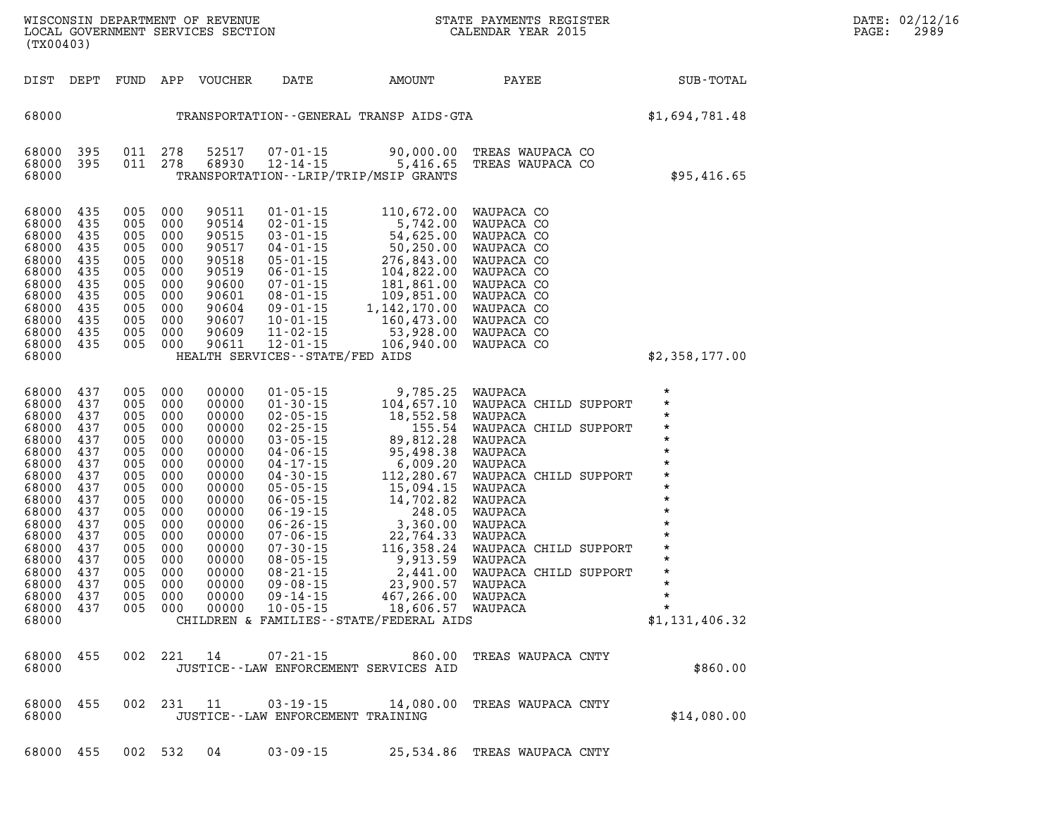| $\star$        | WAUPACA CHILD SUPPORT | 112,280.67 | $04 - 30 - 15$                             | 00000 | 000 | 005 | 437 | 68000 |
|----------------|-----------------------|------------|--------------------------------------------|-------|-----|-----|-----|-------|
| $\star$        | WAUPACA               | 15,094.15  | $05 - 05 - 15$                             | 00000 | 000 | 005 | 437 | 68000 |
| $\star$        | WAUPACA               | 14,702.82  | $06 - 05 - 15$                             | 00000 | 000 | 005 | 437 | 68000 |
| $\star$        | WAUPACA               | 248.05     | $06 - 19 - 15$                             | 00000 | 000 | 005 | 437 | 68000 |
| $\star$        | WAUPACA               | 3,360.00   | $06 - 26 - 15$                             | 00000 | 000 | 005 | 437 | 68000 |
| $\star$        | WAUPACA               | 22,764.33  | $07 - 06 - 15$                             | 00000 | 000 | 005 | 437 | 68000 |
| $\star$        | WAUPACA CHILD SUPPORT | 116,358.24 | $07 - 30 - 15$                             | 00000 | 000 | 005 | 437 | 68000 |
| $\star$        | WAUPACA               | 9,913.59   | $08 - 05 - 15$                             | 00000 | 000 | 005 | 437 | 68000 |
| $\star$        | WAUPACA CHILD SUPPORT | 2,441.00   | $08 - 21 - 15$                             | 00000 | 000 | 005 | 437 | 68000 |
| $\star$        | WAUPACA               | 23,900.57  | $09 - 08 - 15$                             | 00000 | 000 | 005 | 437 | 68000 |
| $\star$        | WAUPACA               | 467,266.00 | 09 - 14 - 15                               | 00000 | 000 | 005 | 437 | 68000 |
| $\star$        | WAUPACA               | 18,606.57  | $10 - 05 - 15$                             | 00000 | 000 | 005 | 437 | 68000 |
| \$1,131,406.32 |                       |            | CHILDREN & FAMILIES - - STATE/FEDERAL AIDS |       |     |     |     | 68000 |
|                |                       |            |                                            |       |     |     |     |       |
|                |                       |            |                                            |       |     |     |     |       |
|                | TREAS WAUPACA CNTY    | 860.00     | $07 - 21 - 15$                             | 14    | 221 | 002 | 455 | 68000 |
| \$860.00       |                       |            | JUSTICE -- LAW ENFORCEMENT SERVICES AID    |       |     |     |     | 68000 |
|                |                       |            |                                            |       |     |     |     |       |
|                |                       |            |                                            |       |     |     |     |       |
|                | TREAS WAUPACA CNTY    | 14,080.00  | $03 - 19 - 15$                             | 11    | 231 | 002 | 455 | 68000 |
| \$14,080.00    |                       |            | JUSTICE - - LAW ENFORCEMENT TRAINING       |       |     |     |     | 68000 |
|                |                       |            |                                            |       |     |     |     |       |
|                |                       | 25,534.86  | $03 - 09 - 15$                             | 04    | 532 | 002 | 455 | 68000 |
|                | TREAS WAUPACA CNTY    |            |                                            |       |     |     |     |       |

| 68000 |     |     |     |       |                | TRANSPORTATION--LRIP/TRIP/MSIP GRANTS |            |  |
|-------|-----|-----|-----|-------|----------------|---------------------------------------|------------|--|
| 68000 | 435 | 005 | 000 | 90511 | $01 - 01 - 15$ | 110,672.00                            | WAUPACA CO |  |
| 68000 | 435 | 005 | 000 | 90514 | $02 - 01 - 15$ | 5,742.00                              | WAUPACA CO |  |
| 68000 | 435 | 005 | 000 | 90515 | $03 - 01 - 15$ | 54,625.00                             | WAUPACA CO |  |
| 68000 | 435 | 005 | 000 | 90517 | $04 - 01 - 15$ | 50,250.00                             | WAUPACA CO |  |
| 68000 | 435 | 005 | 000 | 90518 | $05 - 01 - 15$ | 276,843.00                            | WAUPACA CO |  |
| 68000 | 435 | 005 | 000 | 90519 | $06 - 01 - 15$ | 104,822.00                            | WAUPACA CO |  |
| 68000 | 435 | 005 | 000 | 90600 | $07 - 01 - 15$ | 181,861.00                            | WAUPACA CO |  |
| 68000 | 435 | 005 | 000 | 90601 | $08 - 01 - 15$ | 109,851.00                            | WAUPACA CO |  |
| 68000 | 435 | 005 | 000 | 90604 | $09 - 01 - 15$ | 1,142,170.00                          | WAUPACA CO |  |
| 68000 | 435 | 005 | 000 | 90607 | $10 - 01 - 15$ | 160,473.00                            | WAUPACA CO |  |
| 68000 | 435 | 005 | 000 | 90609 | $11 - 02 - 15$ | 53,928.00                             | WAUPACA CO |  |
| 68000 | 435 | 005 | 000 | 90611 | $12 - 01 - 15$ | 106,940.00                            | WAUPACA CO |  |

**68000 437 005 000 00000 01-05-15 9,785.25 WAUPACA \* 68000 437 005 000 00000 01-30-15 104,657.10 WAUPACA CHILD SUPPORT \* 68000 437 005 000 00000 02-05-15 18,552.58 WAUPACA \* 68000 437 005 000 00000 02-25-15 155.54 WAUPACA CHILD SUPPORT \* 68000 437 005 000 00000 03-05-15 89,812.28 WAUPACA \* 68000 437 005 000 00000 04-06-15 95,498.38 WAUPACA \* 68000 437 005 000 00000 04-17-15 6,009.20 WAUPACA \*** 

LOCAL GOVERNMENT SERVICES SECTION

**(TX00403)** 

| 68000 395 011 278<br>68000  |               |                             | 68930                                            | 68000 395 011 278 52517 07-01-15<br>12-14-15 | TRANSPORTATION - - LRIP/TRIP/MSIP GRANTS                                                                                                                                                                                                                                                                                                                                             | 90,000.00 TREAS WAUPACA CO<br>5,416.65 TREAS WAUPACA CO | \$95,416.65 |
|-----------------------------|---------------|-----------------------------|--------------------------------------------------|----------------------------------------------|--------------------------------------------------------------------------------------------------------------------------------------------------------------------------------------------------------------------------------------------------------------------------------------------------------------------------------------------------------------------------------------|---------------------------------------------------------|-------------|
| $\sim$ $\sim$ $\sim$ $\sim$ | $\sim$ $\sim$ | $\sim$ $\sim$ $\sim$ $\sim$ | $\bigwedge_{\mathcal{A}}\mathcal{A}=\mathcal{A}$ | $\sim$ $\sim$ $\sim$ $\sim$                  | $\overline{a}$ $\overline{a}$ $\overline{b}$ $\overline{c}$ $\overline{c}$ $\overline{c}$ $\overline{c}$ $\overline{c}$ $\overline{c}$ $\overline{c}$ $\overline{c}$ $\overline{c}$ $\overline{c}$ $\overline{c}$ $\overline{c}$ $\overline{c}$ $\overline{c}$ $\overline{c}$ $\overline{c}$ $\overline{c}$ $\overline{c}$ $\overline{c}$ $\overline{c}$ $\overline{c}$ $\overline{$ |                                                         |             |

|       |  | DIST DEPT FUND APP VOUCHER | DATE. | AMOUNT                                  | PAYEE | SUB-TOTAL      |
|-------|--|----------------------------|-------|-----------------------------------------|-------|----------------|
| 68000 |  |                            |       | TRANSPORTATION--GENERAL TRANSP AIDS-GTA |       | \$1,694,781.48 |

**68000 HEALTH SERVICES--STATE/FED AIDS \$2,358,177.00**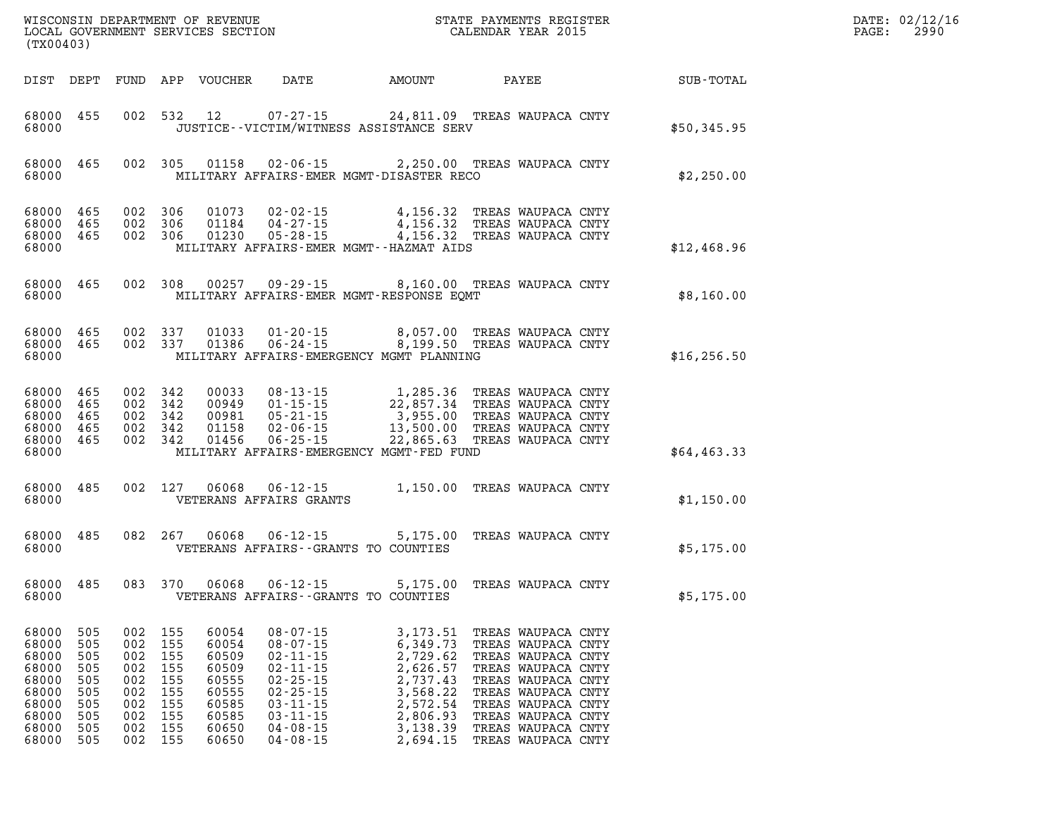| (TX00403)                                                                              |                                                                    |                                                                    |                                                                    |                                                                                        |                                                                                                                                                                                  |                                                                                                                                                                                                                                                                                   |                                                                                                                                                                                                                          |              | PAGE: | DATE: 02/12/16<br>2990 |
|----------------------------------------------------------------------------------------|--------------------------------------------------------------------|--------------------------------------------------------------------|--------------------------------------------------------------------|----------------------------------------------------------------------------------------|----------------------------------------------------------------------------------------------------------------------------------------------------------------------------------|-----------------------------------------------------------------------------------------------------------------------------------------------------------------------------------------------------------------------------------------------------------------------------------|--------------------------------------------------------------------------------------------------------------------------------------------------------------------------------------------------------------------------|--------------|-------|------------------------|
|                                                                                        |                                                                    |                                                                    |                                                                    | DIST DEPT FUND APP VOUCHER                                                             | DATE                                                                                                                                                                             | AMOUNT                                                                                                                                                                                                                                                                            | PAYEE                                                                                                                                                                                                                    | SUB-TOTAL    |       |                        |
| 68000 455<br>68000                                                                     |                                                                    |                                                                    |                                                                    | 002 532 12                                                                             |                                                                                                                                                                                  | 07-27-15 24,811.09 TREAS WAUPACA CNTY<br>JUSTICE -- VICTIM/WITNESS ASSISTANCE SERV                                                                                                                                                                                                |                                                                                                                                                                                                                          | \$50,345.95  |       |                        |
| 68000 465<br>68000                                                                     |                                                                    |                                                                    | 002 305                                                            |                                                                                        |                                                                                                                                                                                  | 01158  02-06-15  2,250.00  TREAS WAUPACA CNTY<br>MILITARY AFFAIRS-EMER MGMT-DISASTER RECO                                                                                                                                                                                         |                                                                                                                                                                                                                          | \$2,250.00   |       |                        |
| 68000<br>68000 465<br>68000                                                            | 68000 465<br>465                                                   | 002 306<br>002 306<br>002 306                                      |                                                                    | 01230                                                                                  | $05 - 28 - 15$                                                                                                                                                                   | 01073 02-02-15 4,156.32 TREAS WAUPACA CNTY<br>01184 04-27-15 4,156.32 TREAS WAUPACA CNTY<br>4,156.32 TREAS WAUPACA CNTY<br>MILITARY AFFAIRS-EMER MGMT--HAZMAT AIDS                                                                                                                |                                                                                                                                                                                                                          | \$12,468.96  |       |                        |
| 68000 465<br>68000                                                                     |                                                                    |                                                                    | 002 308                                                            | 00257                                                                                  |                                                                                                                                                                                  | 09-29-15 8,160.00 TREAS WAUPACA CNTY<br>MILITARY AFFAIRS-EMER MGMT-RESPONSE EQMT                                                                                                                                                                                                  |                                                                                                                                                                                                                          | \$8,160.00   |       |                        |
| 68000 465<br>68000                                                                     | 68000 465                                                          | 002 337<br>002 337                                                 |                                                                    | 01033<br>01386                                                                         | $01 - 20 - 15$<br>06-24-15                                                                                                                                                       | 8,057.00 TREAS WAUPACA CNTY<br>8,199.50 TREAS WAUPACA CNTY<br>MILITARY AFFAIRS-EMERGENCY MGMT PLANNING                                                                                                                                                                            |                                                                                                                                                                                                                          | \$16, 256.50 |       |                        |
| 68000 465<br>68000 465<br>68000<br>68000 465<br>68000 465<br>68000                     | 465                                                                | 002 342<br>002 342<br>002 342<br>002 342<br>002 342                |                                                                    |                                                                                        |                                                                                                                                                                                  | 00033 08-13-15 1,285.36 TREAS WAUPACA CNTY<br>00949 01-15-15 22,857.34 TREAS WAUPACA CNTY<br>00981 05-21-15 3,955.00 TREAS WAUPACA CNTY<br>01158 02-06-15 13,500.00 TREAS WAUPACA CNTY<br>01456 06-25-15 22,865.63 TREAS WAUPACA CNTY<br>MILITARY AFFAIRS-EMERGENCY MGMT-FED FUND |                                                                                                                                                                                                                          | \$64,463.33  |       |                        |
| 68000 485<br>68000                                                                     |                                                                    | 002 127                                                            |                                                                    | 06068                                                                                  | 06-12-15<br>VETERANS AFFAIRS GRANTS                                                                                                                                              | 1,150.00 TREAS WAUPACA CNTY                                                                                                                                                                                                                                                       |                                                                                                                                                                                                                          | \$1,150.00   |       |                        |
| 68000 485<br>68000                                                                     |                                                                    | 082 267                                                            |                                                                    | 06068                                                                                  | 06-12-15                                                                                                                                                                         | 5,175.00<br>VETERANS AFFAIRS -- GRANTS TO COUNTIES                                                                                                                                                                                                                                | TREAS WAUPACA CNTY                                                                                                                                                                                                       | \$5,175.00   |       |                        |
| 68000 485<br>68000                                                                     |                                                                    | 083 370                                                            |                                                                    | 06068                                                                                  | 06-12-15                                                                                                                                                                         | 5,175.00<br>VETERANS AFFAIRS - - GRANTS TO COUNTIES                                                                                                                                                                                                                               | TREAS WAUPACA CNTY                                                                                                                                                                                                       | \$5,175.00   |       |                        |
| 68000<br>68000<br>68000<br>68000<br>68000<br>68000<br>68000<br>68000<br>68000<br>68000 | 505<br>505<br>505<br>505<br>505<br>505<br>505<br>505<br>505<br>505 | 002<br>002<br>002<br>002<br>002<br>002<br>002<br>002<br>002<br>002 | 155<br>155<br>155<br>155<br>155<br>155<br>155<br>155<br>155<br>155 | 60054<br>60054<br>60509<br>60509<br>60555<br>60555<br>60585<br>60585<br>60650<br>60650 | $08 - 07 - 15$<br>$08 - 07 - 15$<br>$02 - 11 - 15$<br>$02 - 11 - 15$<br>$02 - 25 - 15$<br>$02 - 25 - 15$<br>$03 - 11 - 15$<br>$03 - 11 - 15$<br>$04 - 08 - 15$<br>$04 - 08 - 15$ | 3,173.51<br>6,349.73<br>2,729.62<br>2,626.57<br>2,737.43<br>3,568.22<br>2,572.54<br>2,806.93<br>3,138.39<br>2,694.15                                                                                                                                                              | TREAS WAUPACA CNTY<br>TREAS WAUPACA CNTY<br>TREAS WAUPACA CNTY<br>TREAS WAUPACA CNTY<br>TREAS WAUPACA CNTY<br>TREAS WAUPACA CNTY<br>TREAS WAUPACA CNTY<br>TREAS WAUPACA CNTY<br>TREAS WAUPACA CNTY<br>TREAS WAUPACA CNTY |              |       |                        |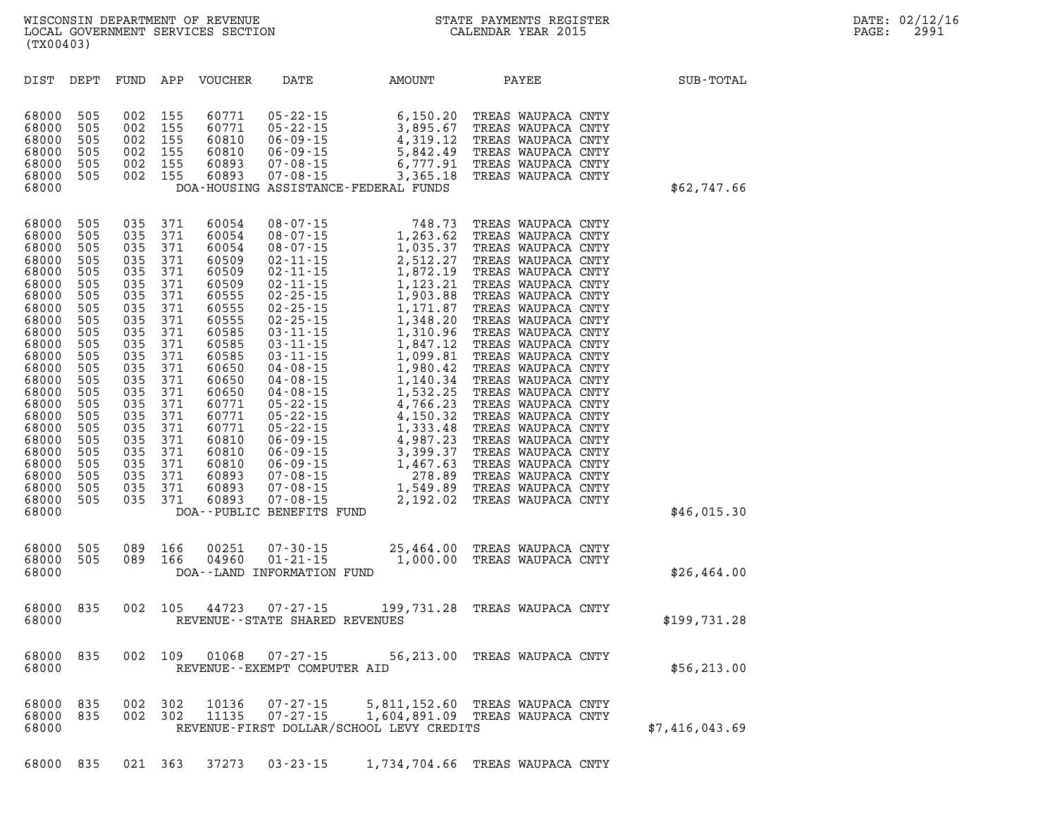| DIST                                                                                                                                                                                                                          | DEPT                                                                                                                                                                 | FUND                                                                                                                                                                 | APP                                                                                                                                                                  | VOUCHER                                                                                                                                                                                                              | DATE                                                                                                                                                                                                                                                                                                                                                                                                                                                                      | AMOUNT                                                                                                                                                                                                                                                                                                                       | PAYEE                                                                                                                                                                                                                                                                                                                                                                                                                                                                                                                                        | SUB-TOTAL      |
|-------------------------------------------------------------------------------------------------------------------------------------------------------------------------------------------------------------------------------|----------------------------------------------------------------------------------------------------------------------------------------------------------------------|----------------------------------------------------------------------------------------------------------------------------------------------------------------------|----------------------------------------------------------------------------------------------------------------------------------------------------------------------|----------------------------------------------------------------------------------------------------------------------------------------------------------------------------------------------------------------------|---------------------------------------------------------------------------------------------------------------------------------------------------------------------------------------------------------------------------------------------------------------------------------------------------------------------------------------------------------------------------------------------------------------------------------------------------------------------------|------------------------------------------------------------------------------------------------------------------------------------------------------------------------------------------------------------------------------------------------------------------------------------------------------------------------------|----------------------------------------------------------------------------------------------------------------------------------------------------------------------------------------------------------------------------------------------------------------------------------------------------------------------------------------------------------------------------------------------------------------------------------------------------------------------------------------------------------------------------------------------|----------------|
| 68000<br>68000<br>68000<br>68000<br>68000<br>68000<br>68000                                                                                                                                                                   | 505<br>505<br>505<br>505<br>505<br>505                                                                                                                               | 002<br>002<br>002<br>002<br>002<br>002                                                                                                                               | 155<br>155<br>155<br>155<br>155<br>155                                                                                                                               | 60771<br>60771<br>60810<br>60810<br>60893<br>60893                                                                                                                                                                   | 05 - 22 - 15<br>05 - 22 - 15<br>06 - 09 - 15<br>$06 - 09 - 15$<br>$07 - 08 - 15$<br>$07 - 08 - 15$                                                                                                                                                                                                                                                                                                                                                                        | 6,150.20 TREAS WAUPACA CNTY<br>3,895.67<br>4,319.12<br>5,842.49<br>6,777.91<br>3,365.18<br>DOA-HOUSING ASSISTANCE-FEDERAL FUNDS                                                                                                                                                                                              | TREAS WAUPACA CNTY<br>TREAS WAUPACA CNTY<br>TREAS WAUPACA CNTY<br>TREAS WAUPACA CNTY<br>TREAS WAUPACA CNTY                                                                                                                                                                                                                                                                                                                                                                                                                                   | \$62,747.66    |
| 68000<br>68000<br>68000<br>68000<br>68000<br>68000<br>68000<br>68000<br>68000<br>68000<br>68000<br>68000<br>68000<br>68000<br>68000<br>68000<br>68000<br>68000<br>68000<br>68000<br>68000<br>68000<br>68000<br>68000<br>68000 | 505<br>505<br>505<br>505<br>505<br>505<br>505<br>505<br>505<br>505<br>505<br>505<br>505<br>505<br>505<br>505<br>505<br>505<br>505<br>505<br>505<br>505<br>505<br>505 | 035<br>035<br>035<br>035<br>035<br>035<br>035<br>035<br>035<br>035<br>035<br>035<br>035<br>035<br>035<br>035<br>035<br>035<br>035<br>035<br>035<br>035<br>035<br>035 | 371<br>371<br>371<br>371<br>371<br>371<br>371<br>371<br>371<br>371<br>371<br>371<br>371<br>371<br>371<br>371<br>371<br>371<br>371<br>371<br>371<br>371<br>371<br>371 | 60054<br>60054<br>60054<br>60509<br>60509<br>60509<br>60555<br>60555<br>60555<br>60585<br>60585<br>60585<br>60650<br>60650<br>60650<br>60771<br>60771<br>60771<br>60810<br>60810<br>60810<br>60893<br>60893<br>60893 | $08 - 07 - 15$<br>$08 - 07 - 15$<br>$08 - 07 - 15$<br>$02 - 11 - 15$<br>$02 - 11 - 15$<br>$02 - 11 - 15$<br>$02 - 25 - 15$<br>$02 - 25 - 15$<br>$02 - 25 - 15$<br>$03 - 11 - 15$<br>$03 - 11 - 15$<br>$03 - 11 - 15$<br>$04 - 08 - 15$<br>$04 - 08 - 15$<br>$04 - 08 - 15$<br>$05 - 22 - 15$<br>$05 - 22 - 15$<br>$05 - 22 - 15$<br>$06 - 09 - 15$<br>$06 - 09 - 15$<br>$06 - 09 - 15$<br>$07 - 08 - 15$<br>$07 - 08 - 15$<br>$07 - 08 - 15$<br>DOA--PUBLIC BENEFITS FUND | 748.73<br>1,263.62<br>1,035.37<br>2,512.27<br>1,872.19<br>1,123.21<br>1,903.88<br>1,171.87<br>1,348.20<br>1,310.96<br>1,847.12<br>1,099.81<br>1,980.42<br>1,140.34<br>1,532.25<br>4,766.23<br>4,150.32<br>4,150.32<br>1,333.48<br>4,987.23<br>3,399.37<br>3,399.37<br>1,467.63<br>278.89<br>1,549.89<br>2,192.02<br>2,192.02 | TREAS WAUPACA CNTY<br>TREAS WAUPACA CNTY<br>TREAS WAUPACA CNTY<br>TREAS WAUPACA CNTY<br>TREAS WAUPACA CNTY<br>TREAS WAUPACA CNTY<br>TREAS WAUPACA CNTY<br>TREAS WAUPACA CNTY<br>TREAS WAUPACA CNTY<br>TREAS WAUPACA CNTY<br>TREAS WAUPACA CNTY<br>TREAS WAUPACA CNTY<br>TREAS WAUPACA CNTY<br>TREAS WAUPACA CNTY<br>TREAS WAUPACA CNTY<br>TREAS WAUPACA CNTY<br>TREAS WAUPACA CNTY<br>TREAS WAUPACA CNTY<br>TREAS WAUPACA CNTY<br>TREAS WAUPACA CNTY<br>TREAS WAUPACA CNTY<br>TREAS WAUPACA CNTY<br>TREAS WAUPACA CNTY<br>TREAS WAUPACA CNTY | \$46,015.30    |
| 68000<br>68000<br>68000                                                                                                                                                                                                       | 505<br>505                                                                                                                                                           | 089<br>089                                                                                                                                                           | 166<br>166                                                                                                                                                           | 00251<br>04960                                                                                                                                                                                                       | $07 - 30 - 15$<br>$01 - 21 - 15$<br>DOA--LAND INFORMATION FUND                                                                                                                                                                                                                                                                                                                                                                                                            | 25,464.00 TREAS WAUPACA CNTY<br>1,000.00 TREAS WAUPACA CNTY                                                                                                                                                                                                                                                                  |                                                                                                                                                                                                                                                                                                                                                                                                                                                                                                                                              | \$26,464.00    |
| 68000<br>68000                                                                                                                                                                                                                | 835                                                                                                                                                                  | 002                                                                                                                                                                  | 105                                                                                                                                                                  | 44723                                                                                                                                                                                                                | $07 - 27 - 15$<br>REVENUE - - STATE SHARED REVENUES                                                                                                                                                                                                                                                                                                                                                                                                                       | 199,731.28 TREAS WAUPACA CNTY                                                                                                                                                                                                                                                                                                |                                                                                                                                                                                                                                                                                                                                                                                                                                                                                                                                              | \$199,731.28   |
| 68000<br>68000                                                                                                                                                                                                                | 835                                                                                                                                                                  | 002                                                                                                                                                                  | 109                                                                                                                                                                  | 01068                                                                                                                                                                                                                | $07 - 27 - 15$<br>REVENUE - - EXEMPT COMPUTER AID                                                                                                                                                                                                                                                                                                                                                                                                                         | 56,213.00 TREAS WAUPACA CNTY                                                                                                                                                                                                                                                                                                 |                                                                                                                                                                                                                                                                                                                                                                                                                                                                                                                                              | \$56, 213.00   |
| 68000<br>68000<br>68000                                                                                                                                                                                                       | 835<br>835                                                                                                                                                           | 002<br>002                                                                                                                                                           | 302<br>302                                                                                                                                                           | 10136<br>11135                                                                                                                                                                                                       | $07 - 27 - 15$<br>$07 - 27 - 15$                                                                                                                                                                                                                                                                                                                                                                                                                                          | 5,811,152.60 TREAS WAUPACA CNTY<br>1,604,891.09 TREAS WAUPACA CNTY<br>REVENUE-FIRST DOLLAR/SCHOOL LEVY CREDITS                                                                                                                                                                                                               |                                                                                                                                                                                                                                                                                                                                                                                                                                                                                                                                              | \$7,416,043.69 |

**68000 835 021 363 37273 03-23-15 1,734,704.66 TREAS WAUPACA CNTY**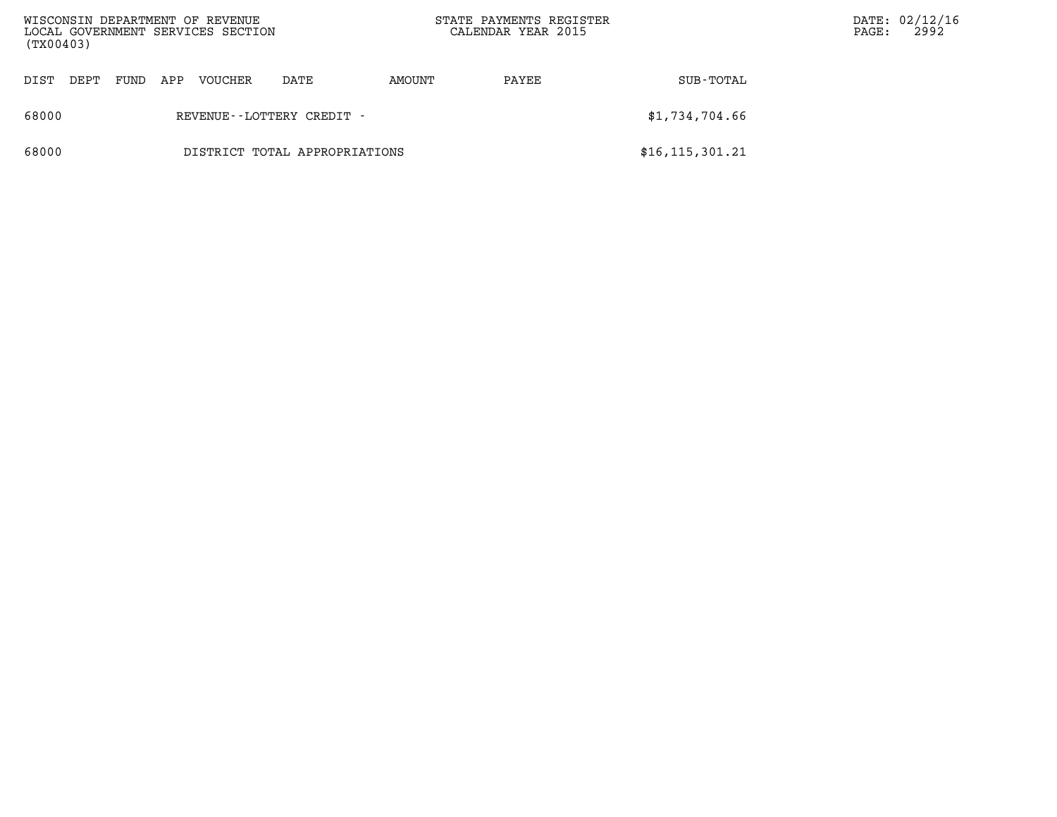| WISCONSIN DEPARTMENT OF REVENUE<br>LOCAL GOVERNMENT SERVICES SECTION<br>(TX00403) |                               |      |     |         |      |        | STATE PAYMENTS REGISTER<br>CALENDAR YEAR 2015 | DATE: 02/12/16<br>PAGE: | 2992 |  |
|-----------------------------------------------------------------------------------|-------------------------------|------|-----|---------|------|--------|-----------------------------------------------|-------------------------|------|--|
| DIST                                                                              | DEPT                          | FUND | APP | VOUCHER | DATE | AMOUNT | PAYEE                                         | SUB-TOTAL               |      |  |
| 68000                                                                             | REVENUE - - LOTTERY CREDIT -  |      |     |         |      |        |                                               | \$1,734,704.66          |      |  |
| 68000                                                                             | DISTRICT TOTAL APPROPRIATIONS |      |     |         |      |        |                                               | \$16, 115, 301.21       |      |  |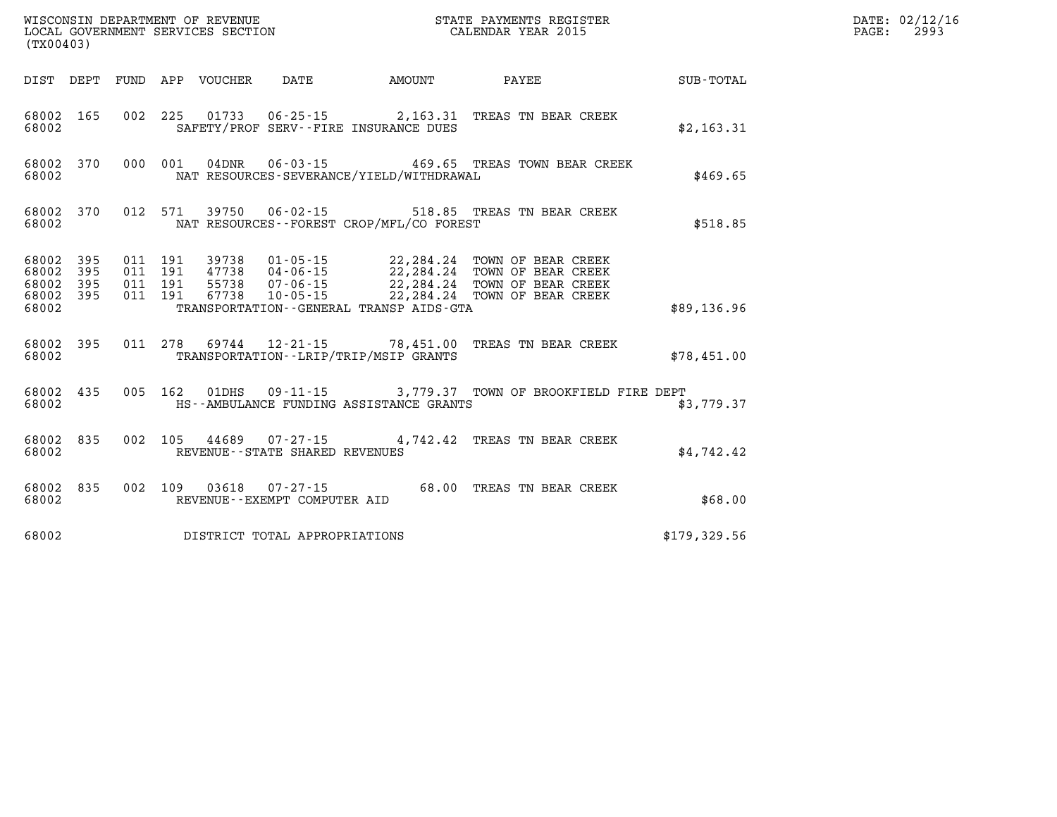|       | WISCONSIN DEPARTMENT OF REVENUE<br>LOCAL GOVERNMENT SERVICES SECTION<br>CALENDAR YEAR 2015<br>(TX00403) |            |  |  |                                      |                                                  |                                                                                                                                                                                                                                                                                                                                            | DATE: 02/12/16<br>PAGE: 2993 |  |
|-------|---------------------------------------------------------------------------------------------------------|------------|--|--|--------------------------------------|--------------------------------------------------|--------------------------------------------------------------------------------------------------------------------------------------------------------------------------------------------------------------------------------------------------------------------------------------------------------------------------------------------|------------------------------|--|
|       |                                                                                                         |            |  |  |                                      |                                                  | DIST DEPT FUND APP VOUCHER DATE AMOUNT PAYEE                                                                                                                                                                                                                                                                                               | SUB-TOTAL                    |  |
|       |                                                                                                         | 68002 2003 |  |  |                                      | SAFETY/PROF SERV--FIRE INSURANCE DUES            | 68002 165 002 225 01733 06-25-15 2,163.31 TREAS TN BEAR CREEK                                                                                                                                                                                                                                                                              | \$2,163.31                   |  |
| 68002 |                                                                                                         |            |  |  |                                      | NAT RESOURCES-SEVERANCE/YIELD/WITHDRAWAL         | 68002 370 000 001 04DNR 06-03-15 469.65 TREAS TOWN BEAR CREEK                                                                                                                                                                                                                                                                              | \$469.65                     |  |
|       |                                                                                                         |            |  |  |                                      | 68002 NAT RESOURCES--FOREST CROP/MFL/CO FOREST   | 68002 370 012 571 39750 06-02-15 518.85 TREAS TN BEAR CREEK                                                                                                                                                                                                                                                                                | \$518.85                     |  |
|       |                                                                                                         |            |  |  |                                      |                                                  | $\begin{array}{cccccccc} 68002 & 395 & 011 & 191 & 39738 & 01\cdot 05\cdot 15 & 22\, , 284\, .24 & \text{TOWN OF BEAR CREEK} \\ 68002 & 395 & 011 & 191 & 47738 & 04\cdot 06\cdot 15 & 22\, , 284\, .24 & \text{TOWN OF BEAR CREEK} \\ 68002 & 395 & 011 & 191 & 55738 & 07\cdot 06\cdot 15 & 22\, , 284\, .24 & \text{TOWN OF BEAR CREEK$ |                              |  |
|       |                                                                                                         |            |  |  |                                      | 68002 TRANSPORTATION - GENERAL TRANSP AIDS - GTA |                                                                                                                                                                                                                                                                                                                                            | \$89,136.96                  |  |
|       |                                                                                                         |            |  |  |                                      |                                                  | 68002 395 011 278 69744 12-21-15 78,451.00 TREAS TN BEAR CREEK<br>68002 TRANSPORTATION - LRIP/TRIP/MSIP GRANTS                                                                                                                                                                                                                             | \$78,451.00                  |  |
| 68002 |                                                                                                         |            |  |  |                                      | HS--AMBULANCE FUNDING ASSISTANCE GRANTS          | 68002 435 005 162 01DHS 09-11-15 3,779.37 TOWN OF BROOKFIELD FIRE DEPT                                                                                                                                                                                                                                                                     | \$3,779.37                   |  |
|       |                                                                                                         |            |  |  | 68002 REVENUE--STATE SHARED REVENUES |                                                  | 68002 835 002 105 44689 07-27-15 4,742.42 TREAS TN BEAR CREEK                                                                                                                                                                                                                                                                              | \$4,742.42                   |  |
| 68002 |                                                                                                         |            |  |  | REVENUE--EXEMPT COMPUTER AID         |                                                  | 68002 835 002 109 03618 07-27-15 68.00 TREAS TN BEAR CREEK                                                                                                                                                                                                                                                                                 | \$68.00                      |  |
| 68002 |                                                                                                         |            |  |  | DISTRICT TOTAL APPROPRIATIONS        |                                                  |                                                                                                                                                                                                                                                                                                                                            | \$179,329.56                 |  |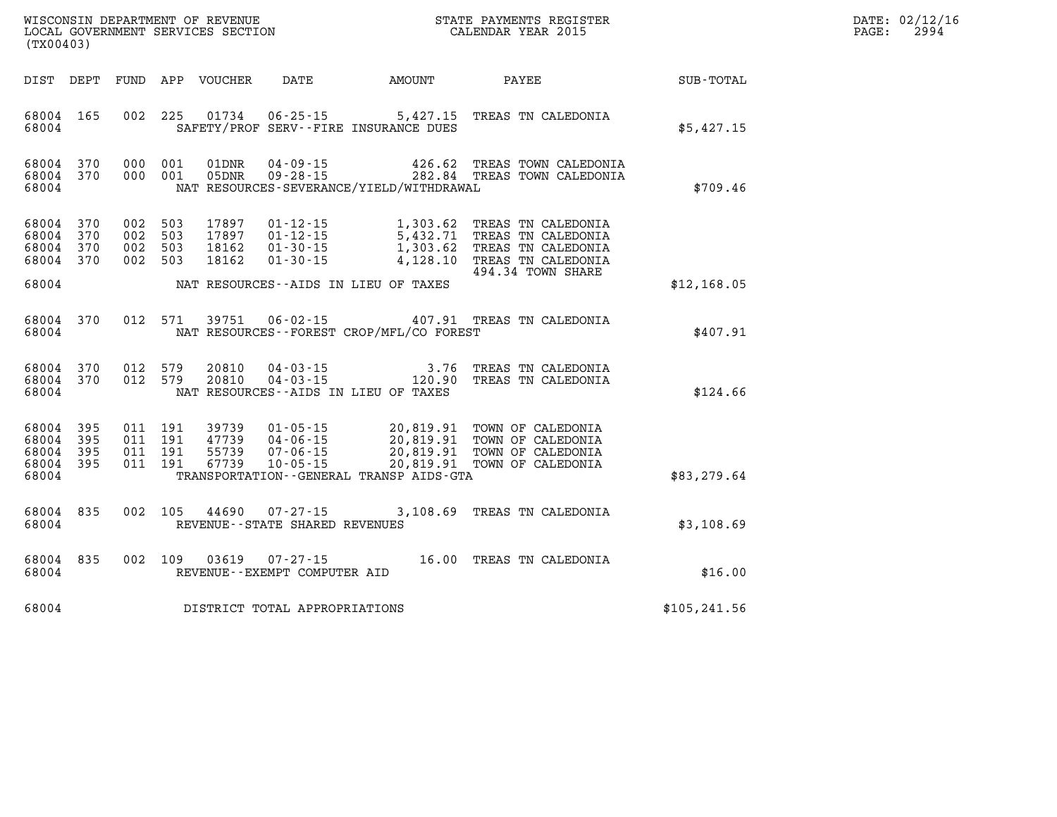| WISCONSIN DEPARTMENT OF REVENUE      | PAYMENTS REGISTER<br>3TATE | DATE: | 02/12/16 |
|--------------------------------------|----------------------------|-------|----------|
| GOVERNMENT SERVICES SECTION<br>LOCAL | CALENDAR YEAR 2015         | PAGE  | 2994     |

| (TX00403)                                         |                   |                                          | LOCAL GOVERNMENT SERVICES SECTION |                                                     |                                                                                                                                                                      | CALENDAR YEAR 2015                               |               | PAGE: | 2994 |
|---------------------------------------------------|-------------------|------------------------------------------|-----------------------------------|-----------------------------------------------------|----------------------------------------------------------------------------------------------------------------------------------------------------------------------|--------------------------------------------------|---------------|-------|------|
| DIST DEPT                                         |                   |                                          | FUND APP VOUCHER                  |                                                     | DATE AMOUNT PAYEE                                                                                                                                                    |                                                  | SUB-TOTAL     |       |      |
| 68004 165<br>68004                                |                   | 002 225                                  |                                   |                                                     | 01734  06-25-15  5,427.15  TREAS TN CALEDONIA<br>SAFETY/PROF SERV--FIRE INSURANCE DUES                                                                               |                                                  | \$5,427.15    |       |      |
| 68004 370<br>68004 370<br>68004                   |                   | 000 001<br>000 001                       |                                   |                                                     | 01DNR  04-09-15  426.62 TREAS TOWN CALEDONIA<br>05DNR  09-28-15  282.84 TREAS TOWN CALEDONIA<br>NAT RESOURCES-SEVERANCE/YIELD/WITHDRAWAL                             |                                                  | \$709.46      |       |      |
| 68004<br>68004<br>68004<br>68004 370<br>68004     | 370<br>370<br>370 | 002 503<br>002 503<br>002 503<br>002 503 | 17897<br>17897<br>18162<br>18162  | $01 - 30 - 15$                                      | 01-12-15 1,303.62 TREAS TN CALEDONIA<br>01-12-15 5,432.71 TREAS TN CALEDONIA<br>01-30-15 1,303.62 TREAS TN CALEDONIA<br>NAT RESOURCES--AIDS IN LIEU OF TAXES         | 4,128.10 TREAS TN CALEDONIA<br>494.34 TOWN SHARE | \$12,168.05   |       |      |
|                                                   | 68004 370         | 012 571                                  |                                   |                                                     | 39751  06-02-15  407.91 TREAS TN CALEDONIA                                                                                                                           |                                                  |               |       |      |
| 68004                                             |                   |                                          |                                   |                                                     | NAT RESOURCES - - FOREST CROP/MFL/CO FOREST                                                                                                                          |                                                  | \$407.91      |       |      |
| 68004 370<br>68004                                | 68004 370         | 012 579<br>012 579                       | 20810<br>20810                    |                                                     | NAT RESOURCES--AIDS IN LIEU OF TAXES                                                                                                                                 |                                                  | \$124.66      |       |      |
| 68004<br>68004<br>68004 395<br>68004 395<br>68004 | 395<br>395        | 011 191<br>011 191<br>011 191<br>011 191 | 39739<br>47739<br>55739<br>67739  | $10 - 05 - 15$                                      | 01-05-15 20,819.91 TOWN OF CALEDONIA<br>04-06-15 20,819.91 TOWN OF CALEDONIA<br>07-06-15 20,819.91 TOWN OF CALEDONIA<br>TRANSPORTATION - - GENERAL TRANSP AIDS - GTA | 20,819.91 TOWN OF CALEDONIA                      | \$83, 279.64  |       |      |
| 68004 835<br>68004                                |                   | 002 105                                  |                                   | 44690 07-27-15<br>REVENUE - - STATE SHARED REVENUES | 3,108.69 TREAS TN CALEDONIA                                                                                                                                          |                                                  | \$3,108.69    |       |      |
| 68004 835<br>68004                                |                   | 002 109                                  | 03619                             | 07-27-15<br>REVENUE--EXEMPT COMPUTER AID            | 16.00 TREAS TN CALEDONIA                                                                                                                                             |                                                  | \$16.00       |       |      |
| 68004                                             |                   |                                          |                                   | DISTRICT TOTAL APPROPRIATIONS                       |                                                                                                                                                                      |                                                  | \$105, 241.56 |       |      |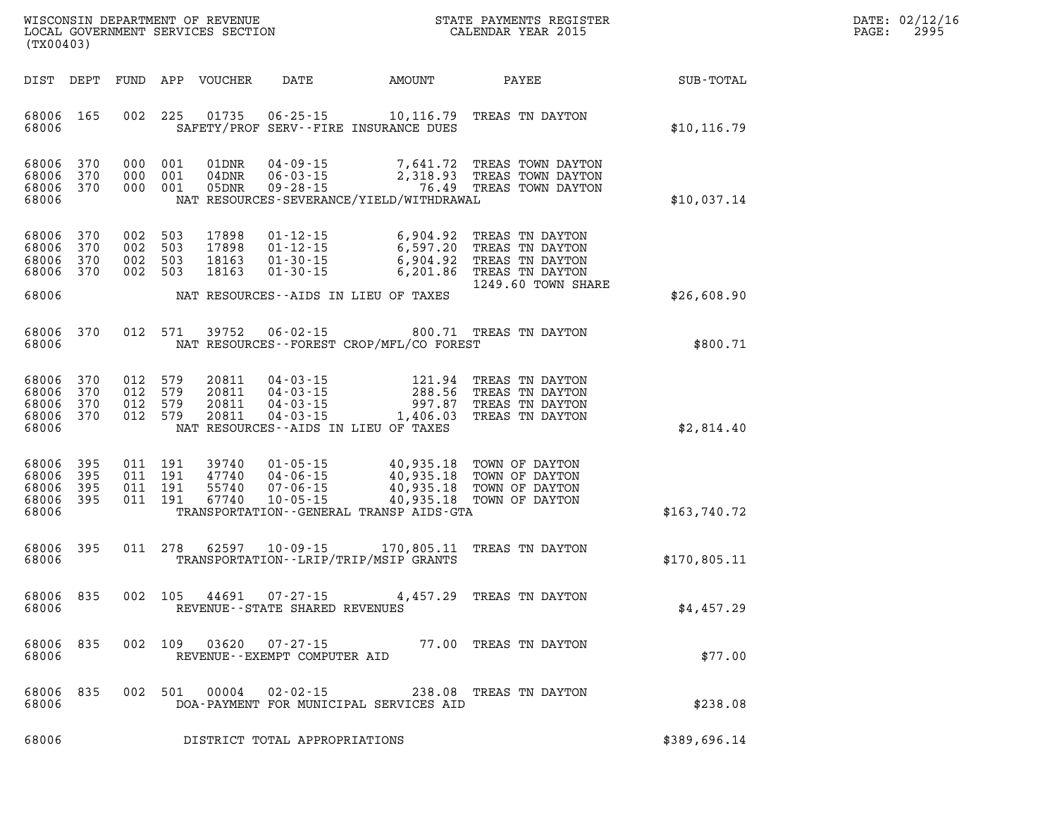| (TX00403)                                 |                          |                          |                          | LOCAL GOVERNMENT SERVICES SECTION |                                                                      |                                                                                                  | CALENDAR YEAR 2015                                                                             |              |
|-------------------------------------------|--------------------------|--------------------------|--------------------------|-----------------------------------|----------------------------------------------------------------------|--------------------------------------------------------------------------------------------------|------------------------------------------------------------------------------------------------|--------------|
| DIST                                      | DEPT                     | FUND                     | APP                      | <b>VOUCHER</b>                    | DATE                                                                 | AMOUNT                                                                                           | PAYEE                                                                                          | SUB-TOTAL    |
| 68006<br>68006                            | 165                      | 002                      | 225                      | 01735                             | $06 - 25 - 15$                                                       | 10,116.79<br>SAFETY/PROF SERV--FIRE INSURANCE DUES                                               | TREAS TN DAYTON                                                                                | \$10, 116.79 |
| 68006<br>68006<br>68006<br>68006          | 370<br>370<br>370        | 000<br>000<br>000        | 001<br>001<br>001        | 01DNR<br>04DNR<br>05DNR           | $04 - 09 - 15$<br>$06 - 03 - 15$<br>$09 - 28 - 15$                   | 7,641.72<br>2,318.93<br>76.49<br>NAT RESOURCES-SEVERANCE/YIELD/WITHDRAWAL                        | TREAS TOWN DAYTON<br>TREAS TOWN DAYTON<br>TREAS TOWN DAYTON                                    | \$10,037.14  |
| 68006<br>68006<br>68006<br>68006<br>68006 | 370<br>370<br>370<br>370 | 002<br>002<br>002<br>002 | 503<br>503<br>503<br>503 | 17898<br>17898<br>18163<br>18163  | $01 - 12 - 15$<br>$01 - 12 - 15$<br>$01 - 30 - 15$<br>$01 - 30 - 15$ | 6,904.92<br>6,597.20<br>6,904.92<br>6,201.86<br>NAT RESOURCES -- AIDS IN LIEU OF TAXES           | TREAS TN DAYTON<br>TREAS TN DAYTON<br>TREAS TN DAYTON<br>TREAS TN DAYTON<br>1249.60 TOWN SHARE | \$26,608.90  |
| 68006<br>68006                            | 370                      | 012                      | 571                      | 39752                             | $06 - 02 - 15$                                                       | 800.71<br>NAT RESOURCES - - FOREST CROP/MFL/CO FOREST                                            | TREAS TN DAYTON                                                                                | \$800.71     |
| 68006<br>68006<br>68006<br>68006<br>68006 | 370<br>370<br>370<br>370 | 012<br>012<br>012<br>012 | 579<br>579<br>579<br>579 | 20811<br>20811<br>20811<br>20811  | $04 - 03 - 15$<br>$04 - 03 - 15$<br>$04 - 03 - 15$<br>$04 - 03 - 15$ | 121.94<br>288.56<br>997.87<br>1,406.03<br>NAT RESOURCES -- AIDS IN LIEU OF TAXES                 | TREAS TN DAYTON<br>TREAS TN DAYTON<br>TREAS TN DAYTON<br>TREAS TN DAYTON                       | \$2,814.40   |
| 68006<br>68006<br>68006<br>68006<br>68006 | 395<br>395<br>395<br>395 | 011<br>011<br>011<br>011 | 191<br>191<br>191<br>191 | 39740<br>47740<br>55740<br>67740  | $01 - 05 - 15$<br>$04 - 06 - 15$<br>$07 - 06 - 15$<br>$10 - 05 - 15$ | 40,935.18<br>40,935.18<br>40,935.18<br>40,935.18<br>TRANSPORTATION - - GENERAL TRANSP AIDS - GTA | TOWN OF DAYTON<br>TOWN OF DAYTON<br>TOWN OF DAYTON<br>TOWN OF DAYTON                           | \$163,740.72 |
| 68006<br>68006                            | 395                      | 011                      | 278                      | 62597                             | $10 - 09 - 15$                                                       | 170,805.11<br>TRANSPORTATION - - LRIP/TRIP/MSIP GRANTS                                           | TREAS TN DAYTON                                                                                | \$170,805.11 |
| 68006<br>68006                            | 835                      | 002                      | 105                      | 44691                             | $07 - 27 - 15$<br>REVENUE - - STATE SHARED REVENUES                  | 4,457.29                                                                                         | TREAS TN DAYTON                                                                                | \$4,457.29   |
| 68006<br>68006                            | 835                      | 002                      | 109                      | 03620                             | $07 - 27 - 15$<br>REVENUE - - EXEMPT COMPUTER AID                    |                                                                                                  | 77.00 TREAS TN DAYTON                                                                          | \$77.00      |
| 68006<br>68006                            | 835                      | 002                      | 501                      | 00004                             | $02 - 02 - 15$                                                       | DOA-PAYMENT FOR MUNICIPAL SERVICES AID                                                           | 238.08 TREAS TN DAYTON                                                                         | \$238.08     |
| 68006                                     |                          |                          |                          |                                   | DISTRICT TOTAL APPROPRIATIONS                                        |                                                                                                  |                                                                                                | \$389,696.14 |

WISCONSIN DEPARTMENT OF REVENUE **STATE PAYMENTS REGISTER**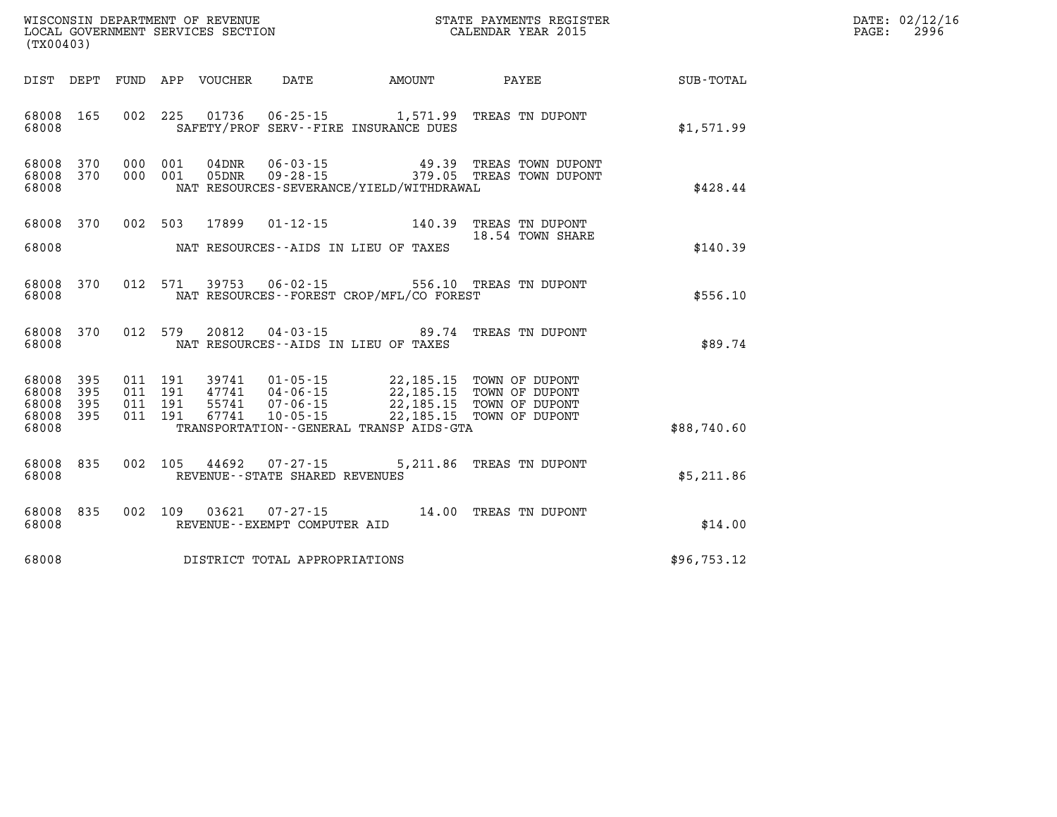| (TX00403)                                     |                   |                                          |            |                                  |                                                     |                                                                                                                                                                                                |                                                        |             | DATE: 02/12/16<br>2996<br>$\mathtt{PAGE:}$ |
|-----------------------------------------------|-------------------|------------------------------------------|------------|----------------------------------|-----------------------------------------------------|------------------------------------------------------------------------------------------------------------------------------------------------------------------------------------------------|--------------------------------------------------------|-------------|--------------------------------------------|
|                                               |                   |                                          |            | DIST DEPT FUND APP VOUCHER       | DATE                                                | AMOUNT                                                                                                                                                                                         | PAYEE                                                  | SUB-TOTAL   |                                            |
| 68008 165<br>68008                            |                   |                                          |            |                                  |                                                     | SAFETY/PROF SERV--FIRE INSURANCE DUES                                                                                                                                                          | 002 225 01736 06-25-15 1,571.99 TREAS TN DUPONT        | \$1,571.99  |                                            |
| 68008 370<br>68008 370<br>68008               |                   | 000<br>000                               | 001<br>001 | 04DNR<br>05DNR                   |                                                     | $06 - 03 - 15$ 49.39<br>NAT RESOURCES-SEVERANCE/YIELD/WITHDRAWAL                                                                                                                               | TREAS TOWN DUPONT<br>09-28-15 379.05 TREAS TOWN DUPONT | \$428.44    |                                            |
| 68008 370<br>68008                            |                   | 002 503                                  |            | 17899                            |                                                     | $01 - 12 - 15$ 140.39<br>NAT RESOURCES--AIDS IN LIEU OF TAXES                                                                                                                                  | TREAS TN DUPONT<br>18.54 TOWN SHARE                    | \$140.39    |                                            |
| 68008 370<br>68008                            |                   | 012 571                                  |            |                                  |                                                     | NAT RESOURCES--FOREST CROP/MFL/CO FOREST                                                                                                                                                       | 39753  06-02-15  556.10  TREAS TN DUPONT               | \$556.10    |                                            |
| 68008 370<br>68008                            |                   |                                          | 012 579    | 20812                            |                                                     | NAT RESOURCES -- AIDS IN LIEU OF TAXES                                                                                                                                                         | 04-03-15 89.74 TREAS TN DUPONT                         | \$89.74     |                                            |
| 68008 395<br>68008<br>68008<br>68008<br>68008 | 395<br>395<br>395 | 011 191<br>011 191<br>011 191<br>011 191 |            | 39741<br>47741<br>55741<br>67741 |                                                     | 01-05-15 22,185.15 TOWN OF DUPONT<br>04-06-15 22,185.15 TOWN OF DUPONT<br>07-06-15 22,185.15 TOWN OF DUPONT<br>10-05-15 22,185.15 TOWN OF DUPONT<br>TRANSPORTATION - - GENERAL TRANSP AIDS-GTA |                                                        | \$88,740.60 |                                            |
| 68008<br>68008                                | 835               | 002 105                                  |            | 44692                            | $07 - 27 - 15$<br>REVENUE - - STATE SHARED REVENUES |                                                                                                                                                                                                | 5,211.86 TREAS TN DUPONT                               | \$5,211.86  |                                            |
| 68008 835<br>68008                            |                   |                                          |            | 002 109 03621                    | REVENUE - - EXEMPT COMPUTER AID                     |                                                                                                                                                                                                | 07-27-15 14.00 TREAS TN DUPONT                         | \$14.00     |                                            |
| 68008                                         |                   |                                          |            |                                  | DISTRICT TOTAL APPROPRIATIONS                       |                                                                                                                                                                                                |                                                        | \$96,753.12 |                                            |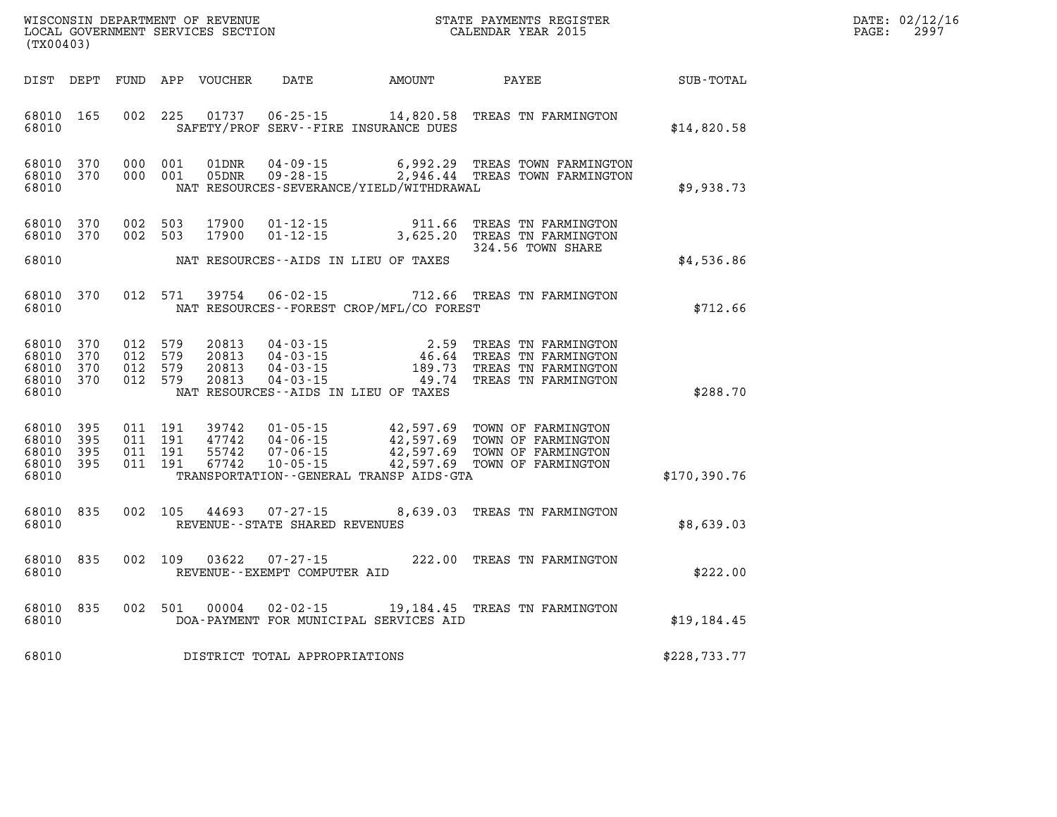| WISCONSIN DEPARTMENT OF REVENUE      | PAYMENTS REGISTER<br>3TATE | DATE: | 02/12/16 |
|--------------------------------------|----------------------------|-------|----------|
| GOVERNMENT SERVICES SECTION<br>LOCAL | CALENDAR YEAR 2015         | PAGE  | 2997     |

|                                                   | LOCAL GOVERNMENT SERVICES SECTION<br>(TX00403) |  |                                          |                                  |                                                |                                              | CALENDAR YEAR 2015                                                                                                                                                                                       |              | PAGE: | 2997 |
|---------------------------------------------------|------------------------------------------------|--|------------------------------------------|----------------------------------|------------------------------------------------|----------------------------------------------|----------------------------------------------------------------------------------------------------------------------------------------------------------------------------------------------------------|--------------|-------|------|
|                                                   |                                                |  |                                          |                                  |                                                | DIST DEPT FUND APP VOUCHER DATE AMOUNT PAYEE |                                                                                                                                                                                                          | SUB-TOTAL    |       |      |
| 68010                                             | 68010 165                                      |  |                                          |                                  |                                                | SAFETY/PROF SERV--FIRE INSURANCE DUES        | 002 225 01737 06-25-15 14,820.58 TREAS TN FARMINGTON                                                                                                                                                     | \$14,820.58  |       |      |
| 68010 370<br>68010                                | 68010 370 000 001                              |  | 000 001                                  | 01DNR<br>05DNR                   |                                                | NAT RESOURCES-SEVERANCE/YIELD/WITHDRAWAL     | 04-09-15 6,992.29 TREAS TOWN FARMINGTON<br>09-28-15 2,946.44 TREAS TOWN FARMINGTON                                                                                                                       | \$9,938.73   |       |      |
| 68010 370                                         | 68010 370 002 503                              |  | 002 503                                  | 17900<br>17900                   |                                                |                                              | 01-12-15 911.66 TREAS TN FARMINGTON<br>01-12-15 3,625.20 TREAS TN FARMINGTON                                                                                                                             |              |       |      |
| 68010                                             |                                                |  |                                          |                                  |                                                | NAT RESOURCES--AIDS IN LIEU OF TAXES         | 324.56 TOWN SHARE                                                                                                                                                                                        | \$4,536.86   |       |      |
| 68010                                             | 68010 370                                      |  | 012 571                                  | 39754                            |                                                | NAT RESOURCES--FOREST CROP/MFL/CO FOREST     | 06-02-15 712.66 TREAS TN FARMINGTON                                                                                                                                                                      | \$712.66     |       |      |
| 68010<br>68010<br>68010 370<br>68010              | 68010 370<br>370<br>370                        |  | 012 579<br>012 579<br>012 579<br>012 579 | 20813<br>20813<br>20813<br>20813 |                                                | NAT RESOURCES -- AIDS IN LIEU OF TAXES       | 04-03-15<br>04-03-15<br>04-03-15<br>04-03-15<br>04-03-15<br>04-03-15<br>04-03-15<br>04-03-15<br>04-03-15<br>04-03-15<br>04-03-15<br>04-03-15<br>04-03-15<br>04-03-15<br>04-03-15<br>04-03-15<br>04-03-15 | \$288.70     |       |      |
| 68010 395<br>68010<br>68010<br>68010 395<br>68010 | 395<br>395                                     |  | 011 191<br>011 191<br>011 191<br>011 191 | 55742                            |                                                | TRANSPORTATION--GENERAL TRANSP AIDS-GTA      | 39742  01-05-15  42,597.69  TOWN OF FARMINGTON<br>47742  04-06-15  42,597.69  TOWN OF FARMINGTON<br>55742  07-06-15  42,597.69  TOWN OF FARMINGTON<br>67742  10-05-15  42,597.69  TOWN OF FARMINGTON     | \$170,390.76 |       |      |
| 68010                                             | 68010 835                                      |  |                                          | 002 105 44693                    | REVENUE--STATE SHARED REVENUES                 |                                              | 07-27-15 8,639.03 TREAS TN FARMINGTON                                                                                                                                                                    | \$8,639.03   |       |      |
| 68010                                             | 68010 835                                      |  |                                          | 002 109 03622                    | $07 - 27 - 15$<br>REVENUE--EXEMPT COMPUTER AID |                                              | 222.00 TREAS TN FARMINGTON                                                                                                                                                                               | \$222.00     |       |      |
| 68010                                             | 68010 835                                      |  |                                          | 002 501 00004                    |                                                | DOA-PAYMENT FOR MUNICIPAL SERVICES AID       | 02-02-15 19,184.45 TREAS TN FARMINGTON                                                                                                                                                                   | \$19,184.45  |       |      |
| 68010                                             |                                                |  |                                          |                                  | DISTRICT TOTAL APPROPRIATIONS                  |                                              |                                                                                                                                                                                                          | \$228,733.77 |       |      |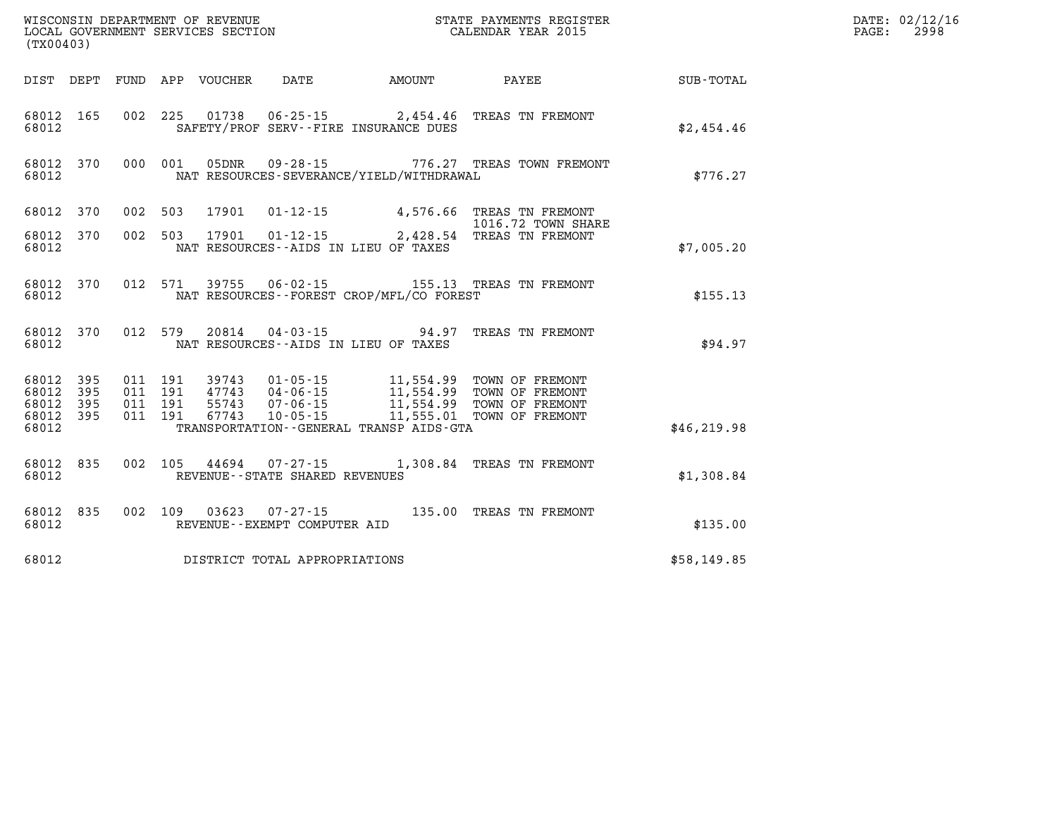| (TX00403)                                |            |                                          |         | WISCONSIN DEPARTMENT OF REVENUE<br>LOCAL GOVERNMENT SERVICES SECTION |                                                        |                                             | STATE PAYMENTS REGISTER<br>CALENDAR YEAR 2015                                                                                                                                         |              | DATE: 02/12/16<br>PAGE:<br>2998 |
|------------------------------------------|------------|------------------------------------------|---------|----------------------------------------------------------------------|--------------------------------------------------------|---------------------------------------------|---------------------------------------------------------------------------------------------------------------------------------------------------------------------------------------|--------------|---------------------------------|
|                                          |            |                                          |         | DIST DEPT FUND APP VOUCHER DATE                                      |                                                        | <b>AMOUNT</b>                               | <b>PAYEE</b> FOUND THE PAYEE                                                                                                                                                          | SUB-TOTAL    |                                 |
| 68012 165<br>68012                       |            |                                          |         | 002 225 01738                                                        |                                                        | SAFETY/PROF SERV--FIRE INSURANCE DUES       | 06-25-15 2,454.46 TREAS TN FREMONT                                                                                                                                                    | \$2,454.46   |                                 |
| 68012                                    | 68012 370  |                                          |         |                                                                      |                                                        | NAT RESOURCES-SEVERANCE/YIELD/WITHDRAWAL    | 000 001 05DNR 09-28-15 776.27 TREAS TOWN FREMONT                                                                                                                                      | \$776.27     |                                 |
|                                          | 68012 370  | 002 503                                  |         | 17901                                                                |                                                        |                                             | 01-12-15 4,576.66 TREAS TN FREMONT<br>1016.72 TOWN SHARE                                                                                                                              |              |                                 |
| 68012 370<br>68012                       |            |                                          | 002 503 | 17901                                                                | $01 - 12 - 15$                                         | NAT RESOURCES--AIDS IN LIEU OF TAXES        | 2,428.54 TREAS TN FREMONT                                                                                                                                                             | \$7,005.20   |                                 |
| 68012                                    | 68012 370  |                                          | 012 571 |                                                                      |                                                        | NAT RESOURCES - - FOREST CROP/MFL/CO FOREST |                                                                                                                                                                                       | \$155.13     |                                 |
| 68012                                    | 68012 370  |                                          | 012 579 |                                                                      |                                                        | NAT RESOURCES--AIDS IN LIEU OF TAXES        | 20814  04-03-15  94.97 TREAS TN FREMONT                                                                                                                                               | \$94.97      |                                 |
| 68012 395<br>68012<br>68012<br>68012 395 | 395<br>395 | 011 191<br>011 191<br>011 191<br>011 191 |         | 67743                                                                | 47743 04-06-15                                         |                                             | 39743  01-05-15  11,554.99  TOWN OF FREMONT<br>47743  04-06-15  11,554.99  TOWN OF FREMONT<br>55743  07-06-15  11,554.99  TOWN OF FREMONT<br>10-05-15    11,555.01    TOWN OF FREMONT |              |                                 |
| 68012                                    |            |                                          |         |                                                                      |                                                        | TRANSPORTATION--GENERAL TRANSP AIDS-GTA     |                                                                                                                                                                                       | \$46, 219.98 |                                 |
| 68012                                    | 68012 835  |                                          |         |                                                                      | REVENUE - - STATE SHARED REVENUES                      |                                             | 002 105 44694 07-27-15 1,308.84 TREAS TN FREMONT                                                                                                                                      | \$1,308.84   |                                 |
| 68012                                    | 68012 835  |                                          |         |                                                                      | 002 109 03623 07-27-15<br>REVENUE--EXEMPT COMPUTER AID |                                             | 135.00 TREAS TN FREMONT                                                                                                                                                               | \$135.00     |                                 |
| 68012                                    |            |                                          |         |                                                                      | DISTRICT TOTAL APPROPRIATIONS                          |                                             |                                                                                                                                                                                       | \$58,149.85  |                                 |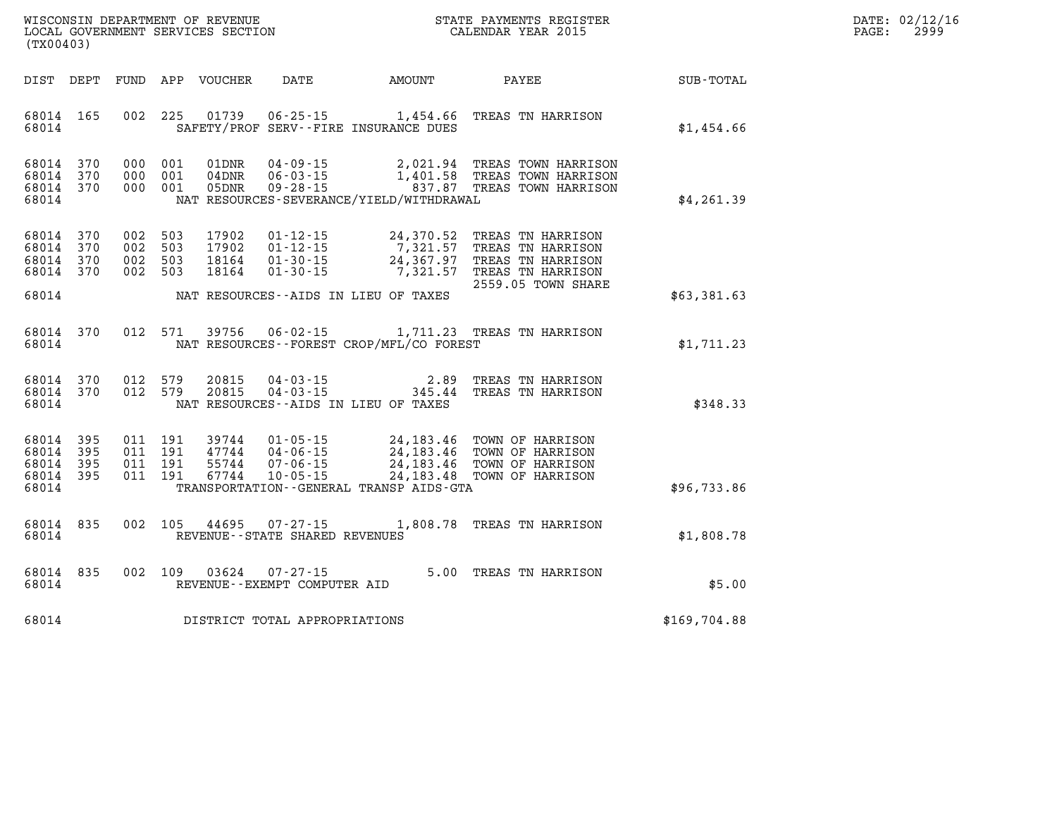| DATE:            | 02/12/16 |
|------------------|----------|
| $\texttt{PAGE:}$ | 2999     |

| WISCONSIN DEPARTMENT OF REVENUE<br>(TX00403)                                                      | LOCAL GOVERNMENT SERVICES SECTION                                                                                                                                                    |                                                          | STATE PAYMENTS REGISTER<br>CALENDAR YEAR 2015                                                          |              |
|---------------------------------------------------------------------------------------------------|--------------------------------------------------------------------------------------------------------------------------------------------------------------------------------------|----------------------------------------------------------|--------------------------------------------------------------------------------------------------------|--------------|
| DIST<br>DEPT<br>FUND                                                                              | APP<br><b>VOUCHER</b><br>DATE                                                                                                                                                        | AMOUNT                                                   | PAYEE                                                                                                  | SUB-TOTAL    |
| 165<br>002<br>68014<br>68014                                                                      | 225<br>01739<br>$06 - 25 - 15$<br>SAFETY/PROF SERV--FIRE INSURANCE DUES                                                                                                              | 1,454.66                                                 | TREAS TN HARRISON                                                                                      | \$1,454.66   |
| 370<br>68014<br>000<br>370<br>68014<br>000<br>68014<br>370<br>000<br>68014                        | 001<br>01DNR<br>$04 - 09 - 15$<br>001<br>$06 - 03 - 15$<br>04DNR<br>001<br>05DNR<br>$09 - 28 - 15$<br>NAT RESOURCES-SEVERANCE/YIELD/WITHDRAWAL                                       | 2,021.94<br>1,401.58<br>837.87                           | TREAS TOWN HARRISON<br>TREAS TOWN HARRISON<br>TREAS TOWN HARRISON                                      | \$4,261.39   |
| 370<br>002<br>68014<br>68014<br>370<br>002<br>68014<br>370<br>002<br>68014<br>370<br>002          | 17902<br>$01 - 12 - 15$<br>503<br>$01 - 12 - 15$<br>503<br>17902<br>18164<br>503<br>$01 - 30 - 15$<br>503<br>18164<br>$01 - 30 - 15$                                                 | 24,370.52<br>7,321.57<br>24,367.97<br>7,321.57           | TREAS TN HARRISON<br>TREAS TN HARRISON<br>TREAS TN HARRISON<br>TREAS TN HARRISON<br>2559.05 TOWN SHARE |              |
| 68014                                                                                             | NAT RESOURCES -- AIDS IN LIEU OF TAXES                                                                                                                                               |                                                          |                                                                                                        | \$63,381.63  |
| 012<br>68014<br>370<br>68014                                                                      | 571<br>39756<br>$06 - 02 - 15$<br>NAT RESOURCES - - FOREST CROP/MFL/CO FOREST                                                                                                        | 1,711.23                                                 | TREAS TN HARRISON                                                                                      | \$1,711.23   |
| 370<br>012<br>68014<br>68014<br>370<br>012<br>68014                                               | 579<br>20815<br>$04 - 03 - 15$<br>579<br>20815<br>$04 - 03 - 15$<br>NAT RESOURCES - AIDS IN LIEU OF TAXES                                                                            | 2.89<br>345.44                                           | TREAS TN HARRISON<br>TREAS TN HARRISON                                                                 | \$348.33     |
| 395<br>68014<br>011<br>395<br>011<br>68014<br>68014<br>395<br>011<br>011<br>68014<br>395<br>68014 | 191<br>39744<br>$01 - 05 - 15$<br>191<br>47744<br>$04 - 06 - 15$<br>191<br>$07 - 06 - 15$<br>55744<br>191<br>67744<br>$10 - 05 - 15$<br>TRANSPORTATION - - GENERAL TRANSP AIDS - GTA | 24, 183. 46<br>24, 183. 46<br>24, 183. 46<br>24, 183. 48 | TOWN OF HARRISON<br>TOWN OF HARRISON<br>TOWN OF HARRISON<br>TOWN OF HARRISON                           | \$96,733.86  |
| 002<br>68014<br>835<br>68014                                                                      | 105<br>44695<br>$07 - 27 - 15$<br>REVENUE - - STATE SHARED REVENUES                                                                                                                  | 1,808.78                                                 | TREAS TN HARRISON                                                                                      | \$1,808.78   |
| 835<br>002<br>68014<br>68014                                                                      | 109<br>03624<br>$07 - 27 - 15$<br>REVENUE--EXEMPT COMPUTER AID                                                                                                                       | 5.00                                                     | TREAS TN HARRISON                                                                                      | \$5.00       |
| 68014                                                                                             | DISTRICT TOTAL APPROPRIATIONS                                                                                                                                                        |                                                          |                                                                                                        | \$169,704.88 |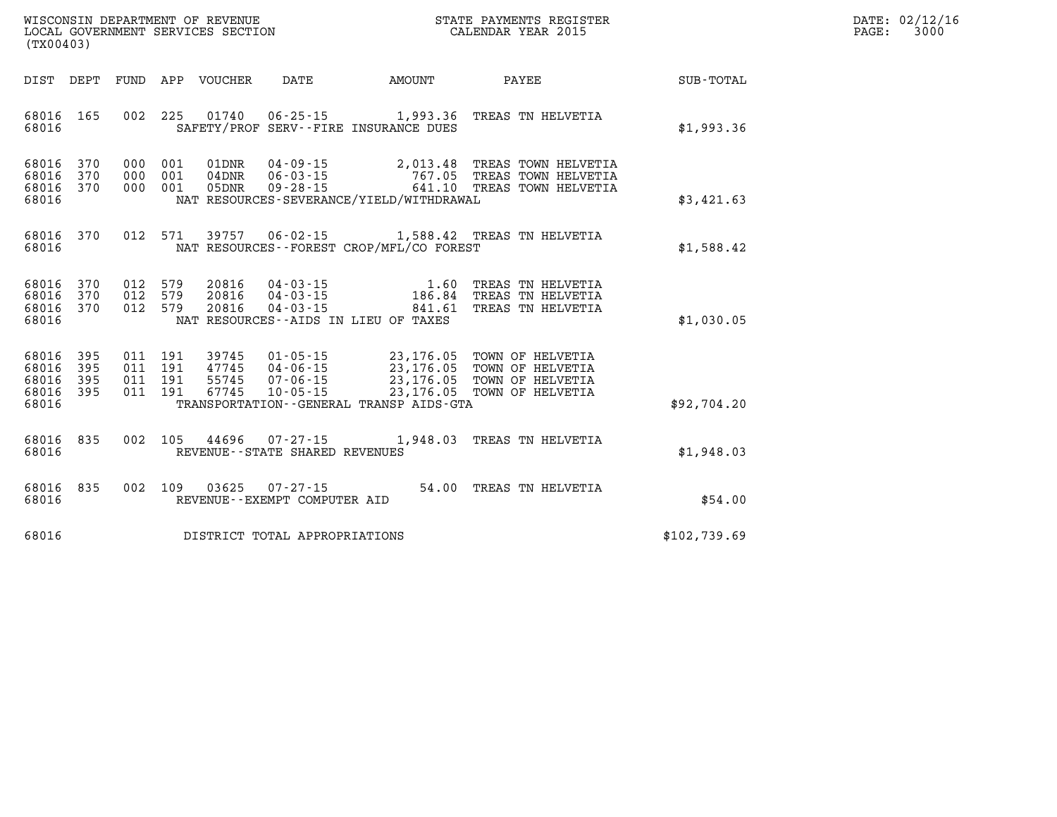| ' OF REVENUE                         | PAYMENTS REGISTER  |       | 02/12/16 |
|--------------------------------------|--------------------|-------|----------|
| WISCONSIN DEPARTMENT                 | 3TATE              | DATE: |          |
| GOVERNMENT SERVICES SECTION<br>LOCAL | CALENDAR YEAR 2015 | PAGE  | 3000     |

|       | LOCAL GOVERNMENT SERVICES SECTION<br>(TX00403)       |                |                                  |                                  |                                |                                             | CALENDAR YEAR 2015                                                                                                                                       |              | PAGE: | 3000 |
|-------|------------------------------------------------------|----------------|----------------------------------|----------------------------------|--------------------------------|---------------------------------------------|----------------------------------------------------------------------------------------------------------------------------------------------------------|--------------|-------|------|
|       |                                                      |                |                                  |                                  |                                |                                             | DIST DEPT FUND APP VOUCHER DATE AMOUNT PAYEE TOTAL                                                                                                       |              |       |      |
| 68016 | 68016 165                                            |                |                                  |                                  |                                | SAFETY/PROF SERV--FIRE INSURANCE DUES       | 002 225 01740 06-25-15 1,993.36 TREAS TN HELVETIA                                                                                                        | \$1,993.36   |       |      |
| 68016 | 68016 370 000 001<br>68016 370<br>68016 370          | 000 001<br>000 | 001                              | 01DNR<br>$04$ DNR<br>05DNR       |                                | NAT RESOURCES-SEVERANCE/YIELD/WITHDRAWAL    | 04-09-15 2,013.48 TREAS TOWN HELVETIA<br>06-03-15 767.05 TREAS TOWN HELVETIA<br>09-28-15 641.10 TREAS TOWN HELVETIA                                      | \$3,421.63   |       |      |
| 68016 | 68016 370                                            |                | 012 571                          |                                  |                                | NAT RESOURCES - - FOREST CROP/MFL/CO FOREST | 39757  06-02-15  1,588.42  TREAS TN HELVETIA                                                                                                             | \$1,588.42   |       |      |
|       | 68016 370<br>68016 370<br>68016 370 012 579<br>68016 | 012 579        | 012 579                          | 20816<br>20816<br>20816          |                                | NAT RESOURCES--AIDS IN LIEU OF TAXES        | 04-03-15 1.60 TREAS TN HELVETIA<br>04-03-15 186.84 TREAS TN HELVETIA<br>04-03-15 841.61 TREAS TN HELVETIA                                                | \$1,030.05   |       |      |
| 68016 | 68016 395<br>68016 395<br>68016 395<br>68016 395     | 011<br>011     | 011 191<br>191<br>191<br>011 191 | 39745<br>47745<br>55745<br>67745 |                                | TRANSPORTATION--GENERAL TRANSP AIDS-GTA     | 01-05-15 23,176.05 TOWN OF HELVETIA<br>04-06-15 23,176.05 TOWN OF HELVETIA<br>07-06-15 23,176.05 TOWN OF HELVETIA<br>10-05-15 23,176.05 TOWN OF HELVETIA | \$92,704.20  |       |      |
| 68016 | 68016 835                                            |                |                                  |                                  | REVENUE--STATE SHARED REVENUES |                                             | 002 105 44696 07-27-15 1,948.03 TREAS TN HELVETIA                                                                                                        | \$1,948.03   |       |      |
| 68016 | 68016 835                                            |                | 002 109                          | 03625                            | REVENUE--EXEMPT COMPUTER AID   |                                             | 07-27-15 54.00 TREAS TN HELVETIA                                                                                                                         | \$54.00      |       |      |
| 68016 |                                                      |                |                                  |                                  | DISTRICT TOTAL APPROPRIATIONS  |                                             |                                                                                                                                                          | \$102,739.69 |       |      |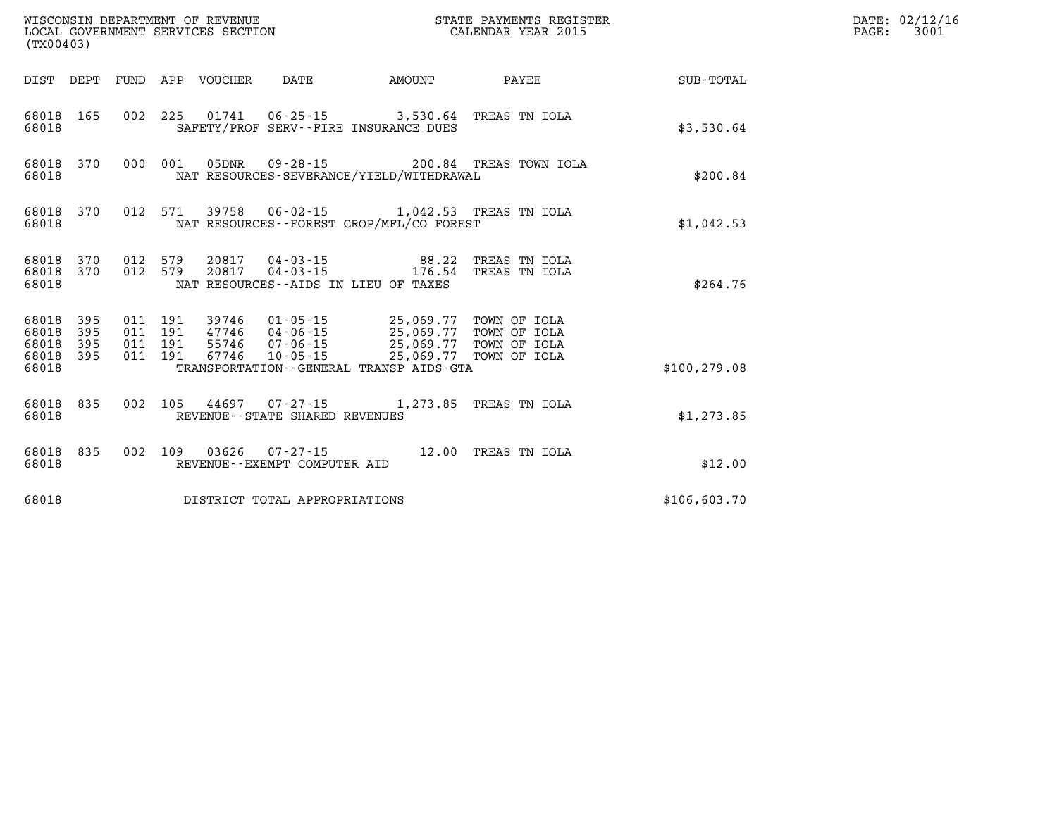| (TX00403)                                    |                   |                                          |                            | WISCONSIN DEPARTMENT OF REVENUE<br>LOCAL GOVERNMENT SERVICES SECTION | STATE PAYMENTS REGISTER<br>CALENDAR YEAR 2015                                                                                                                                                                                       |                                               |               | DATE: 02/12/16<br>3001<br>$\mathtt{PAGE:}$ |
|----------------------------------------------|-------------------|------------------------------------------|----------------------------|----------------------------------------------------------------------|-------------------------------------------------------------------------------------------------------------------------------------------------------------------------------------------------------------------------------------|-----------------------------------------------|---------------|--------------------------------------------|
|                                              |                   |                                          | DIST DEPT FUND APP VOUCHER | DATE                                                                 | AMOUNT                                                                                                                                                                                                                              | PAYEE                                         | SUB-TOTAL     |                                            |
| 68018                                        | 68018 165         |                                          |                            |                                                                      | 002 225 01741 06-25-15 3,530.64 TREAS TN IOLA<br>SAFETY/PROF SERV--FIRE INSURANCE DUES                                                                                                                                              |                                               | \$3,530.64    |                                            |
| 68018 370<br>68018                           |                   |                                          |                            |                                                                      | NAT RESOURCES-SEVERANCE/YIELD/WITHDRAWAL                                                                                                                                                                                            | 000 001 05DNR 09-28-15 200.84 TREAS TOWN IOLA | \$200.84      |                                            |
| 68018 370<br>68018                           |                   |                                          |                            |                                                                      | 012 571 39758 06-02-15 1,042.53 TREAS TN IOLA<br>NAT RESOURCES--FOREST CROP/MFL/CO FOREST                                                                                                                                           |                                               | \$1,042.53    |                                            |
| 68018 370<br>68018                           | 68018 370 012 579 | 012 579                                  |                            |                                                                      | 20817  04-03-15  88.22 TREAS TN IOLA<br>20817  04-03-15  176.54 TREAS TN IOLA<br>NAT RESOURCES -- AIDS IN LIEU OF TAXES                                                                                                             |                                               | \$264.76      |                                            |
| 68018 395<br>68018 395<br>68018<br>68018 395 | 395               | 011 191<br>011 191<br>011 191<br>011 191 |                            |                                                                      | 39746     01-05-15                25,069.77   TOWN OF IOLA<br>47746     04-06-15                25,069.77   TOWN OF IOLA<br>55746     07-06-15                 25,069.77   TOWN OF IOLA<br>67746  10-05-15  25,069.77  TOWN OF IOLA |                                               |               |                                            |
| 68018                                        |                   |                                          |                            |                                                                      | TRANSPORTATION--GENERAL TRANSP AIDS-GTA                                                                                                                                                                                             |                                               | \$100, 279.08 |                                            |
| 68018                                        | 68018 835         |                                          |                            | REVENUE - - STATE SHARED REVENUES                                    | 002 105 44697 07-27-15 1,273.85 TREAS TN IOLA                                                                                                                                                                                       |                                               | \$1,273.85    |                                            |
| 68018 835<br>68018                           |                   |                                          |                            | REVENUE--EXEMPT COMPUTER AID                                         | 002 109 03626 07-27-15 12.00 TREAS TN IOLA                                                                                                                                                                                          |                                               | \$12.00       |                                            |
| 68018                                        |                   |                                          |                            | DISTRICT TOTAL APPROPRIATIONS                                        |                                                                                                                                                                                                                                     |                                               | \$106,603.70  |                                            |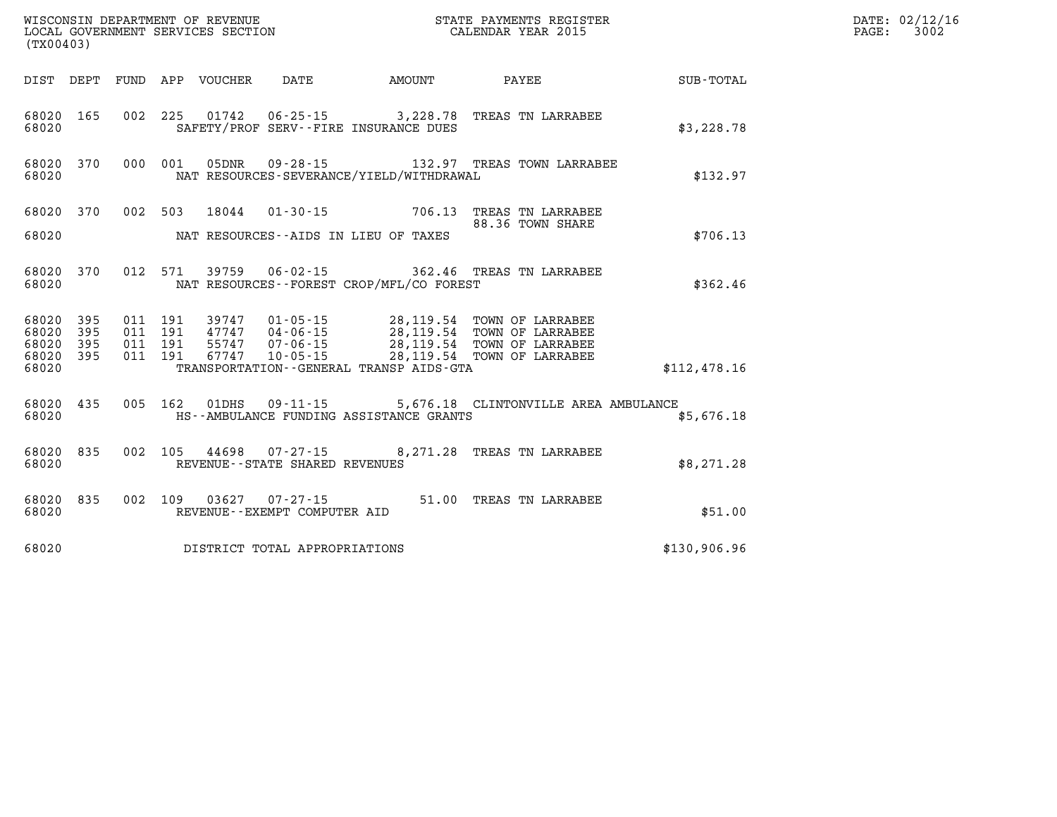| (TX00403)              |           |  |                                                          |                                          |                                                                                                                                                                                                                                                                                                                                                      |              | DATE: 02/12/16<br>3002<br>$\mathtt{PAGE:}$ |
|------------------------|-----------|--|----------------------------------------------------------|------------------------------------------|------------------------------------------------------------------------------------------------------------------------------------------------------------------------------------------------------------------------------------------------------------------------------------------------------------------------------------------------------|--------------|--------------------------------------------|
|                        |           |  |                                                          |                                          | DIST DEPT FUND APP VOUCHER DATE AMOUNT PAYEE                                                                                                                                                                                                                                                                                                         | SUB-TOTAL    |                                            |
| 68020                  | 68020 165 |  |                                                          | SAFETY/PROF SERV--FIRE INSURANCE DUES    | 002 225 01742 06-25-15 3,228.78 TREAS TN LARRABEE                                                                                                                                                                                                                                                                                                    | \$3,228.78   |                                            |
| 68020                  | 68020 370 |  |                                                          | NAT RESOURCES-SEVERANCE/YIELD/WITHDRAWAL | 000 001 05DNR 09-28-15 132.97 TREAS TOWN LARRABEE                                                                                                                                                                                                                                                                                                    | \$132.97     |                                            |
|                        |           |  |                                                          |                                          | 68020 370 002 503 18044 01-30-15 706.13 TREAS TN LARRABEE<br>88.36 TOWN SHARE                                                                                                                                                                                                                                                                        |              |                                            |
|                        | 68020 7   |  |                                                          | NAT RESOURCES--AIDS IN LIEU OF TAXES     |                                                                                                                                                                                                                                                                                                                                                      | \$706.13     |                                            |
| 68020                  | 68020 370 |  |                                                          | NAT RESOURCES--FOREST CROP/MFL/CO FOREST | 012 571 39759 06-02-15 362.46 TREAS TN LARRABEE                                                                                                                                                                                                                                                                                                      | \$362.46     |                                            |
| 68020 395<br>68020 395 | 68020 395 |  |                                                          |                                          | $\begin{array}{cccc} 011 & 191 & 39747 & 01\cdot 05\cdot 15 & 28,119.54 & \text{TOWN OF LARRABEE} \\ 011 & 191 & 47747 & 04\cdot 06\cdot 15 & 28,119.54 & \text{TOWN OF LARRABEE} \\ 011 & 191 & 55747 & 07\cdot 06\cdot 15 & 28,119.54 & \text{TOWN OF LARRABEE} \\ 011 & 191 & 67747 & 10\cdot 05\cdot 15 & 28,119.54 & \text{TOWN OF LARRABEE} \$ |              |                                            |
| 68020                  | 68020 395 |  |                                                          | TRANSPORTATION--GENERAL TRANSP AIDS-GTA  |                                                                                                                                                                                                                                                                                                                                                      | \$112,478.16 |                                            |
| 68020                  | 68020 435 |  | 005 162 01DHS 09-11-15                                   | HS--AMBULANCE FUNDING ASSISTANCE GRANTS  | 5,676.18 CLINTONVILLE AREA AMBULANCE                                                                                                                                                                                                                                                                                                                 | \$5,676.18   |                                            |
| 68020                  | 68020 835 |  | 002 105 44698 07-27-15<br>REVENUE--STATE SHARED REVENUES |                                          | 8,271.28 TREAS TN LARRABEE                                                                                                                                                                                                                                                                                                                           | \$8,271.28   |                                            |
| 68020                  |           |  | REVENUE--EXEMPT COMPUTER AID                             |                                          | 68020 835 002 109 03627 07-27-15 51.00 TREAS TN LARRABEE                                                                                                                                                                                                                                                                                             | \$51.00      |                                            |
| 68020                  |           |  | DISTRICT TOTAL APPROPRIATIONS                            |                                          |                                                                                                                                                                                                                                                                                                                                                      | \$130,906.96 |                                            |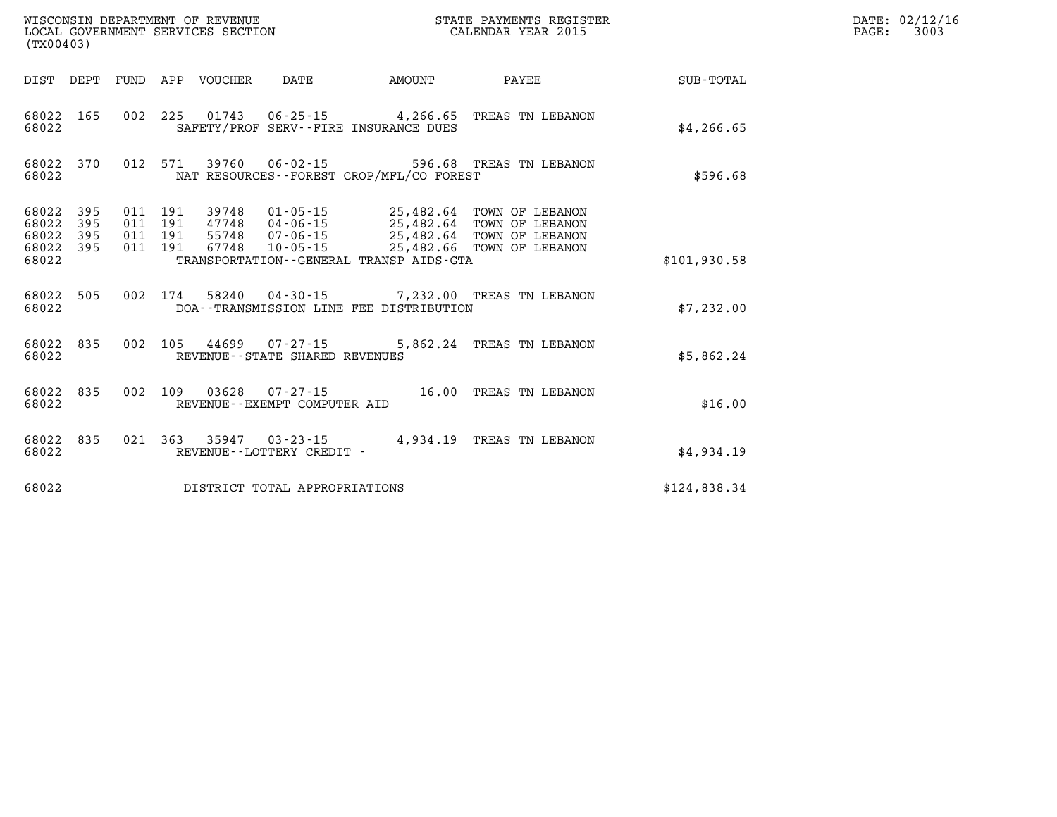| (TX00403)                                 |                          |                          |                          | WISCONSIN DEPARTMENT OF REVENUE<br>LOCAL GOVERNMENT SERVICES SECTION |                                                                | STATE PAYMENTS REGISTER<br>CALENDAR YEAR 2015                                               |                                                                          |              |  |
|-------------------------------------------|--------------------------|--------------------------|--------------------------|----------------------------------------------------------------------|----------------------------------------------------------------|---------------------------------------------------------------------------------------------|--------------------------------------------------------------------------|--------------|--|
| DIST                                      | DEPT                     | <b>FUND</b>              | APP                      | <b>VOUCHER</b>                                                       | DATE                                                           | <b>AMOUNT</b>                                                                               | PAYEE                                                                    | SUB-TOTAL    |  |
| 68022<br>68022                            | 165                      | 002                      | 225                      | 01743                                                                |                                                                | $06 - 25 - 15$ 4,266.65<br>SAFETY/PROF SERV--FIRE INSURANCE DUES                            | TREAS TN LEBANON                                                         | \$4, 266.65  |  |
| 68022<br>68022                            | 370                      | 012                      | 571                      | 39760                                                                | $06 - 02 - 15$                                                 | NAT RESOURCES - - FOREST CROP/MFL/CO FOREST                                                 | 596.68 TREAS TN LEBANON                                                  | \$596.68     |  |
| 68022<br>68022<br>68022<br>68022<br>68022 | 395<br>395<br>395<br>395 | 011<br>011<br>011<br>011 | 191<br>191<br>191<br>191 | 39748<br>47748<br>55748<br>67748                                     | $01 - 05 - 15$<br>04-06-15<br>$07 - 06 - 15$<br>$10 - 05 - 15$ | 25,482.64<br>25,482.64<br>25,482.64<br>25,482.66<br>TRANSPORTATION--GENERAL TRANSP AIDS-GTA | TOWN OF LEBANON<br>TOWN OF LEBANON<br>TOWN OF LEBANON<br>TOWN OF LEBANON | \$101,930.58 |  |
| 68022<br>68022                            | 505                      | 002                      | 174                      |                                                                      |                                                                | DOA--TRANSMISSION LINE FEE DISTRIBUTION                                                     | 58240  04-30-15  7,232.00 TREAS TN LEBANON                               | \$7,232.00   |  |
| 68022<br>68022                            | 835                      | 002                      | 105                      | 44699                                                                | $07 - 27 - 15$<br>REVENUE - - STATE SHARED REVENUES            | 5,862.24                                                                                    | TREAS TN LEBANON                                                         | \$5,862.24   |  |
| 68022<br>68022                            | 835                      | 002                      | 109                      | 03628                                                                | 07-27-15<br>REVENUE--EXEMPT COMPUTER AID                       | 16.00                                                                                       | TREAS TN LEBANON                                                         | \$16.00      |  |
| 68022<br>68022                            | 835                      | 021                      | 363                      | 35947                                                                | $03 - 23 - 15$<br>REVENUE - - LOTTERY CREDIT -                 | 4,934.19                                                                                    | TREAS TN LEBANON                                                         | \$4,934.19   |  |
| 68022                                     |                          |                          |                          |                                                                      | DISTRICT TOTAL APPROPRIATIONS                                  |                                                                                             |                                                                          | \$124,838.34 |  |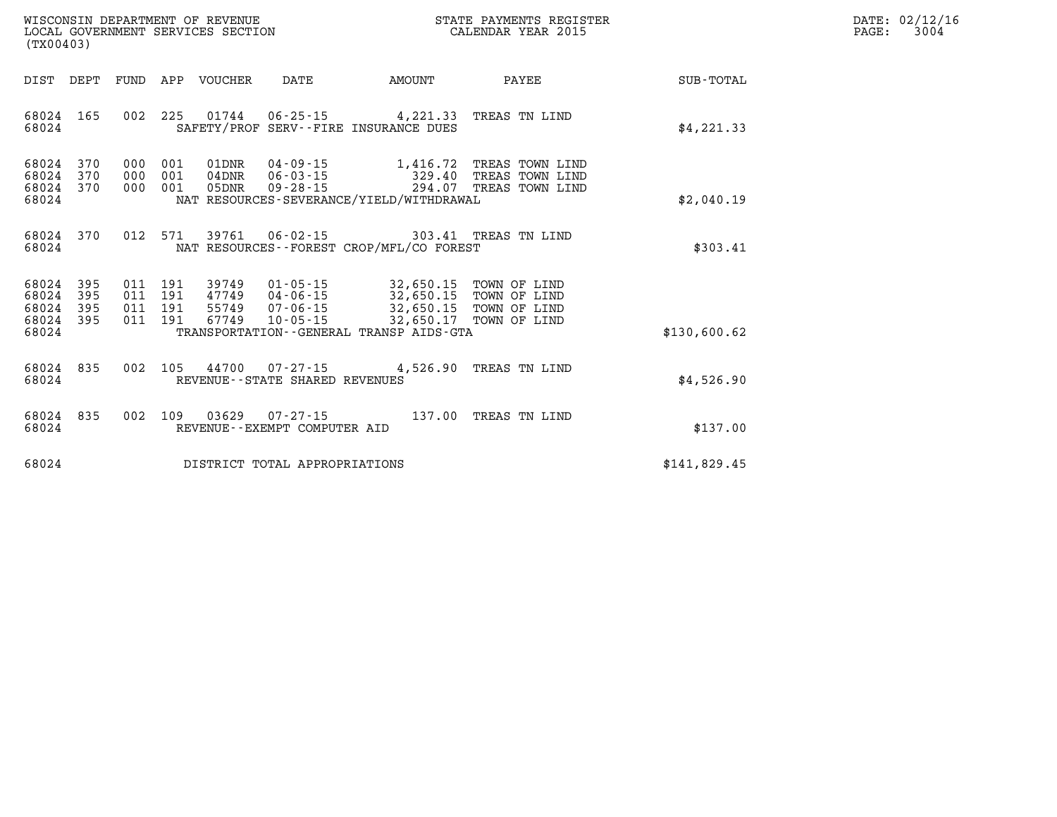| WISCONSIN DEPARTMENT OF REVENUE      | PAYMENTS REGISTER<br>3TATE | DATE: | 02/12/16 |
|--------------------------------------|----------------------------|-------|----------|
| GOVERNMENT SERVICES SECTION<br>LOCAL | CALENDAR YEAR 2015         | PAGE  | 3004     |

| (TX00403)          |            |            |                | LOCAL GOVERNMENT SERVICES SECTION |                                   | CALENDAR YEAR 2015                                                                                                                       |                                                                                |              | PAGE: | 3004 |
|--------------------|------------|------------|----------------|-----------------------------------|-----------------------------------|------------------------------------------------------------------------------------------------------------------------------------------|--------------------------------------------------------------------------------|--------------|-------|------|
| DIST DEPT          |            |            |                | FUND APP VOUCHER                  | DATE                              |                                                                                                                                          | AMOUNT PAYEE                                                                   | SUB-TOTAL    |       |      |
| 68024<br>68024     | 165        |            |                |                                   |                                   | 002 225 01744 06-25-15 4,221.33 TREAS TN LIND<br>SAFETY/PROF SERV--FIRE INSURANCE DUES                                                   |                                                                                | \$4,221.33   |       |      |
| 68024<br>68024     | 370<br>370 | 000<br>000 | 001<br>001     | 01DNR<br>$04\rm{DNR}$             |                                   |                                                                                                                                          | 04-09-15 1,416.72 TREAS TOWN LIND                                              |              |       |      |
| 68024 370          |            | 000        | 001            | 05DNR                             |                                   |                                                                                                                                          | 06-03-15<br>06-03-15 329.40 TREAS TOWN LIND<br>09-28-15 294.07 TREAS TOWN LIND |              |       |      |
| 68024              |            |            |                |                                   |                                   | NAT RESOURCES-SEVERANCE/YIELD/WITHDRAWAL                                                                                                 |                                                                                | \$2,040.19   |       |      |
| 68024 370<br>68024 |            |            | 012 571        |                                   |                                   | 39761  06-02-15  303.41 TREAS TN LIND<br>NAT RESOURCES--FOREST CROP/MFL/CO FOREST                                                        |                                                                                | \$303.41     |       |      |
|                    |            |            |                |                                   |                                   |                                                                                                                                          |                                                                                |              |       |      |
| 68024              | 395        |            | 011 191        | 39749                             |                                   | 01-05-15 32,650.15 TOWN OF LIND<br>04-06-15 32,650.15 TOWN OF LIND<br>07-06-15 32,650.15 TOWN OF LIND<br>10-05-15 32,650.17 TOWN OF LIND |                                                                                |              |       |      |
| 68024<br>68024     | 395<br>395 | 011        | 191<br>011 191 | 47749<br>55749                    |                                   |                                                                                                                                          |                                                                                |              |       |      |
| 68024<br>68024     | 395        |            | 011 191        | 67749                             |                                   | TRANSPORTATION--GENERAL TRANSP AIDS-GTA                                                                                                  |                                                                                | \$130,600.62 |       |      |
|                    |            |            |                |                                   |                                   |                                                                                                                                          |                                                                                |              |       |      |
| 68024<br>68024     | 835        |            | 002 105        |                                   |                                   | 44700 07-27-15 4,526.90 TREAS TN LIND                                                                                                    |                                                                                |              |       |      |
|                    |            |            |                |                                   | REVENUE - - STATE SHARED REVENUES |                                                                                                                                          |                                                                                | \$4,526.90   |       |      |
| 68024              | 835        |            | 002 109        | 03629                             | 07-27-15                          |                                                                                                                                          | 137.00 TREAS TN LIND                                                           |              |       |      |
| 68024              |            |            |                |                                   | REVENUE--EXEMPT COMPUTER AID      |                                                                                                                                          |                                                                                | \$137.00     |       |      |
| 68024              |            |            |                |                                   | DISTRICT TOTAL APPROPRIATIONS     |                                                                                                                                          |                                                                                | \$141,829.45 |       |      |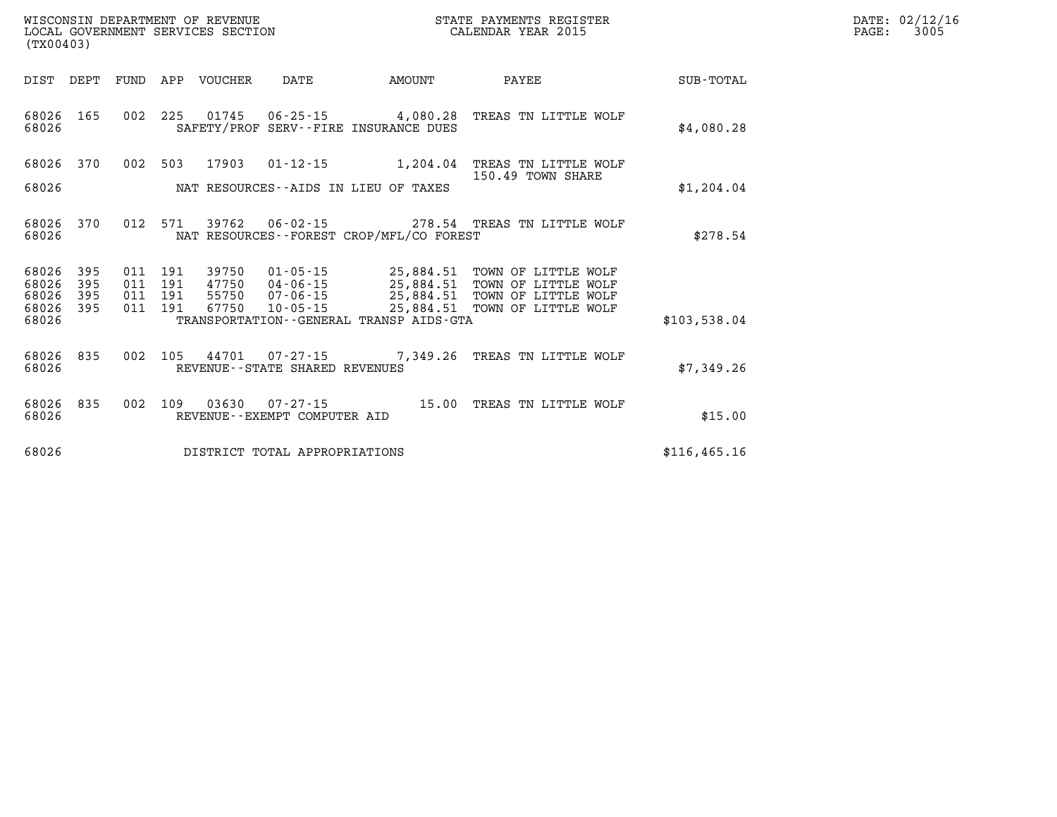| ${\tt WISCONSIM\ DEPARTMENT\ OF\ REVENUE}\qquad \qquad {\tt STATE\ PAYMENTS\ REGIST}\nonumber\\ {\tt LOCAL\ GOVERNMENT\ SERVICES\ SECTION}\qquad \qquad {\tt NUSCONSIN\ PEXR\ 2015}$<br>(TX00403) |                   |  |                    |                                 |                                   |                                             | STATE PAYMENTS REGISTER                                                                                                                                     |               | DATE: 02/12/16<br>3005<br>PAGE: |
|---------------------------------------------------------------------------------------------------------------------------------------------------------------------------------------------------|-------------------|--|--------------------|---------------------------------|-----------------------------------|---------------------------------------------|-------------------------------------------------------------------------------------------------------------------------------------------------------------|---------------|---------------------------------|
| DIST DEPT                                                                                                                                                                                         |                   |  |                    | FUND APP VOUCHER DATE           |                                   | AMOUNT                                      | <b>PAYEE</b>                                                                                                                                                | SUB-TOTAL     |                                 |
| 68026 165<br>68026                                                                                                                                                                                |                   |  |                    |                                 |                                   | SAFETY/PROF SERV--FIRE INSURANCE DUES       | 002 225 01745 06-25-15 4,080.28 TREAS TN LITTLE WOLF                                                                                                        | \$4,080.28    |                                 |
| 68026 370                                                                                                                                                                                         |                   |  |                    |                                 |                                   |                                             | 002 503 17903 01-12-15 1,204.04 TREAS TN LITTLE WOLF<br>150.49 TOWN SHARE                                                                                   |               |                                 |
| 68026                                                                                                                                                                                             |                   |  |                    |                                 |                                   | NAT RESOURCES--AIDS IN LIEU OF TAXES        |                                                                                                                                                             | \$1,204.04    |                                 |
| 68026 370<br>68026                                                                                                                                                                                |                   |  |                    |                                 |                                   | NAT RESOURCES - - FOREST CROP/MFL/CO FOREST | 012 571 39762 06-02-15 278.54 TREAS TN LITTLE WOLF                                                                                                          | \$278.54      |                                 |
| 68026<br>68026<br>68026                                                                                                                                                                           | 395<br>395<br>395 |  | 011 191<br>011 191 | 39750<br>47750<br>011 191 55750 |                                   |                                             | 01-05-15 25,884.51 TOWN OF LITTLE WOLF 04-06-15 25,884.51 TOWN OF LITTLE WOLF 07-06-15 25,884.51 TOWN OF LITTLE WOLF 10-05-15 25,884.51 TOWN OF LITTLE WOLF |               |                                 |
| 68026 395<br>68026                                                                                                                                                                                |                   |  |                    | 011 191 67750                   |                                   | TRANSPORTATION--GENERAL TRANSP AIDS-GTA     |                                                                                                                                                             | \$103,538.04  |                                 |
| 68026 835<br>68026                                                                                                                                                                                |                   |  |                    |                                 | REVENUE - - STATE SHARED REVENUES |                                             | 002 105 44701 07-27-15 7,349.26 TREAS TN LITTLE WOLF                                                                                                        | \$7,349.26    |                                 |
| 68026 835<br>68026                                                                                                                                                                                |                   |  |                    |                                 | REVENUE--EXEMPT COMPUTER AID      |                                             | 002 109 03630 07-27-15 15.00 TREAS TN LITTLE WOLF                                                                                                           | \$15.00       |                                 |
| 68026                                                                                                                                                                                             |                   |  |                    |                                 | DISTRICT TOTAL APPROPRIATIONS     |                                             |                                                                                                                                                             | \$116, 465.16 |                                 |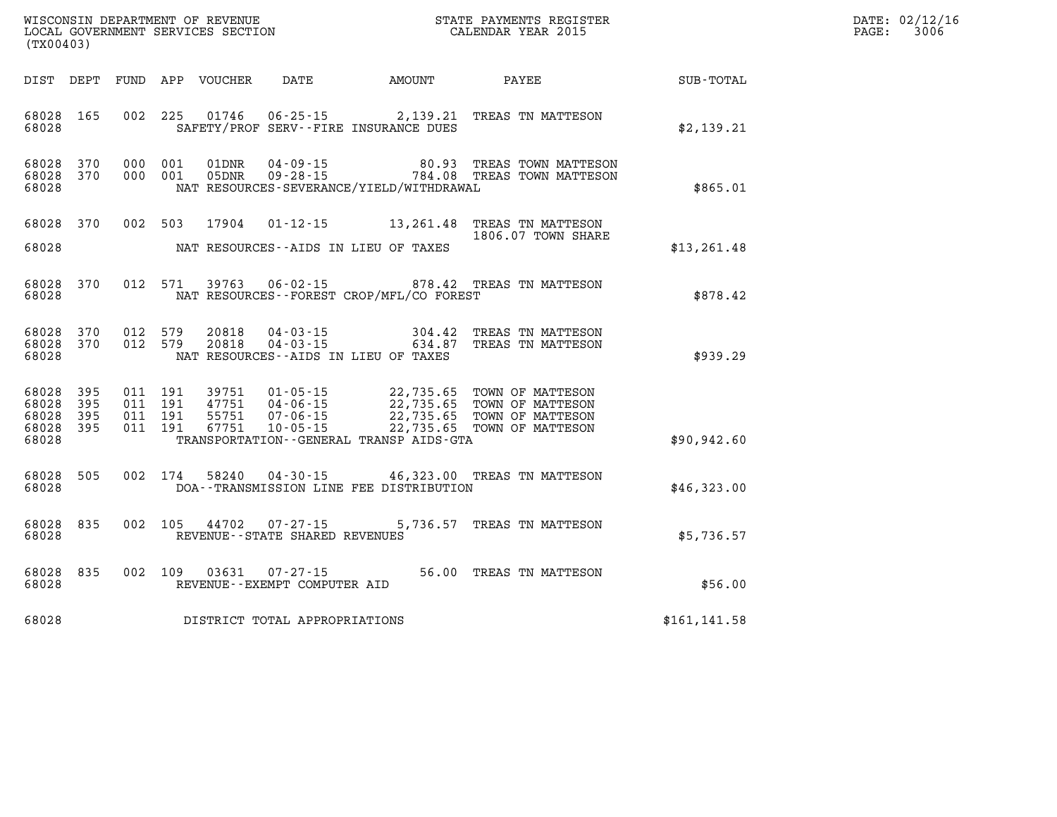| WISCONSIN DEPARTMENT OF REVENUE<br>LOCAL GOVERNMENT SERVICES SECTION<br>CALENDAR YEAR 2015<br>(TX00403) |            |  |  |               |                                                          |                                              |                                                                                                                                                                                                                  |               | DATE: 02/12/16<br>PAGE: 3006 |
|---------------------------------------------------------------------------------------------------------|------------|--|--|---------------|----------------------------------------------------------|----------------------------------------------|------------------------------------------------------------------------------------------------------------------------------------------------------------------------------------------------------------------|---------------|------------------------------|
|                                                                                                         |            |  |  |               |                                                          |                                              | DIST DEPT FUND APP VOUCHER DATE AMOUNT PAYEE PATE SUB-TOTAL                                                                                                                                                      |               |                              |
| 68028 165<br>68028                                                                                      |            |  |  |               |                                                          | SAFETY/PROF SERV--FIRE INSURANCE DUES        | 002 225 01746 06-25-15 2,139.21 TREAS TN MATTESON                                                                                                                                                                | \$2,139.21    |                              |
| 68028 370<br>68028 370<br>68028                                                                         |            |  |  |               |                                                          | NAT RESOURCES-SEVERANCE/YIELD/WITHDRAWAL     | 000 001 01DNR 04-09-15 60.93 TREAS TOWN MATTESON<br>000 001 05DNR 09-28-15 784.08 TREAS TOWN MATTESON                                                                                                            | \$865.01      |                              |
| 68028 370<br>68028                                                                                      |            |  |  |               |                                                          | NAT RESOURCES--AIDS IN LIEU OF TAXES         | 002 503 17904 01-12-15 13,261.48 TREAS TN MATTESON<br>1806.07 TOWN SHARE                                                                                                                                         | \$13, 261.48  |                              |
| 68028 370<br>68028                                                                                      |            |  |  | 012 571 39763 |                                                          | NAT RESOURCES - - FOREST CROP/MFL/CO FOREST  | 06-02-15 878.42 TREAS TN MATTESON                                                                                                                                                                                | \$878.42      |                              |
| 68028 370<br>68028 370<br>68028                                                                         |            |  |  |               |                                                          | NAT RESOURCES--AIDS IN LIEU OF TAXES         | $0.12$ 579 $20818$ $04 - 03 - 15$ 304.42 TREAS TN MATTESON $0.12$ 579 $20818$ $04 - 03 - 15$ 634.87 TREAS TN MATTESON                                                                                            | \$939.29      |                              |
| 68028<br>68028<br>68028 395<br>68028 395<br>68028                                                       | 395<br>395 |  |  |               |                                                          | TRANSPORTATION - - GENERAL TRANSP AIDS - GTA | 011 191 39751 01-05-15 22,735.65 TOWN OF MATTESON<br>011 191 47751 04-06-15 22,735.65 TOWN OF MATTESON<br>011 191 67751 07-06-15 22,735.65 TOWN OF MATTESON<br>011 191 67751 10-05-15 22,735.65 TOWN OF MATTESON | \$90, 942.60  |                              |
| 68028 505<br>68028                                                                                      |            |  |  |               |                                                          | DOA--TRANSMISSION LINE FEE DISTRIBUTION      | 002 174 58240 04-30-15 46,323.00 TREAS TN MATTESON                                                                                                                                                               | \$46,323.00   |                              |
| 68028 835<br>68028                                                                                      |            |  |  |               | 002 105 44702 07-27-15<br>REVENUE--STATE SHARED REVENUES |                                              | 5,736.57 TREAS TN MATTESON                                                                                                                                                                                       | \$5,736.57    |                              |
| 68028 835<br>68028                                                                                      |            |  |  |               | 002 109 03631 07-27-15<br>REVENUE--EXEMPT COMPUTER AID   |                                              | 56.00 TREAS TN MATTESON                                                                                                                                                                                          | \$56.00       |                              |
| 68028                                                                                                   |            |  |  |               | DISTRICT TOTAL APPROPRIATIONS                            |                                              |                                                                                                                                                                                                                  | \$161, 141.58 |                              |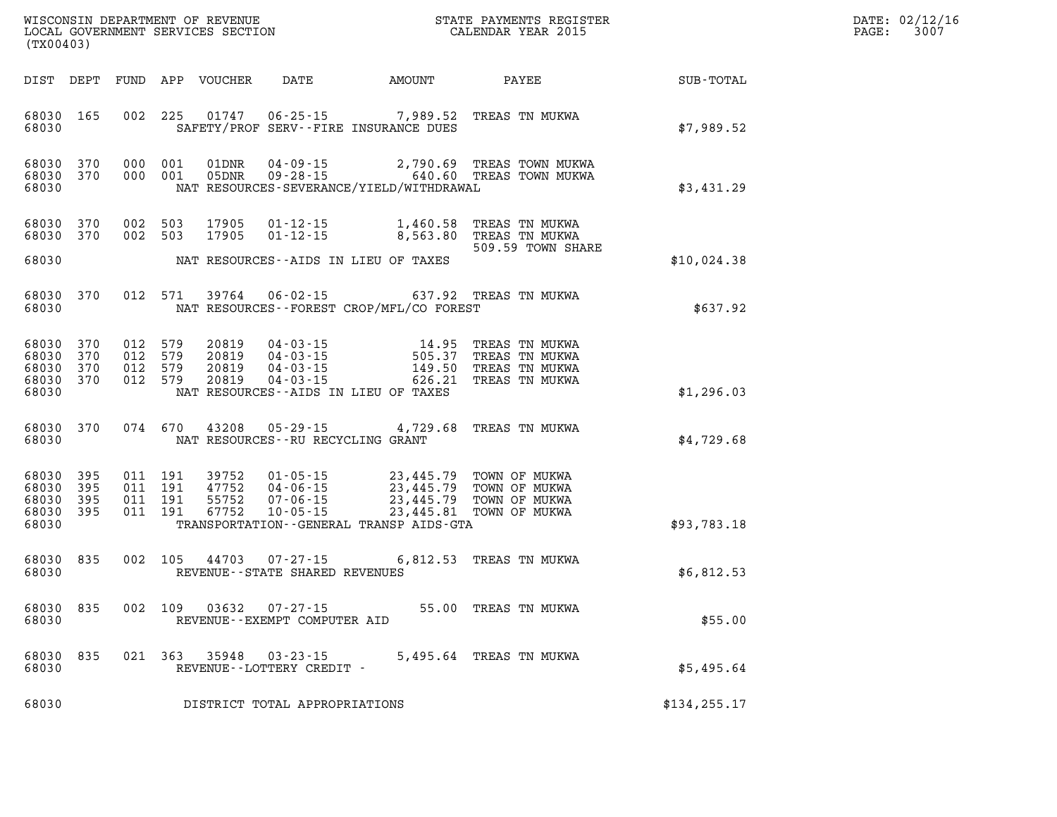| DATE: | 02/12/16 |
|-------|----------|
| PAGE: | 3007     |

| (TX00403)                                                 |     |         |       |                                                                  |                                                                                                                                                                                                                              | %WISCONSIN DEPARTMENT OF REVENUE $$\tt STATE~PAYMEMTS~REGISTER~LOCAL~GOVERNMENT~SERVICES~SECTION~CALENDAR~YEAR~2015$                                                                        |               | DATE: 02/12/1<br>3007<br>$\mathtt{PAGE}$ : |
|-----------------------------------------------------------|-----|---------|-------|------------------------------------------------------------------|------------------------------------------------------------------------------------------------------------------------------------------------------------------------------------------------------------------------------|---------------------------------------------------------------------------------------------------------------------------------------------------------------------------------------------|---------------|--------------------------------------------|
|                                                           |     |         |       |                                                                  |                                                                                                                                                                                                                              |                                                                                                                                                                                             |               |                                            |
| 68030 165<br>68030                                        |     |         |       |                                                                  | SAFETY/PROF SERV--FIRE INSURANCE DUES                                                                                                                                                                                        | 002 225 01747 06-25-15 7,989.52 TREAS TN MUKWA                                                                                                                                              | \$7,989.52    |                                            |
| 68030 370<br>68030 370<br>68030                           |     |         |       |                                                                  | NAT RESOURCES-SEVERANCE/YIELD/WITHDRAWAL                                                                                                                                                                                     |                                                                                                                                                                                             | \$3,431.29    |                                            |
| 68030 370<br>68030 370                                    |     |         |       |                                                                  |                                                                                                                                                                                                                              | 002 503 17905 01-12-15 1,460.58 TREAS TN MUKWA<br>002 503 17905 01-12-15 8,563.80 TREAS TN MUKWA<br>509.59 TOWN SHARE                                                                       |               |                                            |
| 68030                                                     |     |         |       |                                                                  | NAT RESOURCES--AIDS IN LIEU OF TAXES                                                                                                                                                                                         |                                                                                                                                                                                             | \$10,024.38   |                                            |
| 68030 370<br>68030                                        |     |         |       |                                                                  | NAT RESOURCES--FOREST CROP/MFL/CO FOREST                                                                                                                                                                                     | 012 571 39764 06-02-15 637.92 TREAS TN MUKWA                                                                                                                                                | \$637.92      |                                            |
| 68030 370<br>68030 370<br>68030 370<br>68030 370<br>68030 |     |         |       |                                                                  | NAT RESOURCES--AIDS IN LIEU OF TAXES                                                                                                                                                                                         | 012 579 20819 04-03-15 14.95 TREAS TN MUKWA<br>012 579 20819 04-03-15 505.37 TREAS TN MUKWA<br>012 579 20819 04-03-15 149.50 TREAS TN MUKWA<br>012 579 20819 04-03-15 626.21 TREAS TN MUKWA | \$1,296.03    |                                            |
| 68030                                                     |     |         |       | NAT RESOURCES--RU RECYCLING GRANT                                |                                                                                                                                                                                                                              | 68030 370 074 670 43208 05-29-15 4,729.68 TREAS TN MUKWA                                                                                                                                    | \$4,729.68    |                                            |
| 68030 395<br>68030 395<br>68030 395<br>68030 395<br>68030 |     |         |       |                                                                  | 011 191 39752 01-05-15 23,445.79 TOWN OF MUKWA<br>011 191 47752 04-06-15 23,445.79 TOWN OF MUKWA<br>011 191 55752 07-06-15 23,445.79 TOWN OF MUKWA<br>011 191 67752 10-05-15<br>TRANSPORTATION - - GENERAL TRANSP AIDS - GTA |                                                                                                                                                                                             | \$93,783.18   |                                            |
| 68030 835                                                 |     |         |       | 68030 REVENUE - STATE SHARED REVENUES                            |                                                                                                                                                                                                                              | 002 105 44703 07-27-15 6,812.53 TREAS TN MUKWA                                                                                                                                              | \$6,812.53    |                                            |
| 68030                                                     |     |         |       | 68030 835 002 109 03632 07-27-15<br>REVENUE--EXEMPT COMPUTER AID |                                                                                                                                                                                                                              | 55.00 TREAS TN MUKWA                                                                                                                                                                        | \$55.00       |                                            |
| 68030<br>68030                                            | 835 | 021 363 | 35948 | $03 - 23 - 15$<br>REVENUE--LOTTERY CREDIT -                      |                                                                                                                                                                                                                              | 5,495.64 TREAS TN MUKWA                                                                                                                                                                     | \$5,495.64    |                                            |
| 68030                                                     |     |         |       | DISTRICT TOTAL APPROPRIATIONS                                    |                                                                                                                                                                                                                              |                                                                                                                                                                                             | \$134, 255.17 |                                            |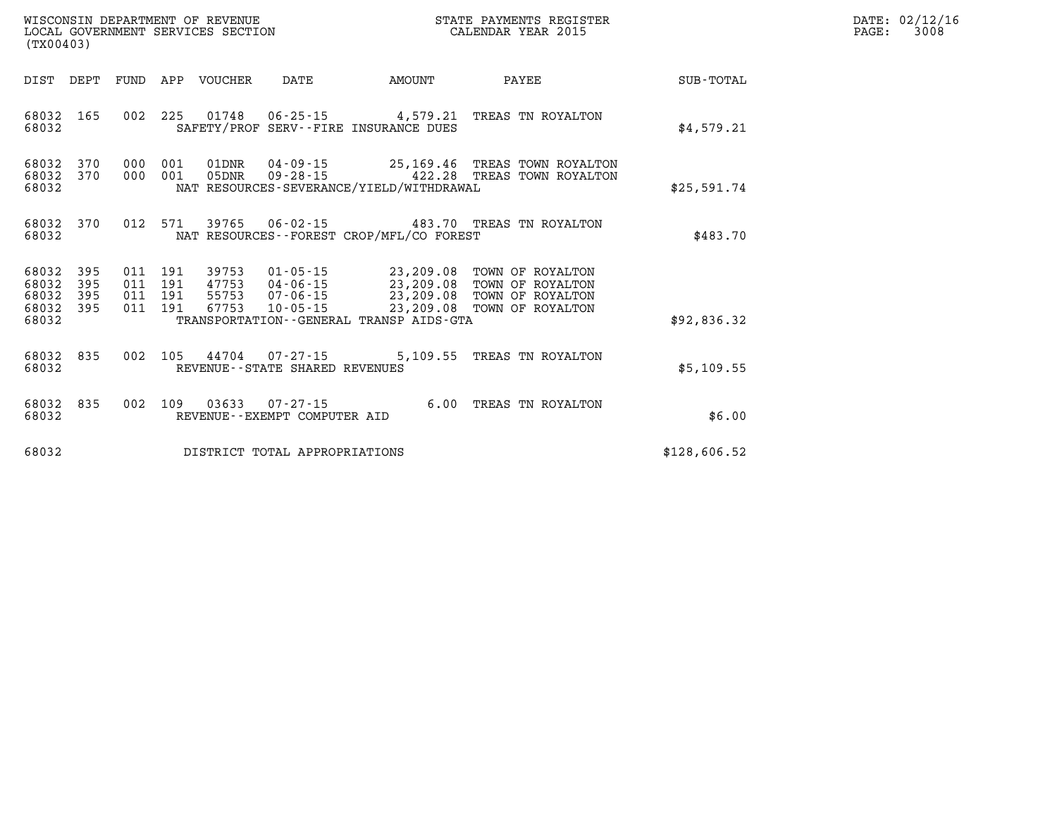| (TX00403)                                                    | ${\tt WISCOONSIM} \begin{tabular}{lcccc} {\tt WISCOONSIM} \end{tabular} \begin{tabular}{lcccc} {\tt NISCOONSIM} \end{tabular} \begin{tabular}{lcccc} {\tt NUCAL} \end{tabular} \begin{tabular}{lcccc} {\tt NUCAL} \end{tabular} \begin{tabular}{lcccc} {\tt NUCAL} \end{tabular} \begin{tabular}{lcccc} {\tt NUCAL} \end{tabular} \end{tabular} \begin{tabular}{lcccc} {\tt NUCAL} \end{tabular} \begin{tabular}{lcccc} {\tt NUCAL} \end{tabular} \end{tabular} \begin{tabular}{lcccc} {\tt NUCAL} \end{tabular} \begin{tabular}{lcccc} {\$ |        | STATE PAYMENTS REGISTER             |              | DATE: 02/12/16<br>3008<br>$\mathtt{PAGE:}$ |
|--------------------------------------------------------------|---------------------------------------------------------------------------------------------------------------------------------------------------------------------------------------------------------------------------------------------------------------------------------------------------------------------------------------------------------------------------------------------------------------------------------------------------------------------------------------------------------------------------------------------|--------|-------------------------------------|--------------|--------------------------------------------|
| DIST DEPT                                                    | FUND APP VOUCHER DATE                                                                                                                                                                                                                                                                                                                                                                                                                                                                                                                       | AMOUNT | <b>PAYEE</b>                        | SUB-TOTAL    |                                            |
| 68032 165<br>68032                                           | 002 225 01748 06-25-15 4,579.21 TREAS TN ROYALTON<br>SAFETY/PROF SERV--FIRE INSURANCE DUES                                                                                                                                                                                                                                                                                                                                                                                                                                                  |        |                                     | \$4,579.21   |                                            |
| 68032<br>370<br>370<br>68032<br>68032                        | 000 001 01DNR 04-09-15 25,169.46 TREAS TOWN ROYALTON<br>000 001 05DNR<br>NAT RESOURCES-SEVERANCE/YIELD/WITHDRAWAL                                                                                                                                                                                                                                                                                                                                                                                                                           |        | 09-28-15 422.28 TREAS TOWN ROYALTON | \$25,591.74  |                                            |
| 68032<br>370<br>68032                                        | 012 571 39765 06-02-15 483.70 TREAS TN ROYALTON<br>NAT RESOURCES - - FOREST CROP/MFL/CO FOREST                                                                                                                                                                                                                                                                                                                                                                                                                                              |        |                                     | \$483.70     |                                            |
| 395<br>68032<br>68032<br>395<br>395<br>68032<br>395<br>68032 | 39753<br>9753  01-05-15  23,209.08  TOWN OF ROYALTON<br>47753  04-06-15  23,209.08  TOWN OF ROYALTON<br>55753  07-06-15  23,209.08  TOWN OF ROYALTON<br>67753  10-05-15  23,209.08  TOWN OF ROYALTON<br>011 191<br>011 191<br>011 191<br>011 191 67753                                                                                                                                                                                                                                                                                      |        |                                     |              |                                            |
| 68032                                                        | TRANSPORTATION--GENERAL TRANSP AIDS-GTA                                                                                                                                                                                                                                                                                                                                                                                                                                                                                                     |        |                                     | \$92,836.32  |                                            |
| 68032 835<br>68032                                           | 002 105 44704 07-27-15 5,109.55 TREAS TN ROYALTON<br>REVENUE--STATE SHARED REVENUES                                                                                                                                                                                                                                                                                                                                                                                                                                                         |        |                                     | \$5,109.55   |                                            |
| 68032 835<br>68032                                           | 002 109 03633 07-27-15 6.00 TREAS TN ROYALTON<br>REVENUE--EXEMPT COMPUTER AID                                                                                                                                                                                                                                                                                                                                                                                                                                                               |        |                                     | \$6.00       |                                            |
| 68032                                                        | DISTRICT TOTAL APPROPRIATIONS                                                                                                                                                                                                                                                                                                                                                                                                                                                                                                               |        |                                     | \$128,606.52 |                                            |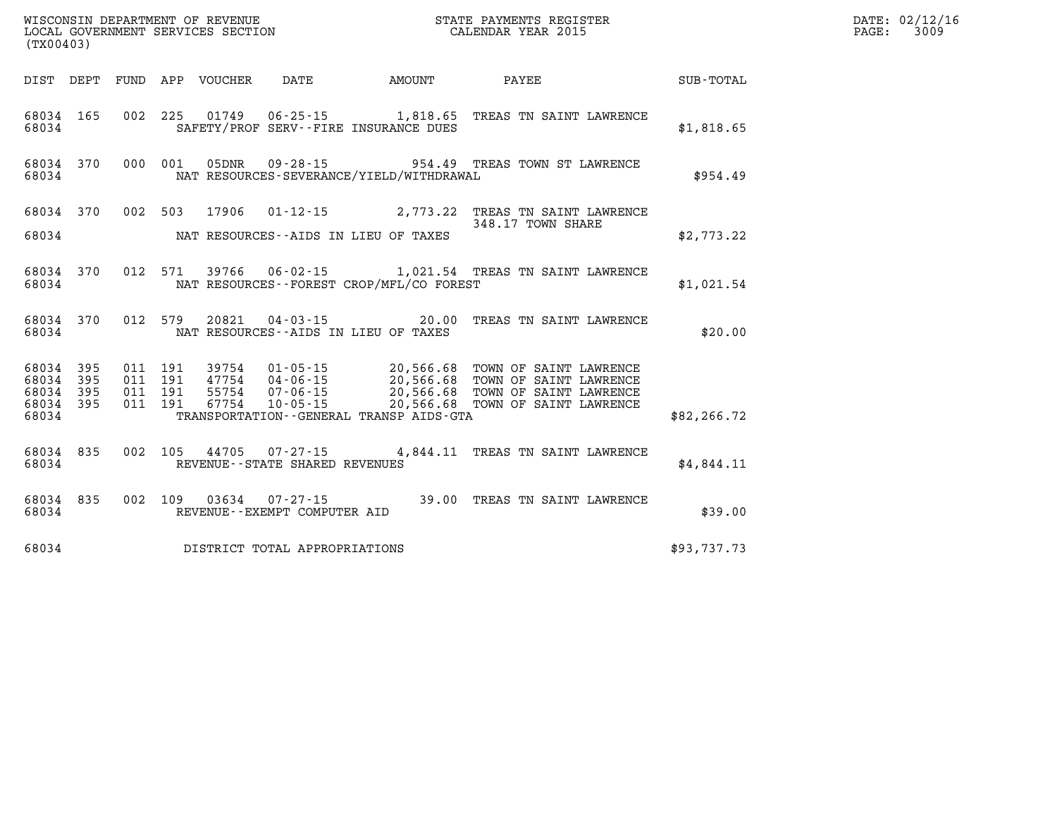| (TX00403)      |            |             |            | WISCONSIN DEPARTMENT OF REVENUE<br>LOCAL GOVERNMENT SERVICES SECTION |                                                     | STATE PAYMENTS REGISTER<br>CALENDAR YEAR 2015           |                                                  |                  |  |
|----------------|------------|-------------|------------|----------------------------------------------------------------------|-----------------------------------------------------|---------------------------------------------------------|--------------------------------------------------|------------------|--|
| DIST           | DEPT       | <b>FUND</b> | APP        | VOUCHER                                                              | <b>DATE</b>                                         | AMOUNT                                                  | PAYEE                                            | <b>SUB-TOTAL</b> |  |
| 68034<br>68034 | 165        | 002         | 225        | 01749                                                                | $06 - 25 - 15$                                      | 1,818.65<br>SAFETY/PROF SERV--FIRE INSURANCE DUES       | TREAS TN SAINT LAWRENCE                          | \$1,818.65       |  |
| 68034<br>68034 | 370        | 000         | 001        | 05DNR                                                                | $09 - 28 - 15$                                      | 954.49<br>NAT RESOURCES-SEVERANCE/YIELD/WITHDRAWAL      | TREAS TOWN ST LAWRENCE                           | \$954.49         |  |
| 68034          | 370        | 002         | 503        | 17906                                                                | $01 - 12 - 15$                                      | 2,773.22                                                | TREAS TN SAINT LAWRENCE<br>348.17 TOWN SHARE     |                  |  |
| 68034          |            |             |            |                                                                      |                                                     | NAT RESOURCES -- AIDS IN LIEU OF TAXES                  |                                                  | \$2,773.22       |  |
| 68034<br>68034 | 370        | 012         | 571        | 39766                                                                | $06 - 02 - 15$                                      | 1,021.54<br>NAT RESOURCES - - FOREST CROP/MFL/CO FOREST | TREAS TN SAINT LAWRENCE                          | \$1,021.54       |  |
| 68034<br>68034 | 370        | 012         | 579        | 20821                                                                | $04 - 03 - 15$                                      | 20.00<br>NAT RESOURCES--AIDS IN LIEU OF TAXES           | TREAS TN SAINT LAWRENCE                          | \$20.00          |  |
| 68034<br>68034 | 395<br>395 | 011<br>011  | 191<br>191 | 39754<br>47754                                                       | $01 - 05 - 15$<br>04-06-15                          | 20,566.68<br>20,566.68                                  | TOWN OF SAINT LAWRENCE<br>TOWN OF SAINT LAWRENCE |                  |  |
| 68034<br>68034 | 395<br>395 | 011<br>011  | 191<br>191 | 55754<br>67754                                                       | $07 - 06 - 15$<br>$10 - 05 - 15$                    | 20,566.68<br>20,566.68                                  | TOWN OF SAINT LAWRENCE<br>TOWN OF SAINT LAWRENCE |                  |  |
| 68034          |            |             |            |                                                                      |                                                     | TRANSPORTATION--GENERAL TRANSP AIDS-GTA                 |                                                  | \$82, 266.72     |  |
| 68034<br>68034 | 835        | 002         | 105        | 44705                                                                | $07 - 27 - 15$<br>REVENUE - - STATE SHARED REVENUES | 4,844.11                                                | TREAS TN SAINT LAWRENCE                          | \$4,844.11       |  |
| 68034<br>68034 | 835        | 002         | 109        | 03634                                                                | $07 - 27 - 15$<br>REVENUE--EXEMPT COMPUTER AID      | 39.00                                                   | TREAS TN SAINT LAWRENCE                          | \$39.00          |  |
| 68034          |            |             |            |                                                                      | DISTRICT TOTAL APPROPRIATIONS                       |                                                         |                                                  | \$93,737.73      |  |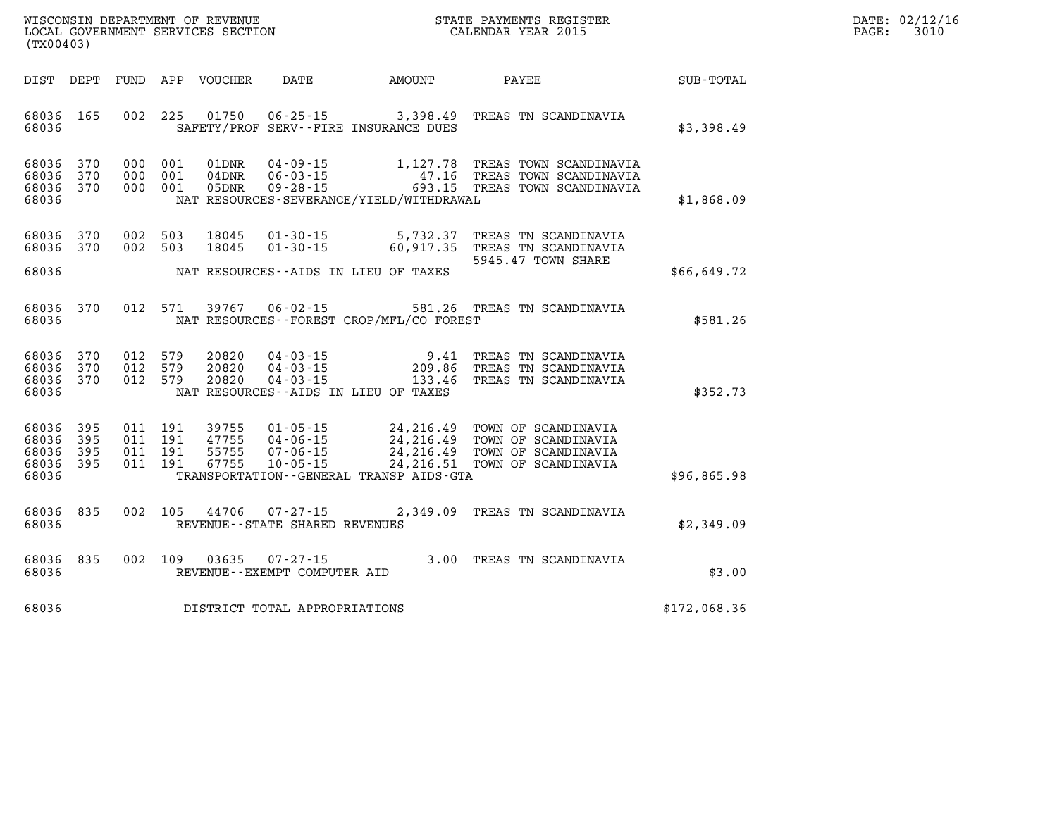| $\mathtt{DATE}$ : | 02/12/16 |
|-------------------|----------|
| PAGE:             | 3010     |

| DIST                                      | DEPT                     | FUND                     | APP                      | VOUCHER                          | DATE                                                                 | AMOUNT                                                                                               | PAYEE                                                                                    | <b>SUB-TOTAL</b> |
|-------------------------------------------|--------------------------|--------------------------|--------------------------|----------------------------------|----------------------------------------------------------------------|------------------------------------------------------------------------------------------------------|------------------------------------------------------------------------------------------|------------------|
| 68036<br>68036                            | 165                      | 002                      | 225                      | 01750                            | $06 - 25 - 15$                                                       | 3,398.49<br>SAFETY/PROF SERV--FIRE INSURANCE DUES                                                    | TREAS TN SCANDINAVIA                                                                     | \$3,398.49       |
| 68036<br>68036<br>68036<br>68036          | 370<br>370<br>370        | 000<br>000<br>000        | 001<br>001<br>001        | 01DNR<br>$04$ DNR<br>05DNR       | $04 - 09 - 15$<br>$06 - 03 - 15$<br>$09 - 28 - 15$                   | 1,127.78<br>47.16<br>693.15<br>NAT RESOURCES-SEVERANCE/YIELD/WITHDRAWAL                              | TREAS TOWN SCANDINAVIA<br>TREAS TOWN SCANDINAVIA<br>TREAS TOWN SCANDINAVIA               | \$1,868.09       |
| 68036<br>68036                            | 370<br>370               | 002<br>002               | 503<br>503               | 18045<br>18045                   | $01 - 30 - 15$<br>$01 - 30 - 15$                                     | 5,732.37<br>60,917.35                                                                                | TREAS TN SCANDINAVIA<br>TREAS TN SCANDINAVIA                                             |                  |
| 68036                                     |                          |                          |                          |                                  |                                                                      | NAT RESOURCES--AIDS IN LIEU OF TAXES                                                                 | 5945.47 TOWN SHARE                                                                       | \$66,649.72      |
| 68036<br>68036                            | 370                      | 012                      | 571                      | 39767                            | $06 - 02 - 15$                                                       | NAT RESOURCES - - FOREST CROP/MFL/CO FOREST                                                          | 581.26 TREAS TN SCANDINAVIA                                                              | \$581.26         |
| 68036<br>68036<br>68036<br>68036          | 370<br>370<br>370        | 012<br>012<br>012        | 579<br>579<br>579        | 20820<br>20820<br>20820          | $04 - 03 - 15$<br>$04 - 03 - 15$<br>$04 - 03 - 15$                   | 9.41<br>209.86<br>133.46<br>NAT RESOURCES -- AIDS IN LIEU OF TAXES                                   | TREAS TN SCANDINAVIA<br>TREAS TN SCANDINAVIA<br>TREAS TN SCANDINAVIA                     | \$352.73         |
| 68036<br>68036<br>68036<br>68036<br>68036 | 395<br>395<br>395<br>395 | 011<br>011<br>011<br>011 | 191<br>191<br>191<br>191 | 39755<br>47755<br>55755<br>67755 | $01 - 05 - 15$<br>$04 - 06 - 15$<br>$07 - 06 - 15$<br>$10 - 05 - 15$ | 24, 216.49<br>24, 216.49<br>24, 216.49<br>24, 216.51<br>TRANSPORTATION - - GENERAL TRANSP AIDS - GTA | TOWN OF SCANDINAVIA<br>TOWN OF SCANDINAVIA<br>TOWN OF SCANDINAVIA<br>TOWN OF SCANDINAVIA | \$96,865.98      |
| 68036<br>68036                            | 835                      | 002                      | 105                      | 44706                            | $07 - 27 - 15$<br>REVENUE - - STATE SHARED REVENUES                  | 2,349.09                                                                                             | TREAS TN SCANDINAVIA                                                                     | \$2,349.09       |
| 68036<br>68036                            | 835                      | 002                      | 109                      | 03635                            | $07 - 27 - 15$<br>REVENUE - - EXEMPT COMPUTER AID                    | 3.00                                                                                                 | TREAS TN SCANDINAVIA                                                                     | \$3.00           |
| 68036                                     |                          |                          |                          |                                  | DISTRICT TOTAL APPROPRIATIONS                                        |                                                                                                      |                                                                                          | \$172,068.36     |

**(TX00403)**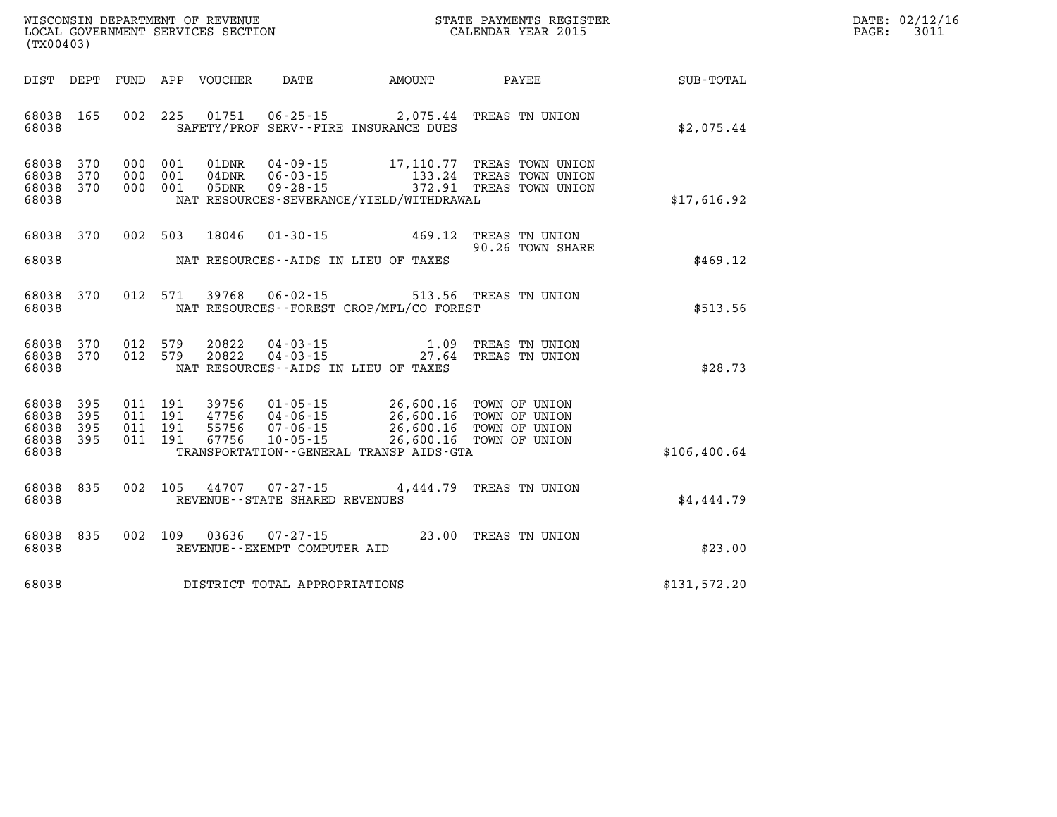| $\mathtt{DATE}$ : | 02/12/16 |
|-------------------|----------|
| $\texttt{PAGE:}$  | 3011     |

| (TX00403)                                 |                          |                          |                          |                                  |                                                                      |                                                                                             |                                                                  |                  |
|-------------------------------------------|--------------------------|--------------------------|--------------------------|----------------------------------|----------------------------------------------------------------------|---------------------------------------------------------------------------------------------|------------------------------------------------------------------|------------------|
| DIST                                      | DEPT                     | FUND                     | APP                      | VOUCHER                          | <b>DATE</b>                                                          | AMOUNT                                                                                      | PAYEE                                                            | <b>SUB-TOTAL</b> |
| 68038<br>68038                            | 165                      | 002                      | 225                      | 01751                            | $06 - 25 - 15$                                                       | 2,075.44<br>SAFETY/PROF SERV--FIRE INSURANCE DUES                                           | TREAS TN UNION                                                   | \$2,075.44       |
| 68038<br>68038<br>68038<br>68038          | 370<br>370<br>370        | 000<br>000<br>000        | 001<br>001<br>001        | 01DNR<br>04DNR<br>05DNR          | $04 - 09 - 15$<br>$06 - 03 - 15$<br>$09 - 28 - 15$                   | 17,110.77<br>133.24<br>372.91<br>NAT RESOURCES-SEVERANCE/YIELD/WITHDRAWAL                   | TREAS TOWN UNION<br>TREAS TOWN UNION<br>TREAS TOWN UNION         | \$17,616.92      |
| 68038<br>68038                            | 370                      | 002                      | 503                      | 18046                            | $01 - 30 - 15$                                                       | 469.12<br>NAT RESOURCES -- AIDS IN LIEU OF TAXES                                            | TREAS TN UNION<br>90.26 TOWN SHARE                               | \$469.12         |
| 68038<br>68038                            | 370                      | 012                      | 571                      | 39768                            | $06 - 02 - 15$                                                       | 513.56<br>NAT RESOURCES - - FOREST CROP/MFL/CO FOREST                                       | TREAS TN UNION                                                   | \$513.56         |
| 68038<br>68038<br>68038                   | 370<br>370               | 012<br>012               | 579<br>579               | 20822<br>20822                   | $04 - 03 - 15$<br>$04 - 03 - 15$                                     | 1.09<br>27.64<br>NAT RESOURCES -- AIDS IN LIEU OF TAXES                                     | TREAS TN UNION<br>TREAS TN UNION                                 | \$28.73          |
| 68038<br>68038<br>68038<br>68038<br>68038 | 395<br>395<br>395<br>395 | 011<br>011<br>011<br>011 | 191<br>191<br>191<br>191 | 39756<br>47756<br>55756<br>67756 | $01 - 05 - 15$<br>$04 - 06 - 15$<br>$07 - 06 - 15$<br>$10 - 05 - 15$ | 26,600.16<br>26,600.16<br>26,600.16<br>26,600.16<br>TRANSPORTATION--GENERAL TRANSP AIDS-GTA | TOWN OF UNION<br>TOWN OF UNION<br>TOWN OF UNION<br>TOWN OF UNION | \$106, 400.64    |
| 68038<br>68038                            | 835                      | 002                      | 105                      | 44707                            | $07 - 27 - 15$<br>REVENUE - - STATE SHARED REVENUES                  | 4,444.79                                                                                    | TREAS TN UNION                                                   | \$4,444.79       |
| 68038<br>68038                            | 835                      | 002                      | 109                      | 03636                            | $07 - 27 - 15$<br>REVENUE--EXEMPT COMPUTER AID                       | 23.00                                                                                       | TREAS TN UNION                                                   | \$23.00          |
| 68038                                     |                          |                          |                          |                                  | DISTRICT TOTAL APPROPRIATIONS                                        |                                                                                             |                                                                  | \$131,572.20     |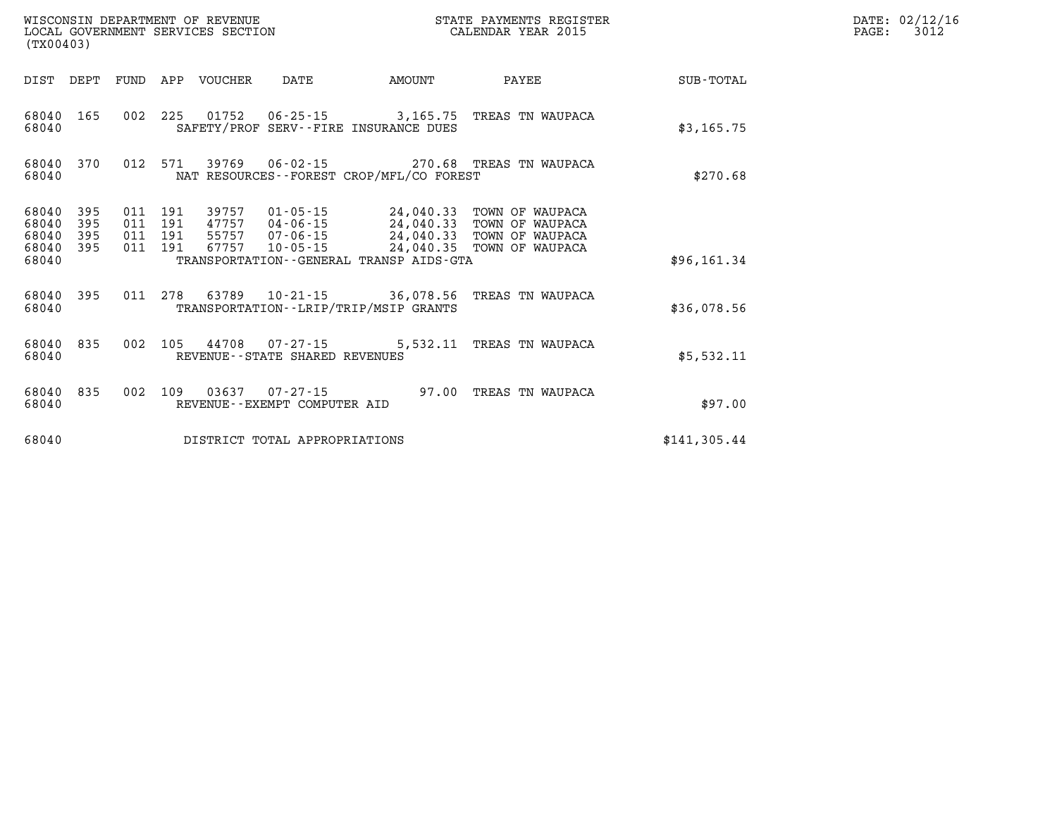| (TX00403)                                 |                          |                          |                          | WISCONSIN DEPARTMENT OF REVENUE<br>LOCAL GOVERNMENT SERVICES SECTION |                                                          |                                                                                             | STATE PAYMENTS REGISTER<br>CALENDAR YEAR 2015                            |                  |
|-------------------------------------------|--------------------------|--------------------------|--------------------------|----------------------------------------------------------------------|----------------------------------------------------------|---------------------------------------------------------------------------------------------|--------------------------------------------------------------------------|------------------|
| DIST                                      | DEPT                     | FUND                     | APP                      | VOUCHER                                                              | DATE                                                     | <b>AMOUNT</b>                                                                               | PAYEE                                                                    | <b>SUB-TOTAL</b> |
| 68040<br>68040                            | 165                      | 002                      | 225                      | 01752                                                                | $06 - 25 - 15$                                           | 3,165.75<br>SAFETY/PROF SERV--FIRE INSURANCE DUES                                           | TREAS TN WAUPACA                                                         | \$3,165.75       |
| 68040<br>68040                            | 370                      | 012                      | 571                      | 39769                                                                | $06 - 02 - 15$                                           | NAT RESOURCES--FOREST CROP/MFL/CO FOREST                                                    | 270.68 TREAS TN WAUPACA                                                  | \$270.68         |
| 68040<br>68040<br>68040<br>68040<br>68040 | 395<br>395<br>395<br>395 | 011<br>011<br>011<br>011 | 191<br>191<br>191<br>191 | 39757<br>47757<br>55757<br>67757                                     | 01-05-15<br>04-06-15<br>$07 - 06 - 15$<br>$10 - 05 - 15$ | 24,040.33<br>24,040.33<br>24,040.33<br>24,040.35<br>TRANSPORTATION--GENERAL TRANSP AIDS-GTA | TOWN OF WAUPACA<br>TOWN OF WAUPACA<br>TOWN OF WAUPACA<br>TOWN OF WAUPACA | \$96,161.34      |
| 68040<br>68040                            | 395                      | 011                      | 278                      | 63789                                                                |                                                          | 10-21-15 36,078.56<br>TRANSPORTATION - - LRIP/TRIP/MSIP GRANTS                              | TREAS TN WAUPACA                                                         | \$36,078.56      |
| 68040<br>68040                            | 835                      | 002                      | 105                      | 44708                                                                | $07 - 27 - 15$<br>REVENUE--STATE SHARED REVENUES         | 5,532.11                                                                                    | TREAS TN WAUPACA                                                         | \$5,532.11       |
| 68040<br>68040                            | 835                      | 002                      | 109                      | 03637                                                                | 07-27-15<br>REVENUE - - EXEMPT COMPUTER AID              | 97.00                                                                                       | TREAS TN WAUPACA                                                         | \$97.00          |
| 68040                                     |                          |                          |                          |                                                                      | DISTRICT TOTAL APPROPRIATIONS                            |                                                                                             |                                                                          | \$141,305.44     |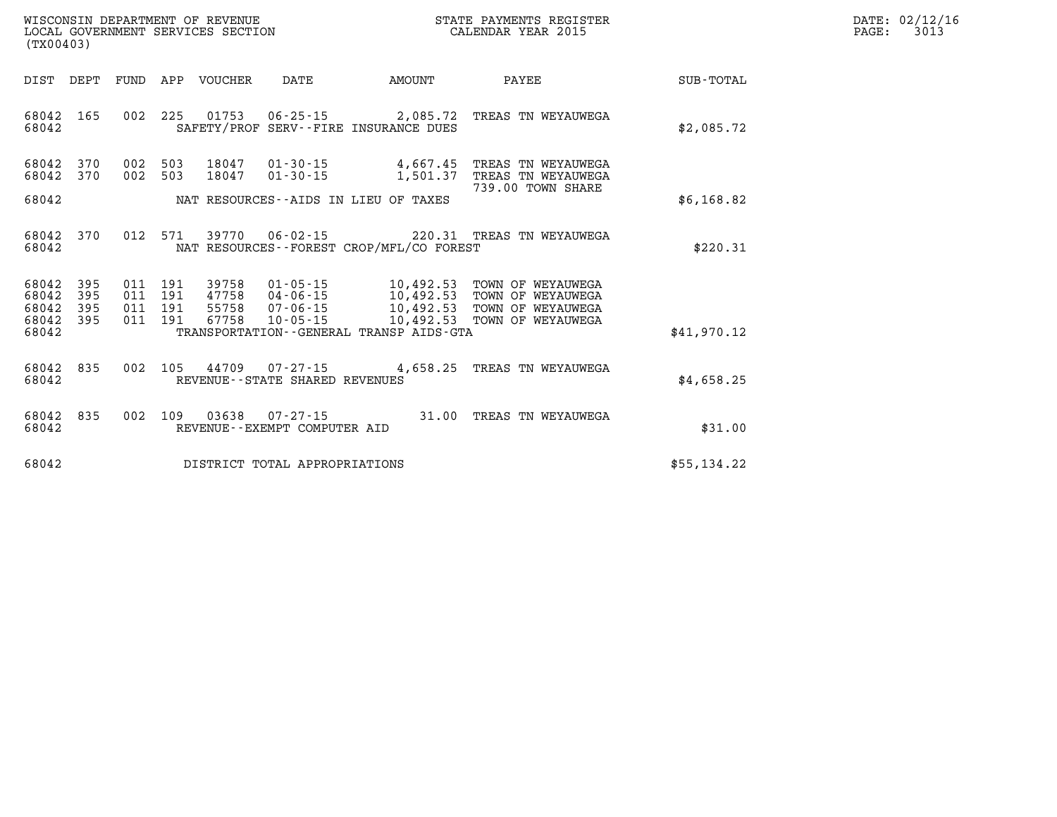| $\mathtt{DATE}$ : | 02/12/16 |
|-------------------|----------|
| $\mathtt{PAGE}$ : | 3013     |

| WISCONSIN DEPARTMENT OF REVENUE<br>LOCAL GOVERNMENT SERVICES SECTION<br>(TX00403) |                                                                                                    | STATE PAYMENTS REGISTER<br>CALENDAR YEAR 2015                                                      |                  |
|-----------------------------------------------------------------------------------|----------------------------------------------------------------------------------------------------|----------------------------------------------------------------------------------------------------|------------------|
| DIST<br>DEPT<br><b>FUND</b>                                                       | APP<br><b>VOUCHER</b><br>DATE                                                                      | AMOUNT<br>PAYEE                                                                                    | <b>SUB-TOTAL</b> |
| 002<br>68042<br>165<br>68042                                                      | 225<br>01753<br>$06 - 25 - 15$<br>SAFETY/PROF SERV--FIRE INSURANCE DUES                            | 2,085.72<br>TREAS TN WEYAUWEGA                                                                     | \$2,085.72       |
| 002<br>370<br>68042<br>002<br>68042<br>370                                        | 503<br>18047<br>$01 - 30 - 15$<br>503<br>18047<br>$01 - 30 - 15$                                   | 4,667.45<br>TREAS TN WEYAUWEGA<br>1,501.37<br>TREAS TN WEYAUWEGA                                   |                  |
| 68042                                                                             | NAT RESOURCES--AIDS IN LIEU OF TAXES                                                               | 739.00 TOWN SHARE                                                                                  | \$6,168.82       |
| 012<br>68042<br>370<br>68042                                                      | 571<br>39770<br>$06 - 02 - 15$<br>NAT RESOURCES - - FOREST CROP/MFL/CO FOREST                      | 220.31 TREAS TN WEYAUWEGA                                                                          | \$220.31         |
| 395<br>68042<br>011<br>68042<br>395<br>011<br>68042<br>395<br>011                 | $01 - 05 - 15$<br>191<br>39758<br>191<br>47758<br>$04 - 06 - 15$<br>191<br>55758<br>$07 - 06 - 15$ | 10,492.53<br>TOWN OF WEYAUWEGA<br>10,492.53<br>TOWN OF WEYAUWEGA<br>10,492.53<br>TOWN OF WEYAUWEGA |                  |
| 68042<br>011<br>395<br>68042                                                      | 191<br>67758<br>$10 - 05 - 15$<br>TRANSPORTATION - - GENERAL TRANSP AIDS - GTA                     | 10,492.53<br>TOWN OF WEYAUWEGA                                                                     | \$41,970.12      |
| 835<br>002<br>68042<br>68042                                                      | 105<br>44709<br>$07 - 27 - 15$<br>REVENUE - - STATE SHARED REVENUES                                | 4,658.25<br>TREAS TN WEYAUWEGA                                                                     | \$4,658.25       |
| 002<br>68042<br>835<br>68042                                                      | 109<br>03638<br>$07 - 27 - 15$<br>REVENUE--EXEMPT COMPUTER AID                                     | 31.00<br>TREAS TN WEYAUWEGA                                                                        | \$31.00          |
| 68042                                                                             | DISTRICT TOTAL APPROPRIATIONS                                                                      |                                                                                                    | \$55,134.22      |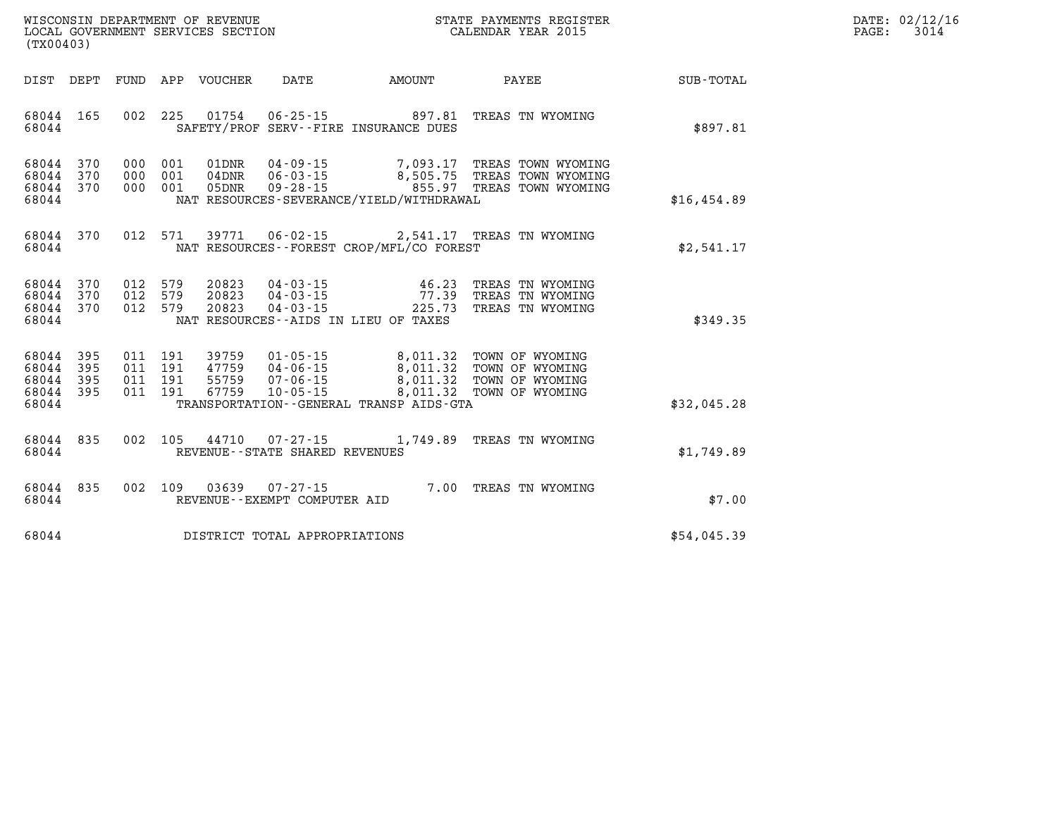| DATE:             | 02/12/16 |
|-------------------|----------|
| $\mathtt{PAGE}$ : | 3014     |

| WISCONSIN DEPARTMENT OF REVENUE<br>LOCAL GOVERNMENT SERVICES SECTION<br>(TX00403)                 |                                                                                                                                                                                 |                                              | STATE PAYMENTS REGISTER<br>CALENDAR YEAR 2015                                  |                  |
|---------------------------------------------------------------------------------------------------|---------------------------------------------------------------------------------------------------------------------------------------------------------------------------------|----------------------------------------------|--------------------------------------------------------------------------------|------------------|
| DEPT<br><b>FUND</b><br>DIST                                                                       | APP<br>VOUCHER<br><b>DATE</b>                                                                                                                                                   | <b>AMOUNT</b>                                | PAYEE                                                                          | <b>SUB-TOTAL</b> |
| 002<br>68044<br>165<br>68044                                                                      | 225<br>01754<br>$06 - 25 - 15$<br>SAFETY/PROF SERV--FIRE INSURANCE DUES                                                                                                         | 897.81                                       | TREAS TN WYOMING                                                               | \$897.81         |
| 68044<br>370<br>000<br>370<br>000<br>68044<br>68044<br>370<br>000<br>68044                        | $04 - 09 - 15$<br>001<br>01DNR<br>$06 - 03 - 15$<br>001<br>$04$ DNR<br>001<br>$09 - 28 - 15$<br>05DNR<br>NAT RESOURCES-SEVERANCE/YIELD/WITHDRAWAL                               | 7,093.17                                     | TREAS TOWN WYOMING<br>8,505.75 TREAS TOWN WYOMING<br>855.97 TREAS TOWN WYOMING | \$16,454.89      |
| 012<br>68044<br>370<br>68044                                                                      | 571<br>39771<br>$06 - 02 - 15$<br>NAT RESOURCES - - FOREST CROP/MFL/CO FOREST                                                                                                   | 2,541.17                                     | TREAS TN WYOMING                                                               | \$2,541.17       |
| 012<br>68044<br>370<br>370<br>012<br>68044<br>012<br>68044<br>370<br>68044                        | 20823<br>579<br>$04 - 03 - 15$<br>579<br>20823<br>$04 - 03 - 15$<br>579<br>20823<br>$04 - 03 - 15$<br>NAT RESOURCES -- AIDS IN LIEU OF TAXES                                    | 46.23<br>77.39<br>225.73                     | TREAS TN WYOMING<br>TREAS TN WYOMING<br>TREAS TN WYOMING                       | \$349.35         |
| 68044<br>395<br>011<br>395<br>011<br>68044<br>68044<br>011<br>395<br>395<br>011<br>68044<br>68044 | 191<br>$01 - 05 - 15$<br>39759<br>191<br>47759<br>$04 - 06 - 15$<br>191<br>55759<br>$07 - 06 - 15$<br>191<br>67759<br>$10 - 05 - 15$<br>TRANSPORTATION--GENERAL TRANSP AIDS-GTA | 8,011.32<br>8,011.32<br>8,011.32<br>8,011.32 | TOWN OF WYOMING<br>TOWN OF WYOMING<br>TOWN OF WYOMING<br>TOWN OF WYOMING       | \$32,045.28      |
| 002<br>68044<br>835<br>68044                                                                      | 105<br>44710<br>$07 - 27 - 15$<br>REVENUE - - STATE SHARED REVENUES                                                                                                             | 1,749.89                                     | TREAS TN WYOMING                                                               | \$1,749.89       |
| 68044<br>835<br>002<br>68044                                                                      | 109<br>03639<br>$07 - 27 - 15$<br>REVENUE - - EXEMPT COMPUTER AID                                                                                                               | 7.00                                         | TREAS TN WYOMING                                                               | \$7.00           |
| 68044                                                                                             | DISTRICT TOTAL APPROPRIATIONS                                                                                                                                                   |                                              |                                                                                | \$54,045.39      |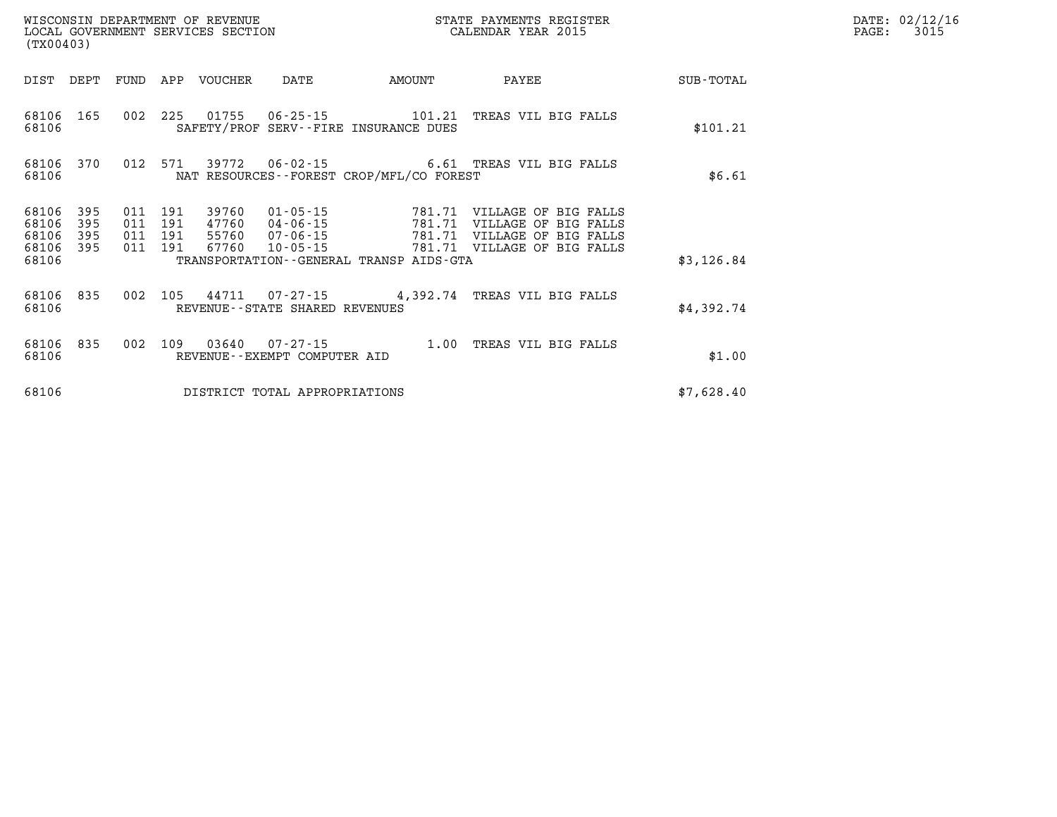| $\mathtt{DATE}$ : | 02/12/16 |
|-------------------|----------|
| PAGE:             | 3015     |

| (TX00403)                        |                          |     |                                      | LOCAL GOVERNMENT SERVICES SECTION |                                                                |                                          | CALENDAR YEAR 2015                                                                                                |             | PAGE: | 3015 |
|----------------------------------|--------------------------|-----|--------------------------------------|-----------------------------------|----------------------------------------------------------------|------------------------------------------|-------------------------------------------------------------------------------------------------------------------|-------------|-------|------|
| DIST DEPT                        |                          |     |                                      | FUND APP VOUCHER                  | DATE                                                           | AMOUNT                                   | PAYEE                                                                                                             | SUB - TOTAL |       |      |
| 68106<br>68106                   | 165                      |     |                                      |                                   |                                                                | SAFETY/PROF SERV--FIRE INSURANCE DUES    | 002 225 01755 06-25-15 101.21 TREAS VIL BIG FALLS                                                                 | \$101.21    |       |      |
| 68106<br>68106                   | 370                      |     |                                      |                                   |                                                                | NAT RESOURCES--FOREST CROP/MFL/CO FOREST | 012 571 39772 06-02-15 6.61 TREAS VIL BIG FALLS                                                                   | \$6.61      |       |      |
| 68106<br>68106<br>68106<br>68106 | 395<br>395<br>395<br>395 | 011 | 011 191<br>191<br>011 191<br>011 191 | 39760<br>47760<br>55760<br>67760  | $01 - 05 - 15$<br>$04 - 06 - 15$<br>07-06-15<br>$10 - 05 - 15$ | 781.71                                   | 781.71 VILLAGE OF BIG FALLS<br>VILLAGE OF BIG FALLS<br>781.71 VILLAGE OF BIG FALLS<br>781.71 VILLAGE OF BIG FALLS |             |       |      |
| 68106                            |                          |     |                                      |                                   |                                                                | TRANSPORTATION--GENERAL TRANSP AIDS-GTA  |                                                                                                                   | \$3,126.84  |       |      |
| 68106 835<br>68106               |                          |     |                                      |                                   | REVENUE--STATE SHARED REVENUES                                 |                                          | 002 105 44711 07-27-15 4,392.74 TREAS VIL BIG FALLS                                                               | \$4,392.74  |       |      |
| 68106<br>68106                   | 835                      |     |                                      | 002 109 03640                     | REVENUE--EXEMPT COMPUTER AID                                   |                                          | 07-27-15 1.00 TREAS VIL BIG FALLS                                                                                 | \$1.00      |       |      |
| 68106                            |                          |     |                                      |                                   | DISTRICT TOTAL APPROPRIATIONS                                  |                                          |                                                                                                                   | \$7,628.40  |       |      |

WISCONSIN DEPARTMENT OF REVENUE **STATE PAYMENTS REGISTER**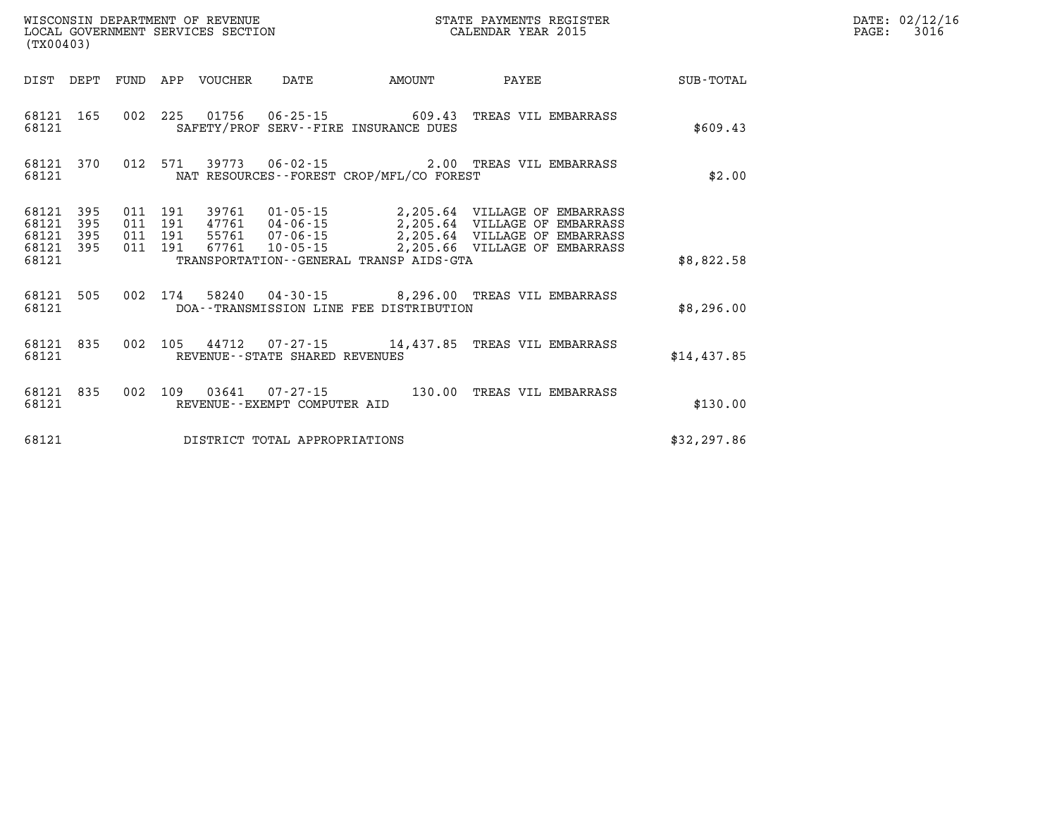| (TX00403)                                 |                          |                          |                          | WISCONSIN DEPARTMENT OF REVENUE<br>LOCAL GOVERNMENT SERVICES SECTION |                                |                                                                    | STATE PAYMENTS REGISTER<br>CALENDAR YEAR 2015                                                                                                                                                   |              |
|-------------------------------------------|--------------------------|--------------------------|--------------------------|----------------------------------------------------------------------|--------------------------------|--------------------------------------------------------------------|-------------------------------------------------------------------------------------------------------------------------------------------------------------------------------------------------|--------------|
|                                           |                          |                          |                          |                                                                      |                                | DIST DEPT FUND APP VOUCHER DATE AMOUNT                             | PAYEE                                                                                                                                                                                           | SUB-TOTAL    |
| 68121                                     | 68121 165                | 002                      |                          |                                                                      |                                | 225 01756 06-25-15 609.43<br>SAFETY/PROF SERV--FIRE INSURANCE DUES | TREAS VIL EMBARRASS                                                                                                                                                                             | \$609.43     |
| 68121                                     | 68121 370                | 012                      |                          |                                                                      |                                | NAT RESOURCES - - FOREST CROP/MFL/CO FOREST                        | 571 39773 06-02-15 2.00 TREAS VIL EMBARRASS                                                                                                                                                     | \$2.00       |
| 68121<br>68121<br>68121<br>68121<br>68121 | 395<br>395<br>395<br>395 | 011<br>011<br>011<br>011 | 191<br>191<br>191<br>191 | 67761                                                                |                                | TRANSPORTATION--GENERAL TRANSP AIDS-GTA                            | 39761  01-05-15  2,205.64  VILLAGE OF EMBARRASS<br>47761  04-06-15  2,205.64  VILLAGE OF EMBARRASS<br>55761  07-06-15  2,205.64  VILLAGE OF EMBARRASS<br>10-05-15 2,205.66 VILLAGE OF EMBARRASS | \$8,822.58   |
| 68121<br>68121                            | 505                      | 002                      |                          |                                                                      |                                | DOA--TRANSMISSION LINE FEE DISTRIBUTION                            | 174  58240  04-30-15  8,296.00  TREAS VIL EMBARRASS                                                                                                                                             | \$8,296.00   |
| 68121                                     | 68121 835                | 002                      |                          |                                                                      | REVENUE--STATE SHARED REVENUES |                                                                    | 105 44712 07-27-15 14,437.85 TREAS VIL EMBARRASS                                                                                                                                                | \$14,437.85  |
| 68121<br>68121                            | 835                      | 002                      |                          |                                                                      | REVENUE--EXEMPT COMPUTER AID   | 109  03641  07-27-15  130.00                                       | TREAS VIL EMBARRASS                                                                                                                                                                             | \$130.00     |
| 68121                                     |                          |                          |                          |                                                                      | DISTRICT TOTAL APPROPRIATIONS  |                                                                    |                                                                                                                                                                                                 | \$32, 297.86 |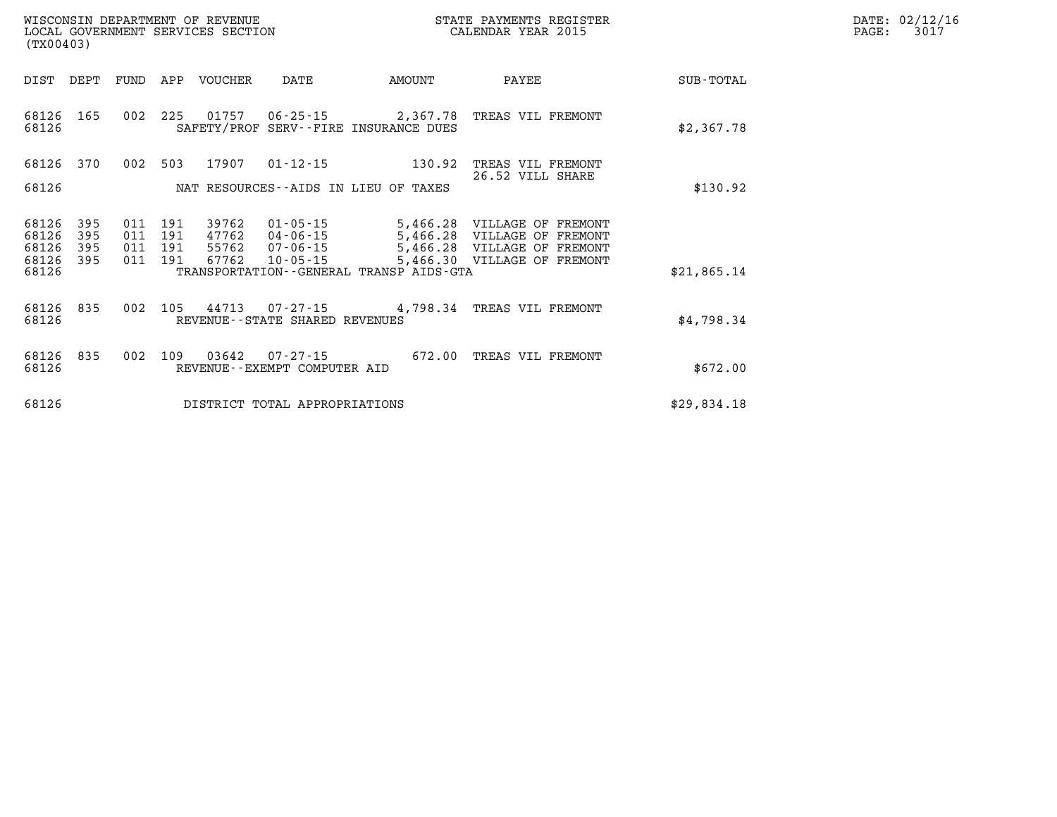| WISCONSIN DEPARTMENT OF REVENUE   | ' PAYMENTS REGISTER<br>STATE | $\mathtt{DATE}$ : | 02/12/16 |
|-----------------------------------|------------------------------|-------------------|----------|
| LOCAL GOVERNMENT SERVICES SECTION | CALENDAR YEAR 2015           | PAGE:             | 301      |

| (TX00403)                                 |                          |                          |                          |                                  |                                                                |                                                                                         |                                                                                         |             |
|-------------------------------------------|--------------------------|--------------------------|--------------------------|----------------------------------|----------------------------------------------------------------|-----------------------------------------------------------------------------------------|-----------------------------------------------------------------------------------------|-------------|
| DIST                                      | DEPT                     | FUND                     | APP                      | <b>VOUCHER</b>                   | DATE                                                           | AMOUNT                                                                                  | PAYEE                                                                                   | SUB-TOTAL   |
| 68126<br>68126                            | 165                      | 002                      | 225                      | 01757                            | $06 - 25 - 15$                                                 | 2,367.78<br>SAFETY/PROF SERV--FIRE INSURANCE DUES                                       | TREAS VIL FREMONT                                                                       | \$2,367.78  |
| 68126                                     | 370                      | 002                      | 503                      | 17907                            | $01 - 12 - 15$                                                 | 130.92                                                                                  | TREAS VIL FREMONT                                                                       |             |
| 68126                                     |                          |                          |                          |                                  |                                                                | NAT RESOURCES--AIDS IN LIEU OF TAXES                                                    | 26.52 VILL SHARE                                                                        | \$130.92    |
| 68126<br>68126<br>68126<br>68126<br>68126 | 395<br>395<br>395<br>395 | 011<br>011<br>011<br>011 | 191<br>191<br>191<br>191 | 39762<br>47762<br>55762<br>67762 | $01 - 05 - 15$<br>$04 - 06 - 15$<br>07-06-15<br>$10 - 05 - 15$ | 5,466.28<br>5,466.28<br>5,466.28<br>5,466.30<br>TRANSPORTATION--GENERAL TRANSP AIDS-GTA | VILLAGE OF FREMONT<br>VILLAGE OF<br>FREMONT<br>VILLAGE OF FREMONT<br>VILLAGE OF FREMONT | \$21,865.14 |
| 68126<br>68126                            | 835                      | 002                      | 105                      | 44713                            | $07 - 27 - 15$<br>REVENUE--STATE SHARED REVENUES               | 4,798.34                                                                                | TREAS VIL FREMONT                                                                       | \$4,798.34  |
| 68126<br>68126                            | 835                      | 002                      | 109                      | 03642                            | $07 - 27 - 15$<br>REVENUE - - EXEMPT COMPUTER AID              | 672.00                                                                                  | TREAS VIL FREMONT                                                                       | \$672.00    |
| 68126                                     |                          |                          |                          |                                  | DISTRICT TOTAL APPROPRIATIONS                                  |                                                                                         |                                                                                         | \$29,834.18 |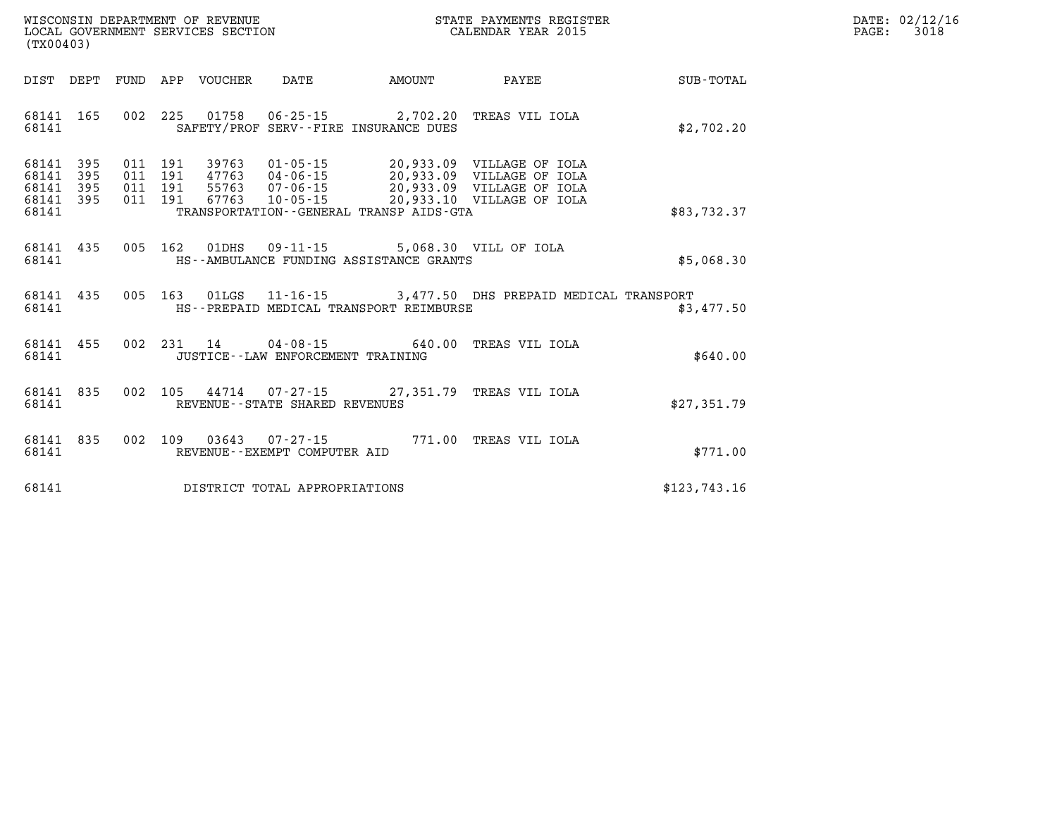| DATE: | 02/12/16 |
|-------|----------|
| PAGE: | 3018     |

| (TX00403)                                                                           | WISCONSIN DEPARTMENT OF REVENUE<br>LOCAL GOVERNMENT SERVICES SECTION                                                                                                     | <b>ST</b>                      | STATE PAYMENTS REGISTER<br>CALENDAR YEAR 2015                                                                    |              |
|-------------------------------------------------------------------------------------|--------------------------------------------------------------------------------------------------------------------------------------------------------------------------|--------------------------------|------------------------------------------------------------------------------------------------------------------|--------------|
| FUND<br>DIST<br>DEPT                                                                | APP<br>VOUCHER DATE                                                                                                                                                      | AMOUNT                         | <b>PAYEE</b>                                                                                                     | SUB-TOTAL    |
| 165<br>002<br>68141<br>68141                                                        | 225<br>01758  06-25-15  2,702.20  TREAS VIL IOLA<br>SAFETY/PROF SERV--FIRE INSURANCE DUES                                                                                |                                |                                                                                                                  | \$2,702.20   |
| 68141<br>395<br>68141<br>395<br>011<br>68141<br>395<br>011<br>68141<br>395<br>68141 | 011 191<br>39763<br>$01 - 05 - 15$<br>$47763$ $04-06-15$<br>191<br>191  55763  07-06-15<br>011 191<br>67763<br>$10 - 05 - 15$<br>TRANSPORTATION--GENERAL TRANSP AIDS-GTA |                                | 20,933.09 VILLAGE OF IOLA<br>20,933.09 VILLAGE OF IOLA<br>20,933.09 VILLAGE OF IOLA<br>20,933.10 VILLAGE OF IOLA | \$83,732.37  |
| 435<br>005<br>68141<br>68141                                                        | 162<br>01DHS<br>HS--AMBULANCE FUNDING ASSISTANCE GRANTS                                                                                                                  | 09-11-15 5,068.30 VILL OF IOLA |                                                                                                                  | \$5,068.30   |
| 005<br>68141<br>435<br>68141                                                        | 163<br>HS--PREPAID MEDICAL TRANSPORT REIMBURSE                                                                                                                           |                                | 01LGS 11-16-15 3,477.50 DHS PREPAID MEDICAL TRANSPORT                                                            | \$3,477.50   |
| 455<br>68141<br>68141                                                               | $14 04 - 08 - 15$<br>002 231<br>JUSTICE - - LAW ENFORCEMENT TRAINING                                                                                                     | 640.00                         | TREAS VIL IOLA                                                                                                   | \$640.00     |
| 68141<br>835<br>002<br>68141                                                        | 105 44714 07-27-15 27,351.79 TREAS VIL IOLA<br>REVENUE - - STATE SHARED REVENUES                                                                                         |                                |                                                                                                                  | \$27,351.79  |
| 835<br>68141<br>68141                                                               | 002 109<br>03643<br>REVENUE--EXEMPT COMPUTER AID                                                                                                                         |                                | 07-27-15 771.00 TREAS VIL IOLA                                                                                   | \$771.00     |
| 68141                                                                               | DISTRICT TOTAL APPROPRIATIONS                                                                                                                                            |                                |                                                                                                                  | \$123,743.16 |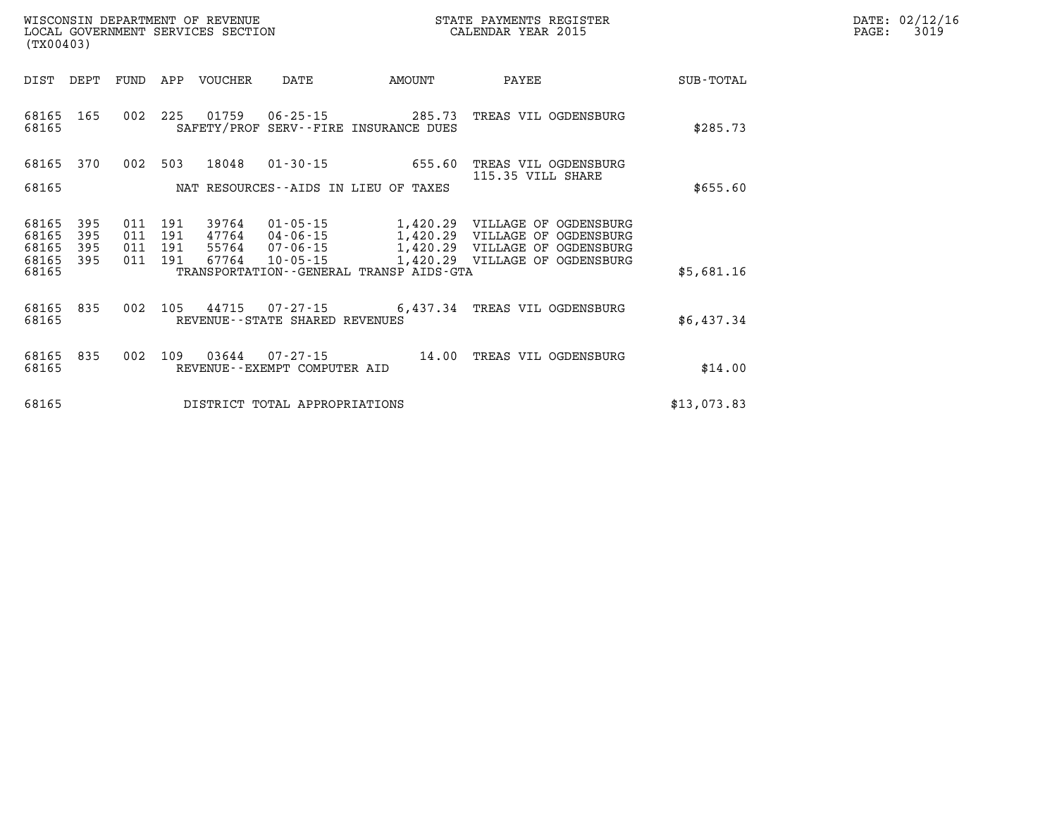| DATE: | 02/12/16 |
|-------|----------|
| PAGE: | 3019     |

| (TX00403)                                 |                          |                          |                          |                                  |                                                          |                                                                 |                                                                                                                    |             |
|-------------------------------------------|--------------------------|--------------------------|--------------------------|----------------------------------|----------------------------------------------------------|-----------------------------------------------------------------|--------------------------------------------------------------------------------------------------------------------|-------------|
| DIST                                      | DEPT                     | FUND                     | APP                      | <b>VOUCHER</b>                   | DATE                                                     | AMOUNT                                                          | PAYEE                                                                                                              | SUB-TOTAL   |
| 68165<br>68165                            | 165                      | 002                      | 225                      | 01759                            | 06-25-15                                                 | 285.73<br>SAFETY/PROF SERV--FIRE INSURANCE DUES                 | TREAS VIL OGDENSBURG                                                                                               | \$285.73    |
| 68165<br>68165                            | 370                      | 002                      | 503                      | 18048                            | $01 - 30 - 15$                                           | 655.60<br>NAT RESOURCES--AIDS IN LIEU OF TAXES                  | TREAS VIL OGDENSBURG<br>115.35 VILL SHARE                                                                          | \$655.60    |
| 68165<br>68165<br>68165<br>68165<br>68165 | 395<br>395<br>395<br>395 | 011<br>011<br>011<br>011 | 191<br>191<br>191<br>191 | 39764<br>47764<br>55764<br>67764 | $01 - 05 - 15$<br>04-06-15<br>07-06-15<br>$10 - 05 - 15$ | 1,420.29<br>1,420.29<br>TRANSPORTATION--GENERAL TRANSP AIDS-GTA | 1,420.29 VILLAGE OF OGDENSBURG<br>VILLAGE OF OGDENSBURG<br>VILLAGE OF OGDENSBURG<br>1,420.29 VILLAGE OF OGDENSBURG | \$5,681.16  |
| 68165<br>68165                            | 835                      | 002                      | 105                      | 44715                            | 07-27-15<br>REVENUE--STATE SHARED REVENUES               | 6,437.34                                                        | TREAS VIL OGDENSBURG                                                                                               | \$6,437.34  |
| 68165<br>68165                            | 835                      | 002                      | 109                      | 03644                            | $07 - 27 - 15$<br>REVENUE--EXEMPT COMPUTER AID           | 14.00                                                           | TREAS VIL OGDENSBURG                                                                                               | \$14.00     |
| 68165                                     |                          |                          |                          |                                  | DISTRICT TOTAL APPROPRIATIONS                            |                                                                 |                                                                                                                    | \$13,073.83 |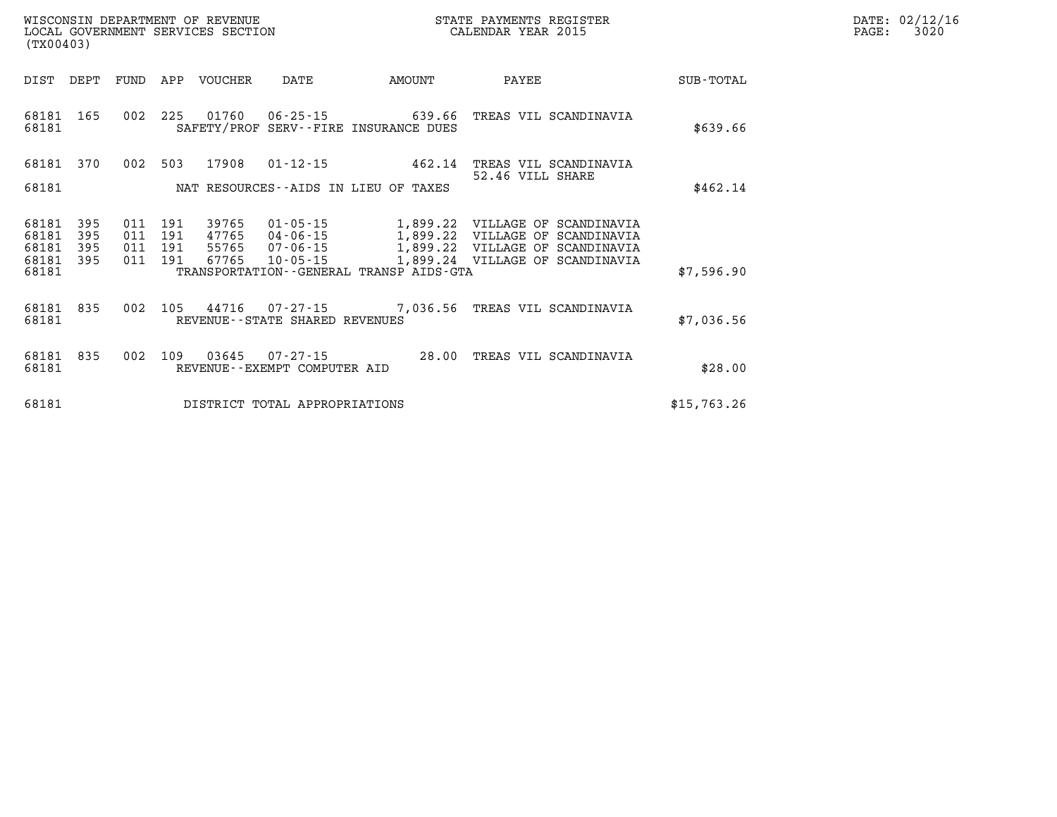| OF REVENUE                           | PAYMENTS REGISTER  |       | 02/12/16     |
|--------------------------------------|--------------------|-------|--------------|
| WISCONSIN DEPARTMENT                 | STATE              | DATE: | <b>TRITO</b> |
| LOCAL<br>GOVERNMENT SERVICES SECTION | CALENDAR YEAR 2015 | PAGE  | 3020         |

| (TX00403)                                 |                          |                          |                          |                                  |                                                    |                                                                                         |                                                                                                            |             |
|-------------------------------------------|--------------------------|--------------------------|--------------------------|----------------------------------|----------------------------------------------------|-----------------------------------------------------------------------------------------|------------------------------------------------------------------------------------------------------------|-------------|
| DIST                                      | DEPT                     | FUND                     | APP                      | VOUCHER                          | DATE                                               | AMOUNT                                                                                  | PAYEE                                                                                                      | SUB-TOTAL   |
| 68181<br>68181                            | 165                      | 002                      | 225                      | 01760                            | $06 - 25 - 15$                                     | 639.66<br>SAFETY/PROF SERV--FIRE INSURANCE DUES                                         | TREAS VIL SCANDINAVIA                                                                                      | \$639.66    |
| 68181                                     | 370                      | 002                      | 503                      | 17908                            | $01 - 12 - 15$                                     | 462.14                                                                                  | TREAS VIL SCANDINAVIA<br>52.46 VILL SHARE                                                                  |             |
| 68181                                     |                          |                          |                          |                                  |                                                    | NAT RESOURCES--AIDS IN LIEU OF TAXES                                                    |                                                                                                            | \$462.14    |
| 68181<br>68181<br>68181<br>68181<br>68181 | 395<br>395<br>395<br>395 | 011<br>011<br>011<br>011 | 191<br>191<br>191<br>191 | 39765<br>47765<br>55765<br>67765 | 01-05-15<br>04-06-15<br>07-06-15<br>$10 - 05 - 15$ | 1,899.22<br>1,899.22<br>1,899.22<br>1,899.24<br>TRANSPORTATION--GENERAL TRANSP AIDS-GTA | VILLAGE OF SCANDINAVIA<br>VILLAGE<br>SCANDINAVIA<br>OF<br>VILLAGE OF SCANDINAVIA<br>VILLAGE OF SCANDINAVIA | \$7,596.90  |
| 68181<br>68181                            | 835                      | 002                      | 105                      | 44716                            | $07 - 27 - 15$<br>REVENUE--STATE SHARED REVENUES   | 7,036.56                                                                                | TREAS VIL SCANDINAVIA                                                                                      | \$7,036.56  |
| 68181<br>68181                            | 835                      | 002                      | 109                      | 03645                            | $07 - 27 - 15$<br>REVENUE - - EXEMPT COMPUTER AID  | 28.00                                                                                   | TREAS VIL SCANDINAVIA                                                                                      | \$28.00     |
| 68181                                     |                          |                          |                          |                                  | DISTRICT TOTAL APPROPRIATIONS                      |                                                                                         |                                                                                                            | \$15,763.26 |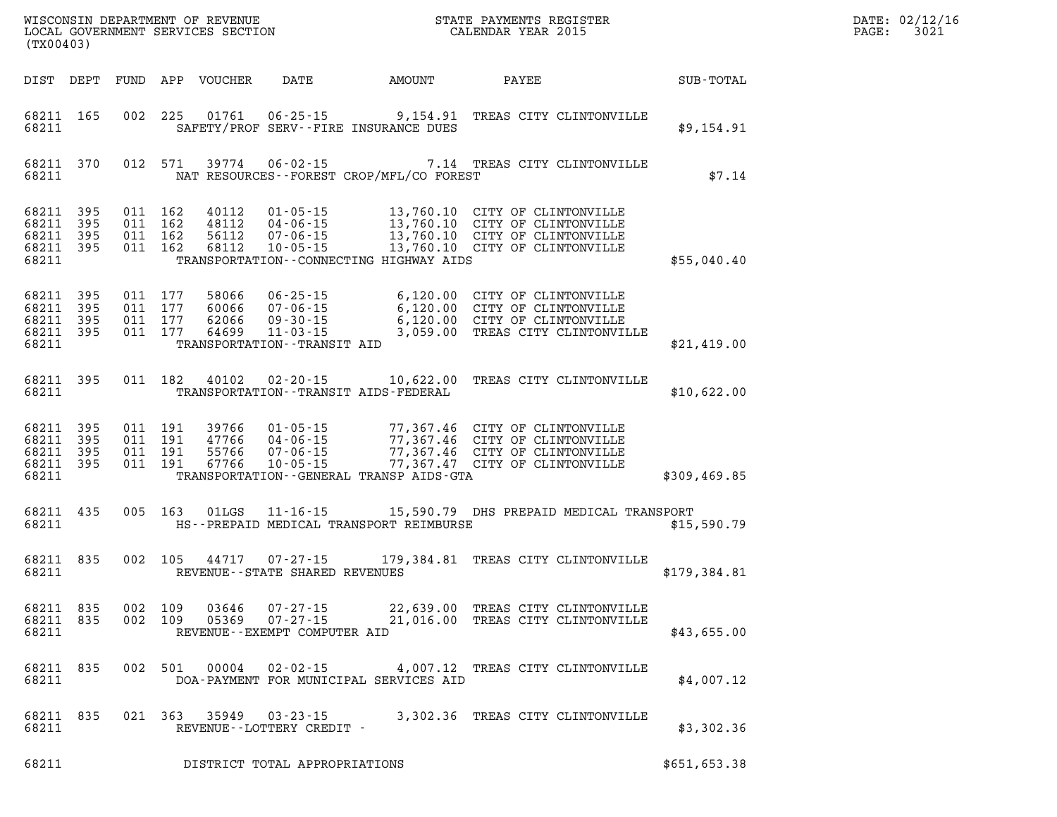| WISCONSIN DEPARTMENT OF REVENUE<br>LOCAL GOVERNMENT SERVICES SECTION<br>CALENDAR YEAR 2015<br>(TX00403)      |                                                                                                                                                                                                                                                                                  |                                   |              | DATE: 02/12/16<br>$\mathtt{PAGE:}$<br>3021 |
|--------------------------------------------------------------------------------------------------------------|----------------------------------------------------------------------------------------------------------------------------------------------------------------------------------------------------------------------------------------------------------------------------------|-----------------------------------|--------------|--------------------------------------------|
| FUND APP VOUCHER<br>DIST DEPT                                                                                |                                                                                                                                                                                                                                                                                  | DATE AMOUNT PAYEE                 | SUB-TOTAL    |                                            |
| 68211 165<br>68211                                                                                           | 002 225 01761 06-25-15 9,154.91 TREAS CITY CLINTONVILLE<br>SAFETY/PROF SERV--FIRE INSURANCE DUES                                                                                                                                                                                 |                                   | \$9,154.91   |                                            |
| 68211 370<br>012 571<br>39774<br>68211                                                                       | 06-02-15 7.14 TREAS CITY CLINTONVILLE<br>NAT RESOURCES--FOREST CROP/MFL/CO FOREST                                                                                                                                                                                                |                                   | \$7.14       |                                            |
| 68211 395<br>68211 395<br>68211 395<br>68211 395<br>68211                                                    | 011 162 40112 01-05-15 13,760.10 CITY OF CLINTONVILLE<br>011 162 48112 04-06-15 13,760.10 CITY OF CLINTONVILLE<br>011 162 56112 07-06-15 13,760.10 CITY OF CLINTONVILLE<br>011 162 68112 10-05-15 13,760.10 CITY OF CLINTONVILLE<br>TRANSPORTATION - - CONNECTING HIGHWAY AIDS   |                                   | \$55,040.40  |                                            |
| 68211 395<br>68211 395<br>68211 395<br>68211 395<br>68211                                                    | 011 177 58066 06-25-15 6,120.00 CITY OF CLINTONVILLE<br>011 177 60066 07-06-15 6,120.00 CITY OF CLINTONVILLE<br>011 177 62066 09-30-15 6,120.00 CITY OF CLINTONVILLE<br>011 177 64699 11-03-15 3,059.00 TREAS CITY CLINTONVILLE<br>TRANSPORTATION - - TRANSIT AID                |                                   | \$21,419.00  |                                            |
| 68211 395<br>68211                                                                                           | 011 182 40102 02-20-15 10,622.00 TREAS CITY CLINTONVILLE<br>TRANSPORTATION - - TRANSIT AIDS - FEDERAL                                                                                                                                                                            |                                   | \$10,622.00  |                                            |
| 68211 395<br>68211 395<br>68211 395<br>68211 395<br>68211                                                    | 011 191 39766 01-05-15 77,367.46 CITY OF CLINTONVILLE<br>011 191 47766 04-06-15 77,367.46 CITY OF CLINTONVILLE<br>011 191 55766 07-06-15 77,367.46 CITY OF CLINTONVILLE<br>011 191 67766 10-05-15 77,367.47 CITY OF CLINTONVILLE<br>TRANSPORTATION - - GENERAL TRANSP AIDS - GTA |                                   | \$309,469.85 |                                            |
| 68211 435<br>005 163<br>68211                                                                                | 01LGS 11-16-15 15,590.79 DHS PREPAID MEDICAL TRANSPORT<br>HS--PREPAID MEDICAL TRANSPORT REIMBURSE                                                                                                                                                                                |                                   | \$15,590.79  |                                            |
| 68211 835<br>68211                                                                                           | 002 105 44717 07-27-15 179,384.81 TREAS CITY CLINTONVILLE<br>REVENUE - - STATE SHARED REVENUES                                                                                                                                                                                   |                                   | \$179,384.81 |                                            |
| 68211 835 002 109 03646 07-27-15 22,639.00 TREAS CITY CLINTONVILLE<br>68211 835<br>002 109<br>05369<br>68211 | 07-27-15<br>REVENUE--EXEMPT COMPUTER AID                                                                                                                                                                                                                                         | 21,016.00 TREAS CITY CLINTONVILLE | \$43,655.00  |                                            |
| 68211 835<br>002 501 00004 02-02-15<br>68211                                                                 | DOA-PAYMENT FOR MUNICIPAL SERVICES AID                                                                                                                                                                                                                                           | 4,007.12 TREAS CITY CLINTONVILLE  | \$4,007.12   |                                            |
| 68211 835<br>68211                                                                                           | 021 363 35949 03-23-15 3,302.36 TREAS CITY CLINTONVILLE<br>REVENUE--LOTTERY CREDIT -                                                                                                                                                                                             |                                   | \$3,302.36   |                                            |
| 68211                                                                                                        | DISTRICT TOTAL APPROPRIATIONS                                                                                                                                                                                                                                                    |                                   | \$651,653.38 |                                            |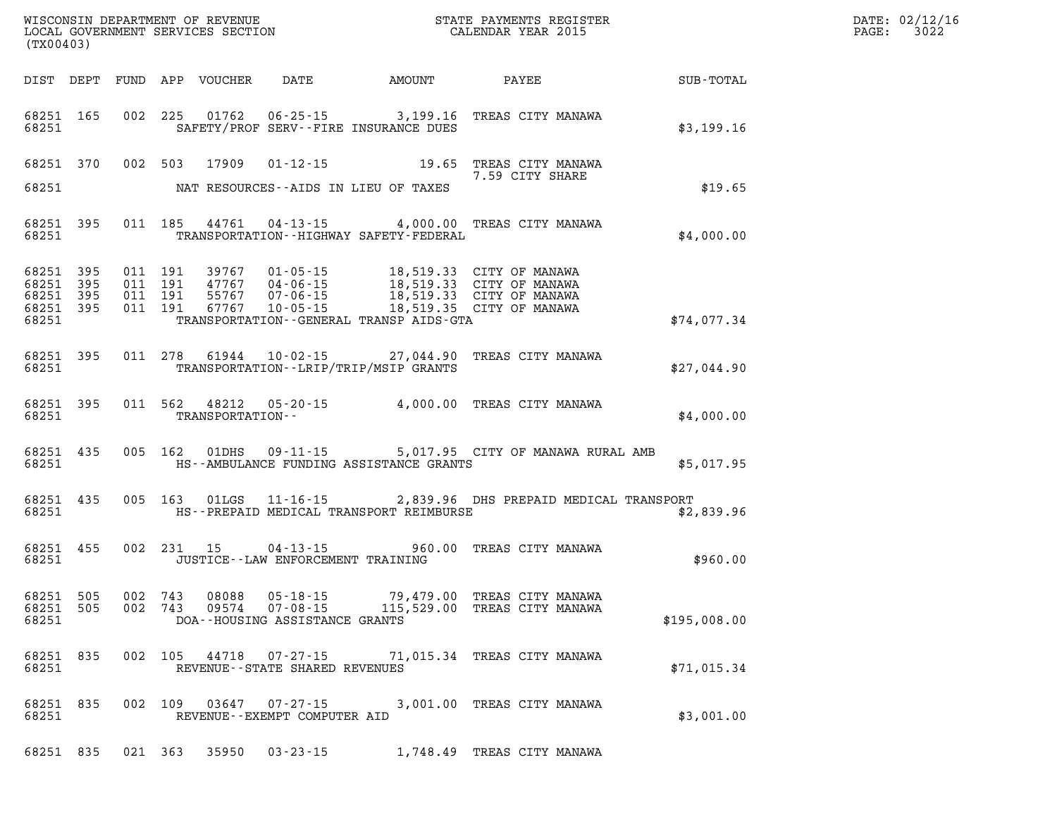| DATE: | 02/12/16 |
|-------|----------|
| PAGE: | 3022     |

| (TX00403) |                    |  |                  |                                   |                                                   |                                                                                                                                                                                                                                        | WISCONSIN DEPARTMENT OF REVENUE<br>LOCAL GOVERNMENT SERVICES SECTION<br>(TWOO403) | DATE: 02/12/1<br>$\mathtt{PAGE:}$<br>3022 |
|-----------|--------------------|--|------------------|-----------------------------------|---------------------------------------------------|----------------------------------------------------------------------------------------------------------------------------------------------------------------------------------------------------------------------------------------|-----------------------------------------------------------------------------------|-------------------------------------------|
|           |                    |  |                  |                                   |                                                   | DIST DEPT FUND APP VOUCHER DATE AMOUNT PAYEE SUB-TOTAL                                                                                                                                                                                 |                                                                                   |                                           |
|           |                    |  |                  |                                   | 68251 SAFETY/PROF SERV--FIRE INSURANCE DUES       | 68251 165 002 225 01762 06-25-15 3,199.16 TREAS CITY MANAWA                                                                                                                                                                            | \$3,199.16                                                                        |                                           |
|           |                    |  |                  |                                   |                                                   | 68251 370 002 503 17909 01-12-15 19.65 TREAS CITY MANAWA                                                                                                                                                                               |                                                                                   |                                           |
|           |                    |  |                  |                                   | 68251 NAT RESOURCES--AIDS IN LIEU OF TAXES        |                                                                                                                                                                                                                                        | \$19.65                                                                           |                                           |
|           |                    |  |                  |                                   | 68251 TRANSPORTATION - - HIGHWAY SAFETY - FEDERAL | 68251 395 011 185 44761 04-13-15 4,000.00 TREAS CITY MANAWA                                                                                                                                                                            | \$4,000.00                                                                        |                                           |
| 68251     |                    |  |                  |                                   | TRANSPORTATION - - GENERAL TRANSP AIDS - GTA      | 68251 395 011 191 39767 01-05-15 18,519.33 CITY OF MANAWA<br>68251 395 011 191 47767 04-06-15 18,519.33 CITY OF MANAWA<br>68251 395 011 191 55767 07-06-15 18,519.33 CITY OF MANAWA<br>68251 395 011 191 67767 10-05-15 18,519.35 CITY | \$74,077.34                                                                       |                                           |
|           |                    |  |                  |                                   | 68251 TRANSPORTATION - - LRIP/TRIP/MSIP GRANTS    | 68251 395 011 278 61944 10-02-15 27,044.90 TREAS CITY MANAWA                                                                                                                                                                           | \$27,044.90                                                                       |                                           |
|           | 68251              |  | TRANSPORTATION-- |                                   |                                                   | 68251 395 011 562 48212 05-20-15 4,000.00 TREAS CITY MANAWA                                                                                                                                                                            | \$4,000.00                                                                        |                                           |
|           | 68251              |  |                  |                                   | HS--AMBULANCE FUNDING ASSISTANCE GRANTS           | 68251 435 005 162 01DHS 09-11-15 5,017.95 CITY OF MANAWA RURAL AMB                                                                                                                                                                     | \$5,017.95                                                                        |                                           |
|           | 68251 435<br>68251 |  |                  |                                   | HS--PREPAID MEDICAL TRANSPORT REIMBURSE           | 005 163 01LGS 11-16-15 2,839.96 DHS PREPAID MEDICAL TRANSPORT                                                                                                                                                                          | \$2,839.96                                                                        |                                           |
| 68251     |                    |  |                  | JUSTICE--LAW ENFORCEMENT TRAINING |                                                   | 68251 455 002 231 15 04-13-15 960.00 TREAS CITY MANAWA                                                                                                                                                                                 | \$960.00                                                                          |                                           |
| 68251     |                    |  |                  | DOA--HOUSING ASSISTANCE GRANTS    |                                                   | 68251 505 002 743 08088 05-18-15 79,479.00 TREAS CITY MANAWA<br>68251 505 002 743 09574 07-08-15 115,529.00 TREAS CITY MANAWA                                                                                                          | \$195,008.00                                                                      |                                           |
| 68251     | 68251 835          |  |                  | REVENUE - - STATE SHARED REVENUES |                                                   | 002 105 44718 07-27-15 71,015.34 TREAS CITY MANAWA                                                                                                                                                                                     | \$71,015.34                                                                       |                                           |
| 68251     | 68251 835          |  | 002 109 03647    | REVENUE--EXEMPT COMPUTER AID      |                                                   | 07-27-15 3,001.00 TREAS CITY MANAWA                                                                                                                                                                                                    | \$3,001.00                                                                        |                                           |
|           |                    |  |                  |                                   |                                                   | 68251 835 021 363 35950 03-23-15 1,748.49 TREAS CITY MANAWA                                                                                                                                                                            |                                                                                   |                                           |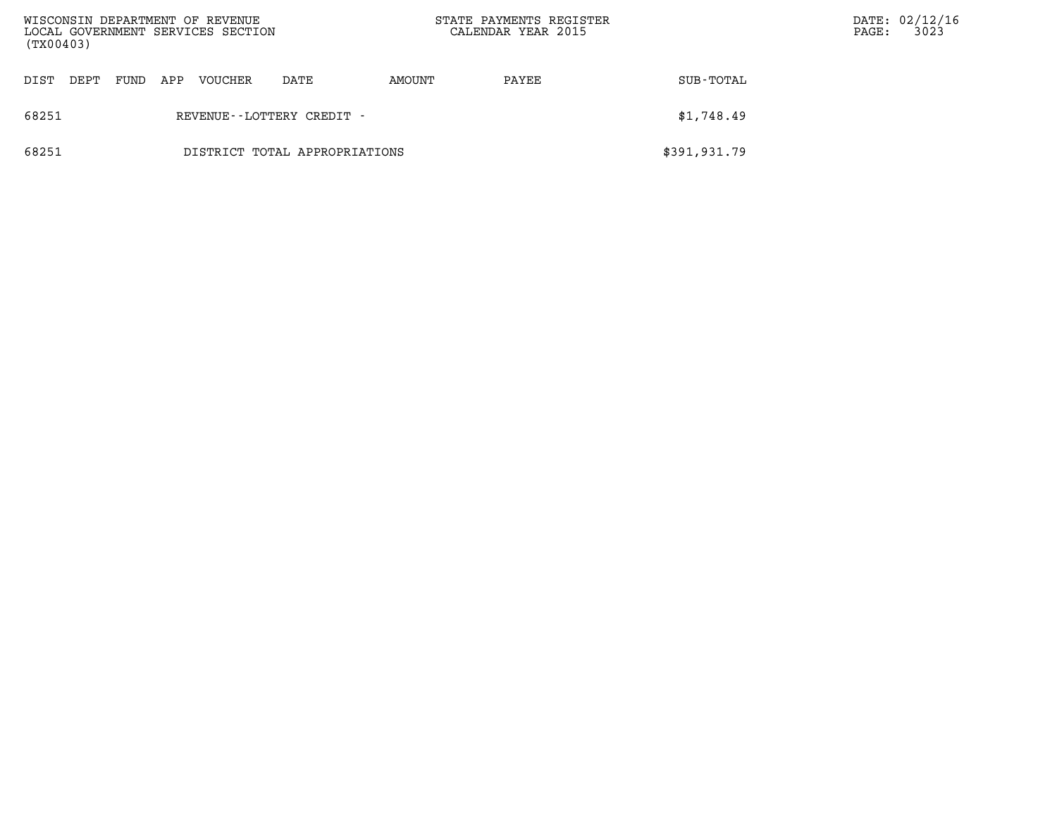|       | WISCONSIN DEPARTMENT OF REVENUE<br>LOCAL GOVERNMENT SERVICES SECTION<br>(TX00403) |      |     |         |                               |        | STATE PAYMENTS REGISTER<br>CALENDAR YEAR 2015 |              | PAGE: | DATE: 02/12/16<br>3023 |
|-------|-----------------------------------------------------------------------------------|------|-----|---------|-------------------------------|--------|-----------------------------------------------|--------------|-------|------------------------|
| DIST  | DEPT                                                                              | FUND | APP | VOUCHER | DATE                          | AMOUNT | PAYEE                                         | SUB-TOTAL    |       |                        |
| 68251 |                                                                                   |      |     |         | REVENUE - - LOTTERY CREDIT -  |        |                                               | \$1,748.49   |       |                        |
| 68251 |                                                                                   |      |     |         | DISTRICT TOTAL APPROPRIATIONS |        |                                               | \$391,931.79 |       |                        |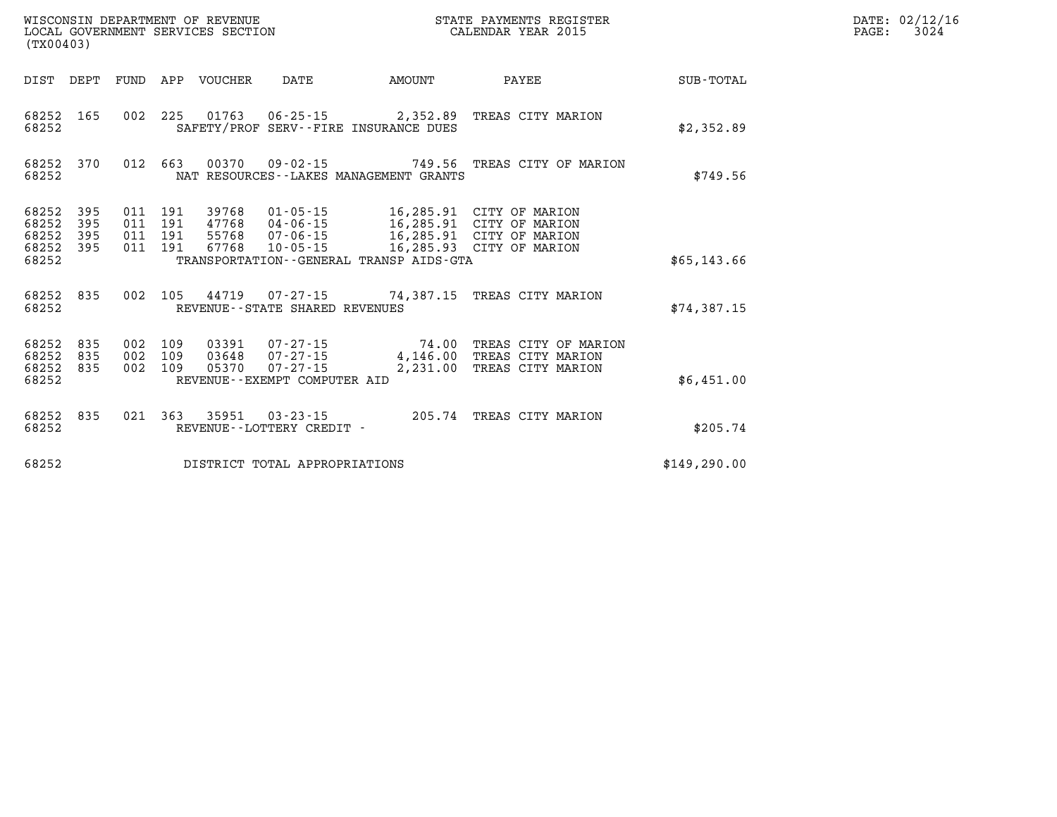| (TX00403)                        |                          |                          |                          | WISCONSIN DEPARTMENT OF REVENUE<br>LOCAL GOVERNMENT SERVICES SECTION |                                                                              |                                     | STATE PAYMENTS REGISTER<br>CALENDAR YEAR 2015                                  |               |
|----------------------------------|--------------------------|--------------------------|--------------------------|----------------------------------------------------------------------|------------------------------------------------------------------------------|-------------------------------------|--------------------------------------------------------------------------------|---------------|
| DIST                             | DEPT                     | <b>FUND</b>              | APP                      | <b>VOUCHER</b>                                                       | <b>DATE</b>                                                                  | <b>AMOUNT</b>                       | PAYEE                                                                          | SUB-TOTAL     |
| 68252<br>68252                   | 165                      | 002                      | 225                      | 01763                                                                | $06 - 25 - 15$<br>SAFETY/PROF SERV--FIRE INSURANCE DUES                      | 2,352.89                            | TREAS CITY MARION                                                              | \$2,352.89    |
| 68252<br>68252                   | 370                      | 012                      | 663                      | 00370                                                                | $09 - 02 - 15$<br>NAT RESOURCES - - LAKES MANAGEMENT GRANTS                  | 749.56                              | TREAS CITY OF MARION                                                           | \$749.56      |
| 68252<br>68252<br>68252<br>68252 | 395<br>395<br>395<br>395 | 011<br>011<br>011<br>011 | 191<br>191<br>191<br>191 | 39768<br>47768<br>55768<br>67768                                     | $01 - 05 - 15$<br>$04 - 06 - 15$<br>07-06-15<br>$10 - 05 - 15$               | 16,285.91<br>16,285.91<br>16,285.91 | CITY OF MARION<br>CITY OF MARION<br>CITY OF MARION<br>16,285.93 CITY OF MARION |               |
| 68252                            |                          |                          |                          |                                                                      | TRANSPORTATION--GENERAL TRANSP AIDS-GTA                                      |                                     |                                                                                | \$65,143.66   |
| 68252<br>68252                   | 835                      | 002                      | 105                      | 44719                                                                | $07 - 27 - 15$<br>REVENUE - - STATE SHARED REVENUES                          | 74,387.15                           | TREAS CITY MARION                                                              | \$74,387.15   |
| 68252<br>68252<br>68252<br>68252 | 835<br>835<br>835        | 002<br>002<br>002        | 109<br>109<br>109        | 03391<br>03648<br>05370                                              | 07-27-15<br>$07 - 27 - 15$<br>$07 - 27 - 15$<br>REVENUE--EXEMPT COMPUTER AID | 74.00<br>4,146.00<br>2,231.00       | TREAS CITY OF MARION<br>TREAS CITY MARION<br>TREAS CITY MARION                 | \$6,451.00    |
| 68252<br>68252                   | 835                      | 021                      | 363                      | 35951                                                                | $03 - 23 - 15$<br>REVENUE--LOTTERY CREDIT -                                  | 205.74                              | TREAS CITY MARION                                                              | \$205.74      |
| 68252                            |                          |                          |                          |                                                                      | DISTRICT TOTAL APPROPRIATIONS                                                |                                     |                                                                                | \$149, 290.00 |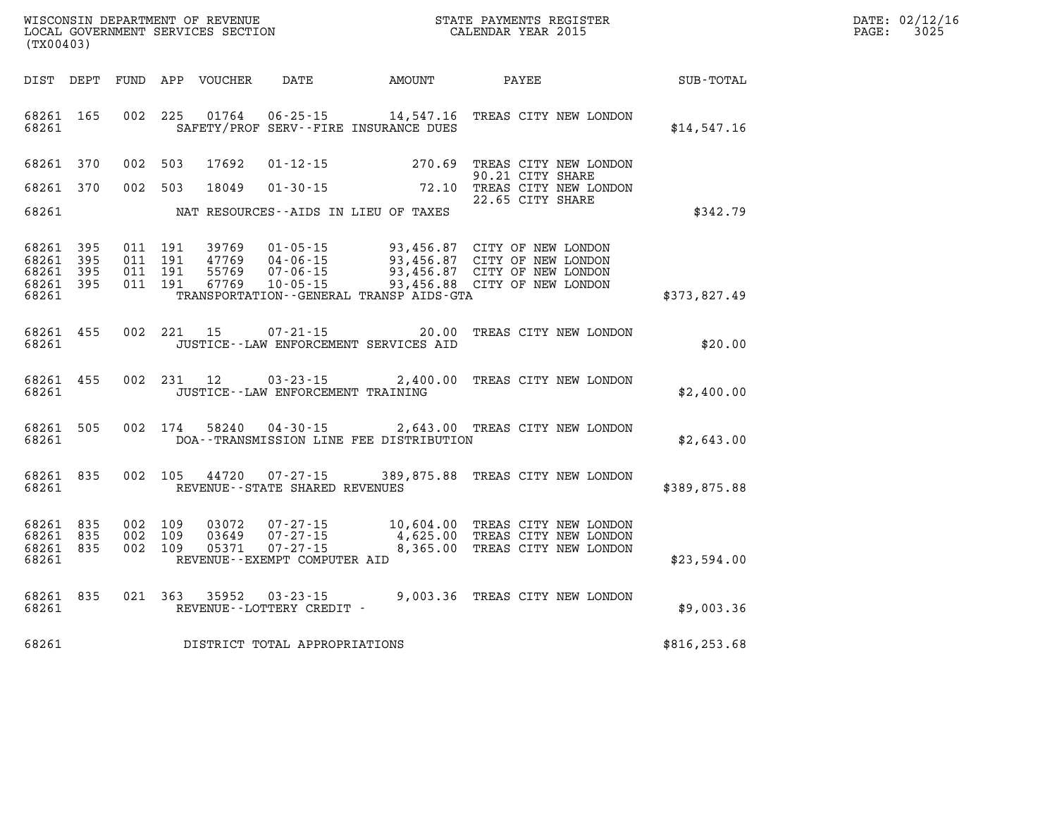| (TX00403)                                        |                                          |         |                                  |                                                     |                                          | ${\tt WISCOONSIM} \begin{tabular}{lcccc} {\tt NISCOONSIM} \end{tabular} \begin{tabular}{lcccc} {\tt NISCONSIM} \end{tabular} \begin{tabular}{lcccc} {\tt NISCONSIM} \end{tabular} \begin{tabular}{lcccc} {\tt NECONSIM} \end{tabular} \begin{tabular}{lcccc} {\tt NUCAL} \end{tabular} \begin{tabular}{lcccc} {\tt NUCAL} \end{tabular} \end{tabular} \begin{tabular}{lcccc} {\tt NUCAL} \end{tabular} \begin{tabular}{lcccc} {\tt NUCAL} \end{tabular} \begin{tabular}{lcccc} {\tt NUCAL} \end{tabular} \end{tabular} \begin{tabular}{lcccc$ |               | DATE: 02/12/16<br>3025<br>PAGE: |
|--------------------------------------------------|------------------------------------------|---------|----------------------------------|-----------------------------------------------------|------------------------------------------|-----------------------------------------------------------------------------------------------------------------------------------------------------------------------------------------------------------------------------------------------------------------------------------------------------------------------------------------------------------------------------------------------------------------------------------------------------------------------------------------------------------------------------------------------|---------------|---------------------------------|
|                                                  |                                          |         |                                  |                                                     | DIST DEPT FUND APP VOUCHER DATE AMOUNT   | PAYEE                                                                                                                                                                                                                                                                                                                                                                                                                                                                                                                                         | SUB-TOTAL     |                                 |
| 68261 165<br>68261                               |                                          |         | 002 225 01764                    |                                                     | SAFETY/PROF SERV--FIRE INSURANCE DUES    | 06-25-15 14,547.16 TREAS CITY NEW LONDON                                                                                                                                                                                                                                                                                                                                                                                                                                                                                                      | \$14,547.16   |                                 |
| 68261 370                                        | 002 503                                  |         | 17692                            |                                                     |                                          | 01-12-15 270.69 TREAS CITY NEW LONDON<br>90.21 CITY SHARE                                                                                                                                                                                                                                                                                                                                                                                                                                                                                     |               |                                 |
| 68261 370                                        | 002 503                                  |         | 18049                            |                                                     |                                          | 01-30-15 72.10 TREAS CITY NEW LONDON<br>22.65 CITY SHARE                                                                                                                                                                                                                                                                                                                                                                                                                                                                                      |               |                                 |
| 68261                                            |                                          |         |                                  |                                                     | NAT RESOURCES -- AIDS IN LIEU OF TAXES   |                                                                                                                                                                                                                                                                                                                                                                                                                                                                                                                                               | \$342.79      |                                 |
| 68261 395<br>68261 395<br>68261 395<br>68261 395 | 011 191<br>011 191<br>011 191<br>011 191 |         | 39769<br>47769<br>55769<br>67769 |                                                     |                                          | 01-05-15 93,456.87 CITY OF NEW LONDON<br>04-06-15 93,456.87 CITY OF NEW LONDON<br>07-06-15 93,456.87 CITY OF NEW LONDON<br>10-05-15 93,456.88 CITY OF NEW LONDON                                                                                                                                                                                                                                                                                                                                                                              |               |                                 |
| 68261                                            |                                          |         |                                  |                                                     | TRANSPORTATION--GENERAL TRANSP AIDS-GTA  |                                                                                                                                                                                                                                                                                                                                                                                                                                                                                                                                               | \$373,827.49  |                                 |
| 68261 455<br>68261                               |                                          |         | 002 221 15                       | 07-21-15                                            | JUSTICE - - LAW ENFORCEMENT SERVICES AID | 20.00 TREAS CITY NEW LONDON                                                                                                                                                                                                                                                                                                                                                                                                                                                                                                                   | \$20.00       |                                 |
| 68261 455<br>68261                               |                                          |         |                                  | JUSTICE - - LAW ENFORCEMENT TRAINING                |                                          | 002 231 12 03-23-15 2,400.00 TREAS CITY NEW LONDON                                                                                                                                                                                                                                                                                                                                                                                                                                                                                            | \$2,400.00    |                                 |
| 68261 505<br>68261                               |                                          | 002 174 |                                  |                                                     | DOA--TRANSMISSION LINE FEE DISTRIBUTION  | 58240  04-30-15  2,643.00  TREAS CITY NEW LONDON                                                                                                                                                                                                                                                                                                                                                                                                                                                                                              | \$2,643.00    |                                 |
| 68261 835<br>68261                               | 002 105                                  |         |                                  | REVENUE--STATE SHARED REVENUES                      |                                          | 44720 07-27-15 389,875.88 TREAS CITY NEW LONDON                                                                                                                                                                                                                                                                                                                                                                                                                                                                                               | \$389,875.88  |                                 |
| 68261 835<br>68261 835<br>68261 835<br>68261     | 002 109<br>002 109<br>002 109            |         | 03072<br>03649<br>05371          | 07-27-15<br>REVENUE - - EXEMPT COMPUTER AID         |                                          | 07-27-15 10,604.00 TREAS CITY NEW LONDON<br>$07 - 27 - 15$<br>$4,625.00$ TREAS CITY NEW LONDON<br>8,365.00 TREAS CITY NEW LONDON                                                                                                                                                                                                                                                                                                                                                                                                              | \$23,594.00   |                                 |
| 68261 835<br>68261                               |                                          |         |                                  | 021 363 35952 03-23-15<br>REVENUE--LOTTERY CREDIT - |                                          | 9,003.36 TREAS CITY NEW LONDON                                                                                                                                                                                                                                                                                                                                                                                                                                                                                                                | \$9,003.36    |                                 |
| 68261                                            |                                          |         |                                  | DISTRICT TOTAL APPROPRIATIONS                       |                                          |                                                                                                                                                                                                                                                                                                                                                                                                                                                                                                                                               | \$816, 253.68 |                                 |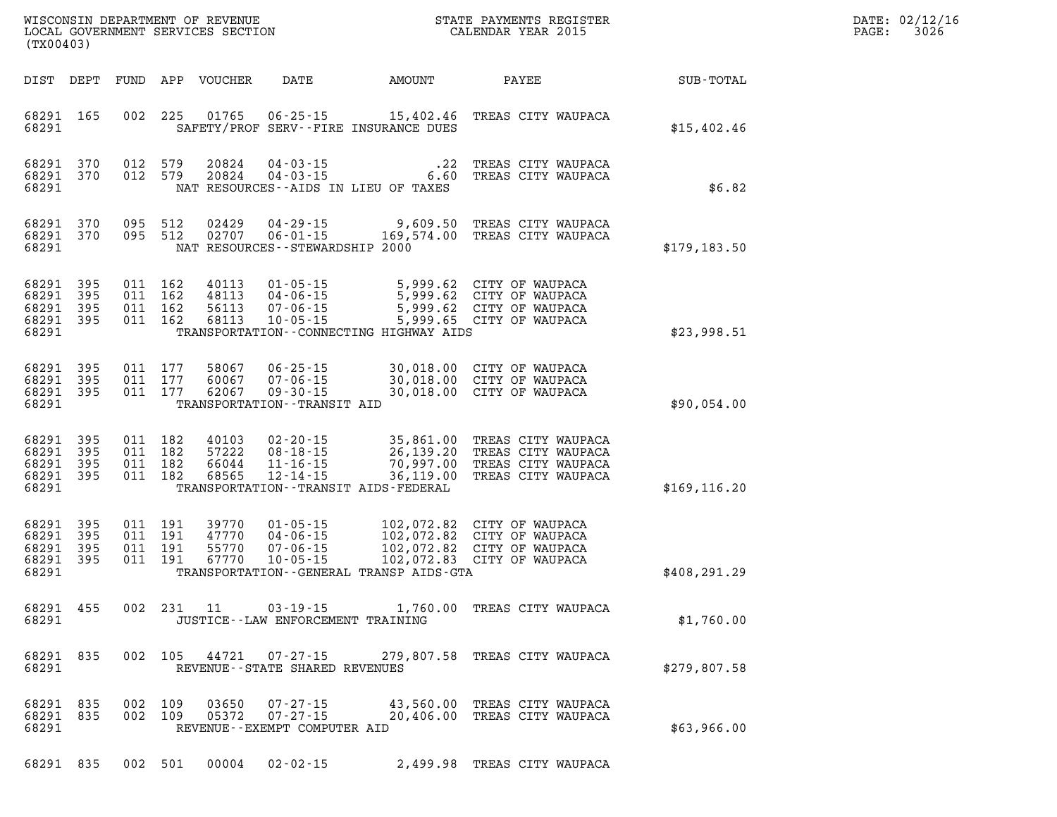| DATE: | 02/12/16 |
|-------|----------|
| PAGE: | 3026     |

| (TX00403)          |                                                  |  |                                          |                                  |                                                                |                                                                          | STATE PAYMENTS REGISTER                                                                                                                                  |               | DATE: 02/12/1<br>3026<br>PAGE: |
|--------------------|--------------------------------------------------|--|------------------------------------------|----------------------------------|----------------------------------------------------------------|--------------------------------------------------------------------------|----------------------------------------------------------------------------------------------------------------------------------------------------------|---------------|--------------------------------|
|                    |                                                  |  |                                          | DIST DEPT FUND APP VOUCHER       | DATE                                                           | AMOUNT                                                                   | PAYEE                                                                                                                                                    | SUB-TOTAL     |                                |
| 68291              | 68291 165                                        |  | 002 225                                  |                                  |                                                                | SAFETY/PROF SERV--FIRE INSURANCE DUES                                    | 01765  06-25-15  15,402.46  TREAS CITY WAUPACA                                                                                                           | \$15,402.46   |                                |
| 68291              | 68291 370<br>68291 370                           |  | 012 579<br>012 579                       | 20824<br>20824                   |                                                                | $04 - 03 - 15$<br>$04 - 03 - 15$<br>NAT RESOURCES--AIDS IN LIEU OF TAXES | .22 TREAS CITY WAUPACA<br>6.60 TREAS CITY WAUPACA                                                                                                        | \$6.82        |                                |
| 68291              | 68291 370<br>68291 370                           |  | 095 512<br>095 512                       | 02429<br>02707                   | $06 - 01 - 15$<br>NAT RESOURCES - - STEWARDSHIP 2000           | $04 - 29 - 15$ 9,609.50                                                  | TREAS CITY WAUPACA<br>169,574.00 TREAS CITY WAUPACA                                                                                                      | \$179,183.50  |                                |
| 68291              | 68291 395<br>68291 395<br>68291 395<br>68291 395 |  | 011 162<br>011 162<br>011 162<br>011 162 | 40113<br>48113<br>56113<br>68113 |                                                                | TRANSPORTATION -- CONNECTING HIGHWAY AIDS                                | 01-05-15 5,999.62 CITY OF WAUPACA<br>04-06-15 5,999.62 CITY OF WAUPACA<br>07-06-15 5,999.62 CITY OF WAUPACA<br>10-05-15 5,999.65 CITY OF WAUPACA         | \$23,998.51   |                                |
| 68291              | 68291 395<br>68291 395<br>68291 395              |  | 011 177<br>011 177<br>011 177            | 58067<br>60067<br>62067          | $09 - 30 - 15$<br>TRANSPORTATION - - TRANSIT AID               |                                                                          | 06-25-15 30,018.00 CITY OF WAUPACA<br>07-06-15 30,018.00 CITY OF WAUPACA<br>09-30-15 30,018.00 CITY OF WAUPACA<br>30,018.00 CITY OF WAUPACA              | \$90,054.00   |                                |
| 68291              | 68291 395<br>68291 395<br>68291 395<br>68291 395 |  | 011 182<br>011 182<br>011 182<br>011 182 | 40103<br>57222<br>66044<br>68565 | 02 - 20 - 15<br>08 - 18 - 15<br>11 - 16 - 15<br>$12 - 14 - 15$ | TRANSPORTATION - - TRANSIT AIDS - FEDERAL                                | 35,861.00 TREAS CITY WAUPACA<br>26,139.20 TREAS CITY WAUPACA<br>70,997.00 TREAS CITY WAUPACA<br>36,119.00 TREAS CITY WAUPACA                             | \$169, 116.20 |                                |
| 68291 395<br>68291 | 68291 395<br>68291 395<br>68291 395              |  | 011 191<br>011 191<br>011 191<br>011 191 | 39770<br>47770<br>55770<br>67770 |                                                                | TRANSPORTATION--GENERAL TRANSP AIDS-GTA                                  | 01-05-15 102,072.82 CITY OF WAUPACA<br>04-06-15 102,072.82 CITY OF WAUPACA<br>07-06-15 102,072.82 CITY OF WAUPACA<br>10-05-15 102,072.83 CITY OF WAUPACA | \$408, 291.29 |                                |
| 68291              | 68291 455                                        |  |                                          | 002 231 11                       | 03-19-15                                                       | JUSTICE - - LAW ENFORCEMENT TRAINING                                     | 1,760.00 TREAS CITY WAUPACA                                                                                                                              | \$1,760.00    |                                |
| 68291              | 68291 835                                        |  |                                          |                                  | REVENUE - - STATE SHARED REVENUES                              |                                                                          | 002 105 44721 07-27-15 279,807.58 TREAS CITY WAUPACA                                                                                                     | \$279.807.58  |                                |
| 68291              | 68291 835<br>68291 835                           |  | 002 109                                  | 03650<br>002 109 05372           | $07 - 27 - 15$<br>REVENUE--EXEMPT COMPUTER AID                 |                                                                          | 07-27-15 43,560.00 TREAS CITY WAUPACA<br>20,406.00 TREAS CITY WAUPACA                                                                                    | \$63,966.00   |                                |
|                    | 68291 835                                        |  | 002 501                                  | 00004                            | $02 - 02 - 15$                                                 |                                                                          | 2,499.98 TREAS CITY WAUPACA                                                                                                                              |               |                                |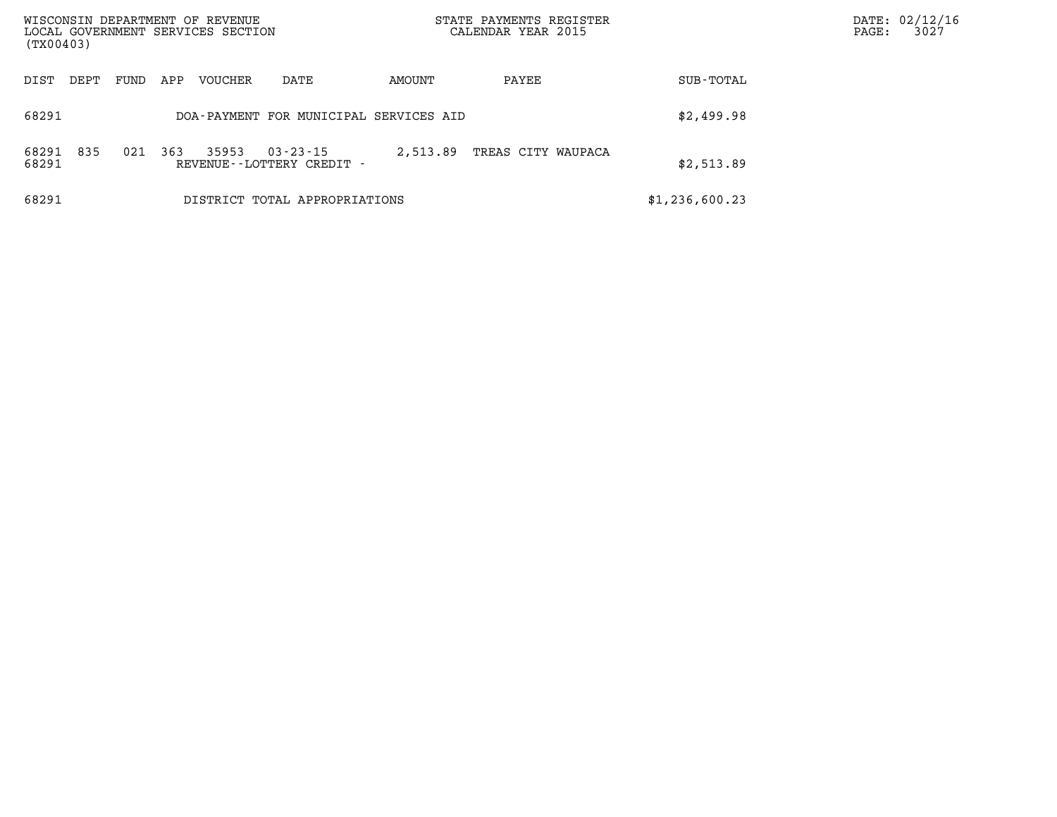| WISCONSIN DEPARTMENT OF REVENUE<br>LOCAL GOVERNMENT SERVICES SECTION<br>(TX00403) |      |      |     |                |                                                |          | STATE PAYMENTS REGISTER<br>CALENDAR YEAR 2015 |  |                |  |  | DATE: 02/12/16<br>3027 |
|-----------------------------------------------------------------------------------|------|------|-----|----------------|------------------------------------------------|----------|-----------------------------------------------|--|----------------|--|--|------------------------|
| DIST                                                                              | DEPT | FUND | APP | <b>VOUCHER</b> | DATE                                           | AMOUNT   | PAYEE                                         |  | SUB-TOTAL      |  |  |                        |
| 68291                                                                             |      |      |     |                | DOA-PAYMENT FOR MUNICIPAL SERVICES AID         |          |                                               |  | \$2,499.98     |  |  |                        |
| 68291<br>68291                                                                    | 835  | 021  | 363 | 35953          | $03 - 23 - 15$<br>REVENUE - - LOTTERY CREDIT - | 2,513.89 | TREAS CITY WAUPACA                            |  | \$2,513.89     |  |  |                        |
| 68291                                                                             |      |      |     |                | DISTRICT TOTAL APPROPRIATIONS                  |          |                                               |  | \$1,236,600.23 |  |  |                        |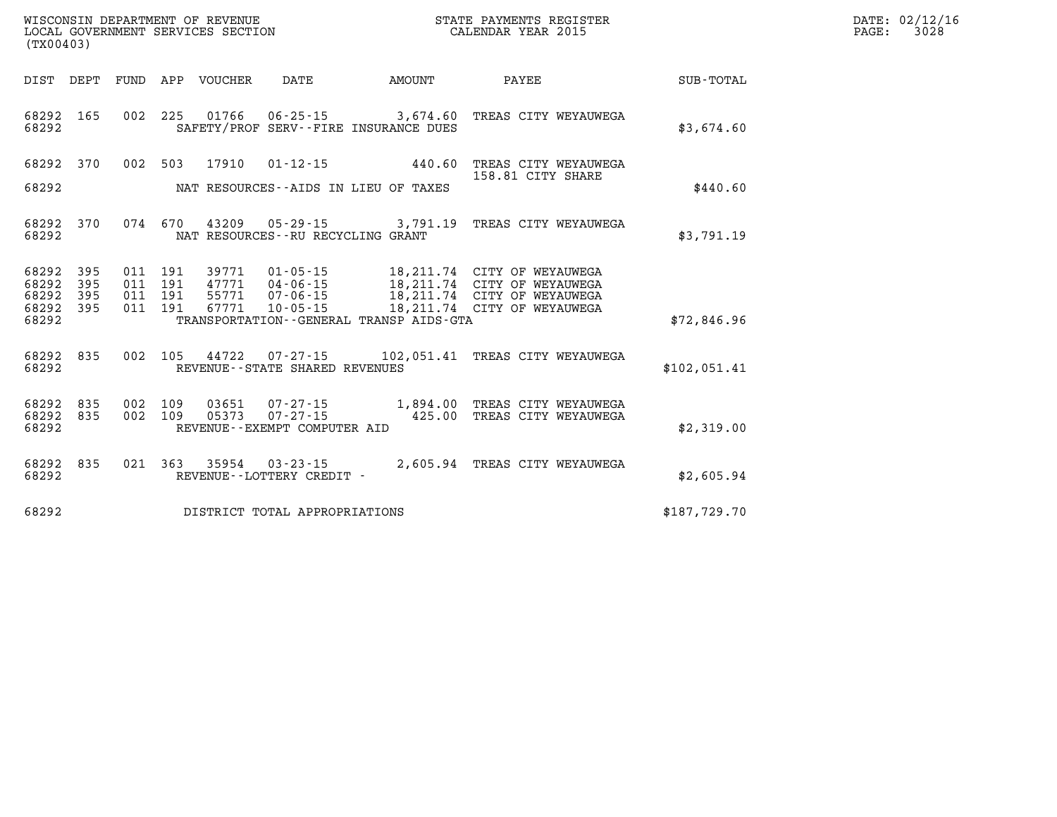| WISCONSIN DEPARTMENT OF REVENUE<br>LOCAL GOVERNMENT SERVICES SECTION<br>(TX00403) |                   |     |                    |                                                  |                                                |                                         | STATE PAYMENTS REGISTER<br>CALENDAR YEAR 2015                                                                                                                |              | DATE: 02/12/16<br>$\mathtt{PAGE}$ :<br>3028 |
|-----------------------------------------------------------------------------------|-------------------|-----|--------------------|--------------------------------------------------|------------------------------------------------|-----------------------------------------|--------------------------------------------------------------------------------------------------------------------------------------------------------------|--------------|---------------------------------------------|
| DIST DEPT                                                                         |                   |     |                    | FUND APP VOUCHER                                 | DATE                                           | AMOUNT                                  | PAYEE                                                                                                                                                        | SUB-TOTAL    |                                             |
| 68292<br>68292                                                                    | 165               |     |                    |                                                  |                                                | SAFETY/PROF SERV--FIRE INSURANCE DUES   | 002 225 01766 06-25-15 3,674.60 TREAS CITY WEYAUWEGA                                                                                                         | \$3,674.60   |                                             |
| 68292 370                                                                         |                   |     |                    | 002 503 17910                                    | $01 - 12 - 15$                                 | 440.60                                  | TREAS CITY WEYAUWEGA<br>158.81 CITY SHARE                                                                                                                    |              |                                             |
| 68292                                                                             |                   |     |                    |                                                  |                                                | NAT RESOURCES--AIDS IN LIEU OF TAXES    |                                                                                                                                                              | \$440.60     |                                             |
| 68292<br>68292                                                                    | 370               |     | 074 670            |                                                  | NAT RESOURCES - - RU RECYCLING GRANT           |                                         | 43209  05-29-15  3,791.19  TREAS CITY WEYAUWEGA                                                                                                              | \$3,791.19   |                                             |
| 68292<br>68292<br>68292<br>68292 395<br>68292                                     | 395<br>395<br>395 | 011 | 191<br>011 191     | 39771<br>011 191 47771<br>011 191 55771<br>67771 |                                                | TRANSPORTATION--GENERAL TRANSP AIDS-GTA | 01-05-15 18,211.74 CITY OF WEYAUWEGA<br>04-06-15 18,211.74 CITY OF WEYAUWEGA<br>07-06-15 18,211.74 CITY OF WEYAUWEGA<br>10-05-15 18,211.74 CITY OF WEYAUWEGA | \$72,846.96  |                                             |
|                                                                                   |                   |     |                    |                                                  |                                                |                                         |                                                                                                                                                              |              |                                             |
| 68292<br>68292                                                                    | 835               |     |                    |                                                  | REVENUE - - STATE SHARED REVENUES              |                                         | 002 105 44722 07-27-15 102,051.41 TREAS CITY WEYAUWEGA                                                                                                       | \$102,051.41 |                                             |
| 68292 835<br>68292<br>68292                                                       | 835               |     | 002 109<br>002 109 | 03651<br>05373                                   | $07 - 27 - 15$<br>REVENUE--EXEMPT COMPUTER AID |                                         | 07-27-15 1,894.00 TREAS CITY WEYAUWEGA<br>425.00 TREAS CITY WEYAUWEGA                                                                                        | \$2,319.00   |                                             |
| 68292<br>68292                                                                    | 835               |     |                    |                                                  | REVENUE--LOTTERY CREDIT -                      |                                         | 021  363  35954  03-23-15  2,605.94  TREAS CITY WEYAUWEGA                                                                                                    | \$2,605.94   |                                             |
| 68292                                                                             |                   |     |                    |                                                  | DISTRICT TOTAL APPROPRIATIONS                  |                                         |                                                                                                                                                              | \$187,729.70 |                                             |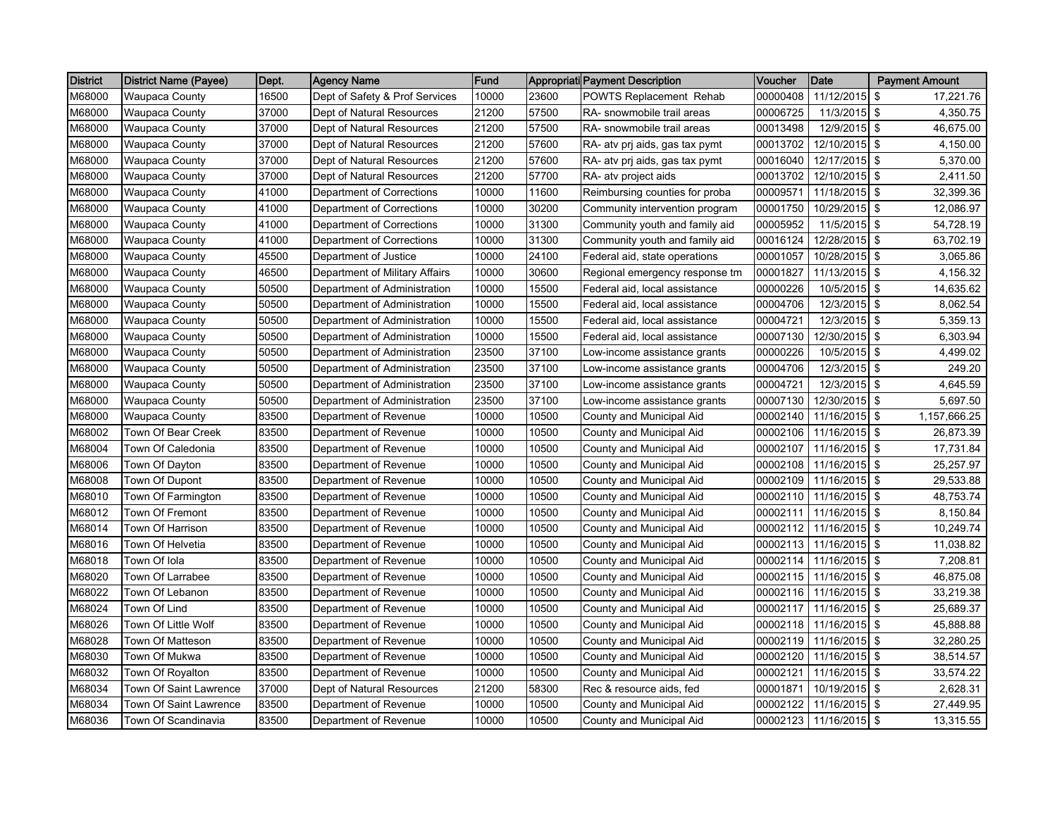| <b>District</b> | <b>District Name (Payee)</b> | Dept. | <b>Agency Name</b>             | Fund  |       | Appropriati Payment Description | Voucher  | Date                | <b>Payment Amount</b> |
|-----------------|------------------------------|-------|--------------------------------|-------|-------|---------------------------------|----------|---------------------|-----------------------|
| M68000          | <b>Waupaca County</b>        | 16500 | Dept of Safety & Prof Services | 10000 | 23600 | POWTS Replacement Rehab         | 00000408 | 11/12/2015          | \$<br>17,221.76       |
| M68000          | <b>Waupaca County</b>        | 37000 | Dept of Natural Resources      | 21200 | 57500 | RA- snowmobile trail areas      | 00006725 | 11/3/2015           | \$<br>4,350.75        |
| M68000          | <b>Waupaca County</b>        | 37000 | Dept of Natural Resources      | 21200 | 57500 | RA- snowmobile trail areas      | 00013498 | 12/9/2015           | \$<br>46,675.00       |
| M68000          | Waupaca County               | 37000 | Dept of Natural Resources      | 21200 | 57600 | RA- atv pri aids, gas tax pymt  | 00013702 | 12/10/2015          | \$<br>4,150.00        |
| M68000          | <b>Waupaca County</b>        | 37000 | Dept of Natural Resources      | 21200 | 57600 | RA- atv pri aids, gas tax pymt  | 00016040 | 12/17/2015          | \$<br>5,370.00        |
| M68000          | <b>Waupaca County</b>        | 37000 | Dept of Natural Resources      | 21200 | 57700 | RA- atv project aids            | 00013702 | 12/10/2015          | \$<br>2,411.50        |
| M68000          | <b>Waupaca County</b>        | 41000 | Department of Corrections      | 10000 | 11600 | Reimbursing counties for proba  | 00009571 | 11/18/2015          | \$<br>32,399.36       |
| M68000          | <b>Waupaca County</b>        | 41000 | Department of Corrections      | 10000 | 30200 | Community intervention program  | 00001750 | 10/29/2015          | \$<br>12,086.97       |
| M68000          | Waupaca County               | 41000 | Department of Corrections      | 10000 | 31300 | Community youth and family aid  | 00005952 | 11/5/2015           | \$<br>54,728.19       |
| M68000          | <b>Waupaca County</b>        | 41000 | Department of Corrections      | 10000 | 31300 | Community youth and family aid  | 00016124 | 12/28/2015 \$       | 63,702.19             |
| M68000          | <b>Waupaca County</b>        | 45500 | Department of Justice          | 10000 | 24100 | Federal aid, state operations   | 00001057 | 10/28/2015          | \$<br>3,065.86        |
| M68000          | <b>Waupaca County</b>        | 46500 | Department of Military Affairs | 10000 | 30600 | Regional emergency response tm  | 00001827 | 11/13/2015          | \$<br>4,156.32        |
| M68000          | <b>Waupaca County</b>        | 50500 | Department of Administration   | 10000 | 15500 | Federal aid, local assistance   | 00000226 | 10/5/2015           | \$<br>14,635.62       |
| M68000          | <b>Waupaca County</b>        | 50500 | Department of Administration   | 10000 | 15500 | Federal aid, local assistance   | 00004706 | 12/3/2015           | \$<br>8,062.54        |
| M68000          | Waupaca County               | 50500 | Department of Administration   | 10000 | 15500 | Federal aid, local assistance   | 00004721 | 12/3/2015           | \$<br>5,359.13        |
| M68000          | <b>Waupaca County</b>        | 50500 | Department of Administration   | 10000 | 15500 | Federal aid, local assistance   | 00007130 | 12/30/2015          | \$<br>6,303.94        |
| M68000          | <b>Waupaca County</b>        | 50500 | Department of Administration   | 23500 | 37100 | Low-income assistance grants    | 00000226 | 10/5/2015           | \$<br>4,499.02        |
| M68000          | Waupaca County               | 50500 | Department of Administration   | 23500 | 37100 | Low-income assistance grants    | 00004706 | 12/3/2015           | \$<br>249.20          |
| M68000          | <b>Waupaca County</b>        | 50500 | Department of Administration   | 23500 | 37100 | Low-income assistance grants    | 00004721 | 12/3/2015           | \$<br>4,645.59        |
| M68000          | <b>Waupaca County</b>        | 50500 | Department of Administration   | 23500 | 37100 | Low-income assistance grants    | 00007130 | 12/30/2015          | \$<br>5,697.50        |
| M68000          | <b>Waupaca County</b>        | 83500 | Department of Revenue          | 10000 | 10500 | County and Municipal Aid        | 00002140 | 11/16/2015          | \$<br>1,157,666.25    |
| M68002          | Town Of Bear Creek           | 83500 | Department of Revenue          | 10000 | 10500 | County and Municipal Aid        | 00002106 | 11/16/2015          | \$<br>26,873.39       |
| M68004          | Town Of Caledonia            | 83500 | Department of Revenue          | 10000 | 10500 | County and Municipal Aid        | 00002107 | 11/16/2015          | \$<br>17,731.84       |
| M68006          | Town Of Dayton               | 83500 | Department of Revenue          | 10000 | 10500 | County and Municipal Aid        | 00002108 | 11/16/2015          | \$<br>25,257.97       |
| M68008          | Town Of Dupont               | 83500 | Department of Revenue          | 10000 | 10500 | County and Municipal Aid        | 00002109 | 11/16/2015          | \$<br>29,533.88       |
| M68010          | Town Of Farmington           | 83500 | Department of Revenue          | 10000 | 10500 | County and Municipal Aid        | 00002110 | 11/16/2015          | \$<br>48,753.74       |
| M68012          | <b>Town Of Fremont</b>       | 83500 | Department of Revenue          | 10000 | 10500 | County and Municipal Aid        | 00002111 | 11/16/2015 \$       | 8,150.84              |
| M68014          | Town Of Harrison             | 83500 | Department of Revenue          | 10000 | 10500 | County and Municipal Aid        | 00002112 | 11/16/2015          | \$<br>10,249.74       |
| M68016          | Town Of Helvetia             | 83500 | Department of Revenue          | 10000 | 10500 | County and Municipal Aid        | 00002113 | 11/16/2015          | \$<br>11,038.82       |
| M68018          | Town Of Iola                 | 83500 | Department of Revenue          | 10000 | 10500 | County and Municipal Aid        | 00002114 | 11/16/2015          | \$<br>7,208.81        |
| M68020          | Town Of Larrabee             | 83500 | Department of Revenue          | 10000 | 10500 | County and Municipal Aid        | 00002115 | 11/16/2015          | \$<br>46,875.08       |
| M68022          | Town Of Lebanon              | 83500 | Department of Revenue          | 10000 | 10500 | County and Municipal Aid        | 00002116 | 11/16/2015          | \$<br>33,219.38       |
| M68024          | Town Of Lind                 | 83500 | Department of Revenue          | 10000 | 10500 | County and Municipal Aid        | 00002117 | 11/16/2015          | \$<br>25,689.37       |
| M68026          | Town Of Little Wolf          | 83500 | Department of Revenue          | 10000 | 10500 | County and Municipal Aid        | 00002118 | 11/16/2015          | \$<br>45,888.88       |
| M68028          | Town Of Matteson             | 83500 | Department of Revenue          | 10000 | 10500 | County and Municipal Aid        | 00002119 | 11/16/2015          | \$<br>32,280.25       |
| M68030          | Town Of Mukwa                | 83500 | Department of Revenue          | 10000 | 10500 | County and Municipal Aid        | 00002120 | 11/16/2015          | \$<br>38,514.57       |
| M68032          | Town Of Royalton             | 83500 | Department of Revenue          | 10000 | 10500 | County and Municipal Aid        | 00002121 | 11/16/2015          | \$<br>33,574.22       |
| M68034          | Town Of Saint Lawrence       | 37000 | Dept of Natural Resources      | 21200 | 58300 | Rec & resource aids, fed        | 00001871 | 10/19/2015          | \$<br>2,628.31        |
| M68034          | Town Of Saint Lawrence       | 83500 | Department of Revenue          | 10000 | 10500 | County and Municipal Aid        | 00002122 | 11/16/2015          | \$<br>27,449.95       |
| M68036          | Town Of Scandinavia          | 83500 | Department of Revenue          | 10000 | 10500 | County and Municipal Aid        |          | 00002123 11/16/2015 | \$<br>13,315.55       |